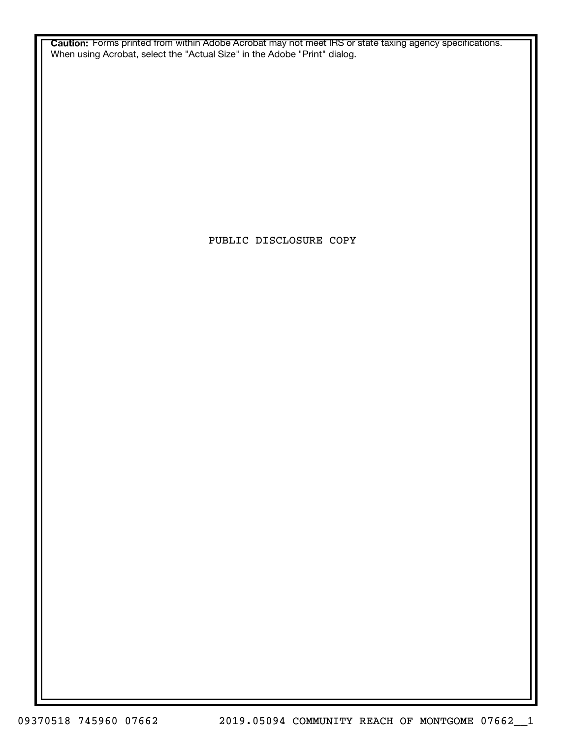**Caution:** Forms printed from within Adobe Acrobat may not meet IRS or state taxing agency specifications. When using Acrobat, select the "Actual Size" in the Adobe "Print" dialog.

PUBLIC DISCLOSURE COPY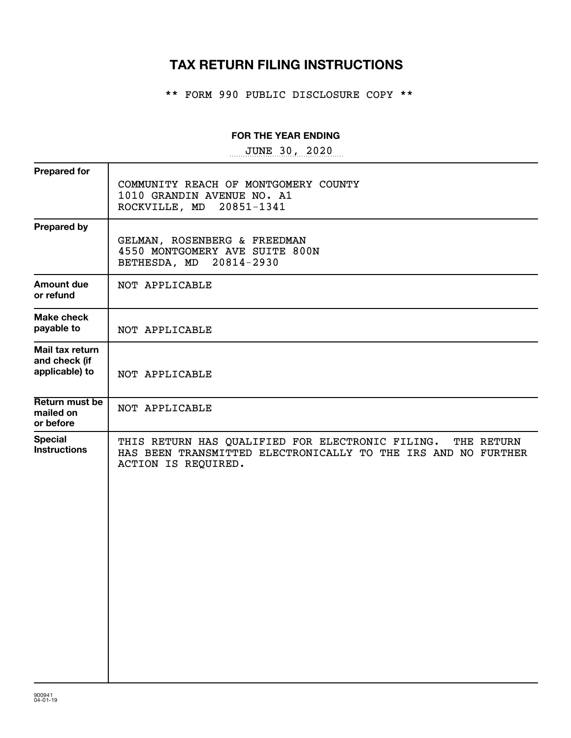# **TAX RETURN FILING INSTRUCTIONS**

\*\* FORM 990 PUBLIC DISCLOSURE COPY \*\*

### **FOR THE YEAR ENDING**

~~~~~~~~~~~~~~~~~ JUNE 30, 2020

| <b>Prepared for</b>                                |                                                                                                                                                     |
|----------------------------------------------------|-----------------------------------------------------------------------------------------------------------------------------------------------------|
|                                                    | COMMUNITY REACH OF MONTGOMERY COUNTY<br>1010 GRANDIN AVENUE NO. A1<br>ROCKVILLE, MD 20851-1341                                                      |
| <b>Prepared by</b>                                 | GELMAN, ROSENBERG & FREEDMAN<br>4550 MONTGOMERY AVE SUITE 800N<br>BETHESDA, MD 20814-2930                                                           |
| <b>Amount due</b><br>or refund                     | NOT APPLICABLE                                                                                                                                      |
| <b>Make check</b><br>payable to                    | NOT APPLICABLE                                                                                                                                      |
| Mail tax return<br>and check (if<br>applicable) to | NOT APPLICABLE                                                                                                                                      |
| Return must be<br>mailed on<br>or before           | NOT APPLICABLE                                                                                                                                      |
| <b>Special</b><br><b>Instructions</b>              | THIS RETURN HAS QUALIFIED FOR ELECTRONIC FILING. THE RETURN<br>HAS BEEN TRANSMITTED ELECTRONICALLY TO THE IRS AND NO FURTHER<br>ACTION IS REQUIRED. |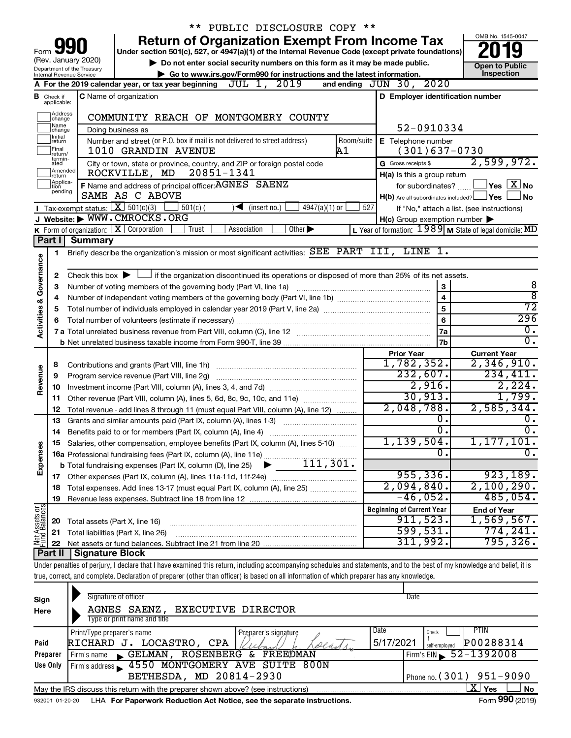|                         |                              |                                                        | ** PUBLIC DISCLOSURE COPY **                                                                                                                                               |            |                                                     |                         |                                                           |
|-------------------------|------------------------------|--------------------------------------------------------|----------------------------------------------------------------------------------------------------------------------------------------------------------------------------|------------|-----------------------------------------------------|-------------------------|-----------------------------------------------------------|
|                         |                              |                                                        | <b>Return of Organization Exempt From Income Tax</b>                                                                                                                       |            |                                                     |                         | OMB No. 1545-0047                                         |
| Form                    |                              |                                                        | Under section 501(c), 527, or 4947(a)(1) of the Internal Revenue Code (except private foundations)                                                                         |            |                                                     |                         |                                                           |
|                         |                              | (Rev. January 2020)                                    | Do not enter social security numbers on this form as it may be made public.                                                                                                |            |                                                     |                         | <b>Open to Public</b>                                     |
|                         |                              | Department of the Treasury<br>Internal Revenue Service | Go to www.irs.gov/Form990 for instructions and the latest information.                                                                                                     |            |                                                     |                         | Inspection                                                |
|                         |                              |                                                        | A For the 2019 calendar year, or tax year beginning $JUL$ $1, 2019$                                                                                                        |            | and ending JUN 30, 2020                             |                         |                                                           |
| в                       | Check if<br>applicable:      |                                                        | <b>C</b> Name of organization                                                                                                                                              |            | D Employer identification number                    |                         |                                                           |
|                         | Address<br>change            |                                                        | COMMUNITY REACH OF MONTGOMERY COUNTY                                                                                                                                       |            |                                                     |                         |                                                           |
|                         | Name<br>change               |                                                        | Doing business as                                                                                                                                                          |            | 52-0910334                                          |                         |                                                           |
|                         | Initial<br>return            |                                                        | Number and street (or P.O. box if mail is not delivered to street address)                                                                                                 | Room/suite | E Telephone number                                  |                         |                                                           |
|                         | Final<br>return/             |                                                        | 1010 GRANDIN AVENUE                                                                                                                                                        | Α1         | $(301)637-0730$                                     |                         |                                                           |
|                         | termin-<br>ated<br>Amended   |                                                        | City or town, state or province, country, and ZIP or foreign postal code<br>20851-1341<br>ROCKVILLE, MD                                                                    |            | G Gross receipts \$<br>H(a) Is this a group return  |                         | 2,599,972.                                                |
|                         | Írëturn<br>Applica-<br>Ition |                                                        | F Name and address of principal officer: AGNES SAENZ                                                                                                                       |            | for subordinates?                                   |                         | $ {\mathsf Y}\mathsf{es}^- \mathsf{X} $ No                |
|                         | pending                      |                                                        | SAME AS C ABOVE                                                                                                                                                            |            | $H(b)$ Are all subordinates included? $\Box$ Yes    |                         | l No                                                      |
|                         |                              | <b>I</b> Tax-exempt status: $X \over 301(c)(3)$        | $501(c)$ (<br>$\blacktriangleleft$ (insert no.)<br>$4947(a)(1)$ or                                                                                                         | 527        |                                                     |                         | If "No," attach a list. (see instructions)                |
|                         |                              |                                                        | J Website: WWW.CMROCKS.ORG                                                                                                                                                 |            | $H(c)$ Group exemption number $\blacktriangleright$ |                         |                                                           |
|                         |                              |                                                        | <b>K</b> Form of organization: $\boxed{\mathbf{X}}$ Corporation<br>Trust<br>Association<br>Other $\blacktriangleright$                                                     |            |                                                     |                         | L Year of formation: $1989$ M State of legal domicile: MD |
|                         | Part I                       | <b>Summary</b>                                         |                                                                                                                                                                            |            |                                                     |                         |                                                           |
|                         | 1.                           |                                                        | Briefly describe the organization's mission or most significant activities: SEE PART III, LINE 1.                                                                          |            |                                                     |                         |                                                           |
| Governance              |                              |                                                        |                                                                                                                                                                            |            |                                                     |                         |                                                           |
|                         | 2                            |                                                        | Check this box $\blacktriangleright$ $\Box$ if the organization discontinued its operations or disposed of more than 25% of its net assets.                                |            |                                                     |                         |                                                           |
|                         | З                            |                                                        | Number of voting members of the governing body (Part VI, line 1a)                                                                                                          |            |                                                     | 3                       | 8                                                         |
|                         | 4                            |                                                        |                                                                                                                                                                            |            |                                                     | $\overline{\mathbf{4}}$ | ह                                                         |
|                         | 5                            |                                                        | Total number of individuals employed in calendar year 2019 (Part V, line 2a) manufacture controller to intervent                                                           |            | 5                                                   | 72                      |                                                           |
|                         |                              |                                                        |                                                                                                                                                                            |            | 6                                                   | 296                     |                                                           |
| <b>Activities &amp;</b> |                              |                                                        | 7 a Total unrelated business revenue from Part VIII, column (C), line 12 [11] [2] [11] [12] [11] [12] [11] [12                                                             |            | <b>7a</b>                                           | $\overline{0}$ .        |                                                           |
|                         |                              |                                                        |                                                                                                                                                                            |            |                                                     | 7b                      | σ.                                                        |
|                         |                              |                                                        |                                                                                                                                                                            |            | <b>Prior Year</b>                                   |                         | <b>Current Year</b>                                       |
|                         | 8                            |                                                        |                                                                                                                                                                            |            | 1,782,352.                                          |                         | 2,346,910.                                                |
|                         | 9                            |                                                        | Program service revenue (Part VIII, line 2g)                                                                                                                               |            | 232,607.                                            |                         | 234,411.                                                  |
| Revenue                 | 10                           |                                                        |                                                                                                                                                                            |            |                                                     | 2,916.                  | 2, 224.                                                   |
|                         | 11                           |                                                        |                                                                                                                                                                            |            | 30,913.                                             |                         | 1,799.                                                    |
|                         | 12                           |                                                        | Total revenue - add lines 8 through 11 (must equal Part VIII, column (A), line 12)                                                                                         |            | 2,048,788.                                          |                         | 2,585,344.                                                |
|                         | 13                           |                                                        | Grants and similar amounts paid (Part IX, column (A), lines 1-3)                                                                                                           |            |                                                     | σ.                      | О.                                                        |
|                         | 14                           |                                                        | Benefits paid to or for members (Part IX, column (A), line 4)                                                                                                              |            |                                                     | $\overline{0}$ .        | $\overline{0}$ .                                          |
|                         |                              |                                                        | 15 Salaries, other compensation, employee benefits (Part IX, column (A), lines 5-10)                                                                                       |            | 1,139,504.                                          |                         | 1, 177, 101.                                              |
| Expenses                |                              |                                                        |                                                                                                                                                                            |            |                                                     | 0.                      | $\overline{0}$ .                                          |
|                         |                              |                                                        |                                                                                                                                                                            |            |                                                     |                         |                                                           |
|                         |                              |                                                        |                                                                                                                                                                            |            | 955, 336.                                           |                         | 923,189.                                                  |
|                         | 18                           |                                                        | Total expenses. Add lines 13-17 (must equal Part IX, column (A), line 25) [                                                                                                |            | 2,094,840.                                          |                         | 2,100,290.                                                |
|                         | 19                           |                                                        |                                                                                                                                                                            |            | $-46,052$ .                                         |                         | 485,054.                                                  |
| Net Assets or           |                              |                                                        |                                                                                                                                                                            |            | <b>Beginning of Current Year</b>                    |                         | <b>End of Year</b>                                        |
|                         | 20                           |                                                        | Total assets (Part X, line 16)                                                                                                                                             |            | 911,523.                                            |                         | 1,569,567.                                                |
|                         | 21                           |                                                        | Total liabilities (Part X, line 26)                                                                                                                                        |            | 599,531.                                            |                         | 774,241.                                                  |
|                         | 22                           |                                                        |                                                                                                                                                                            |            | 311,992.                                            |                         | 795, 326.                                                 |
|                         | Part II                      | <b>Signature Block</b>                                 |                                                                                                                                                                            |            |                                                     |                         |                                                           |
|                         |                              |                                                        | Under penalties of perjury, I declare that I have examined this return, including accompanying schedules and statements, and to the best of my knowledge and belief, it is |            |                                                     |                         |                                                           |
|                         |                              |                                                        | true, correct, and complete. Declaration of preparer (other than officer) is based on all information of which preparer has any knowledge.                                 |            |                                                     |                         |                                                           |
|                         |                              |                                                        |                                                                                                                                                                            |            |                                                     |                         |                                                           |
| Sign                    |                              |                                                        | Signature of officer                                                                                                                                                       |            | Date                                                |                         |                                                           |
| Here                    |                              |                                                        | AGNES SAENZ, EXECUTIVE DIRECTOR                                                                                                                                            |            |                                                     |                         |                                                           |
|                         |                              |                                                        | Type or print name and title                                                                                                                                               |            |                                                     |                         |                                                           |
|                         |                              | Print/Type preparer's name                             | Preparer's signature                                                                                                                                                       |            | Date                                                | Check                   | PTIN<br>. <i>.</i>                                        |

|          |                                                                                                |           | $\cdots$                     |  |  |  |  |  |
|----------|------------------------------------------------------------------------------------------------|-----------|------------------------------|--|--|--|--|--|
|          | Yes<br>No<br>May the IRS discuss this return with the preparer shown above? (see instructions) |           |                              |  |  |  |  |  |
|          | BETHESDA, MD 20814-2930                                                                        |           | I Phone no. $(301)$ 951-9090 |  |  |  |  |  |
| Use Only | Firm's address 4550 MONTGOMERY AVE SUITE 800N                                                  |           |                              |  |  |  |  |  |
| Preparer | GELMAN, ROSENBERG<br><b>&amp; FREEDMAN</b><br>Firm's name                                      |           | $\sqrt{52-1392008}$          |  |  |  |  |  |
| Paid     | RICHARD J. LOCASTRO,<br><b>CPA</b>                                                             | 5/17/2021 | P00288314<br>self-emploved   |  |  |  |  |  |
|          | <u>Frind type preparer stiame</u><br><b>Explorer S Signature</b>                               | ----      | . <b>UIICU</b> V<br>.        |  |  |  |  |  |

932001 01-20-20 **For Paperwork Reduction Act Notice, see the separate instructions.** LHA Form (2019)

**990**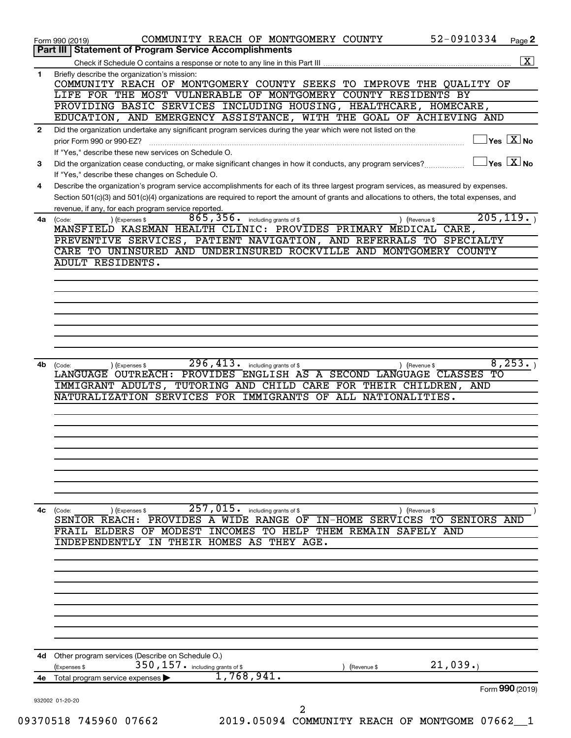|              | 52-0910334<br>COMMUNITY REACH OF MONTGOMERY COUNTY<br>Page 2<br>Form 990 (2019)                                                                                                                                        |
|--------------|------------------------------------------------------------------------------------------------------------------------------------------------------------------------------------------------------------------------|
|              | <b>Part III   Statement of Program Service Accomplishments</b>                                                                                                                                                         |
|              | $\overline{\mathbf{X}}$                                                                                                                                                                                                |
| 1            | Briefly describe the organization's mission:<br>COMMUNITY REACH OF MONTGOMERY COUNTY SEEKS TO IMPROVE THE QUALITY OF                                                                                                   |
|              | LIFE FOR THE MOST VULNERABLE OF MONTGOMERY COUNTY RESIDENTS BY                                                                                                                                                         |
|              | PROVIDING BASIC SERVICES INCLUDING HOUSING, HEALTHCARE, HOMECARE,                                                                                                                                                      |
|              | EDUCATION, AND EMERGENCY ASSISTANCE, WITH THE GOAL OF ACHIEVING AND                                                                                                                                                    |
| $\mathbf{2}$ | Did the organization undertake any significant program services during the year which were not listed on the                                                                                                           |
|              | $\vert$ Yes $\vert$ $\overline{\mathrm{X}}$ No<br>prior Form 990 or 990-EZ?                                                                                                                                            |
| 3            | If "Yes," describe these new services on Schedule O.<br>$\overline{\ }$ Yes $\overline{\ \text{X}}$ No<br>Did the organization cease conducting, or make significant changes in how it conducts, any program services? |
|              | If "Yes," describe these changes on Schedule O.                                                                                                                                                                        |
| 4            | Describe the organization's program service accomplishments for each of its three largest program services, as measured by expenses.                                                                                   |
|              | Section 501(c)(3) and 501(c)(4) organizations are required to report the amount of grants and allocations to others, the total expenses, and                                                                           |
|              | revenue, if any, for each program service reported.                                                                                                                                                                    |
| 4а           | 205, 119.<br>865, 356. including grants of \$<br>) (Expenses \$<br>) (Revenue \$<br>(Code:<br>MANSFIELD KASEMAN HEALTH CLINIC: PROVIDES PRIMARY MEDICAL CARE,                                                          |
|              | PREVENTIVE SERVICES, PATIENT NAVIGATION, AND REFERRALS TO SPECIALTY                                                                                                                                                    |
|              | CARE TO UNINSURED AND UNDERINSURED ROCKVILLE AND MONTGOMERY COUNTY                                                                                                                                                     |
|              | <b>ADULT RESIDENTS.</b>                                                                                                                                                                                                |
|              |                                                                                                                                                                                                                        |
|              |                                                                                                                                                                                                                        |
|              |                                                                                                                                                                                                                        |
|              |                                                                                                                                                                                                                        |
|              |                                                                                                                                                                                                                        |
|              |                                                                                                                                                                                                                        |
|              |                                                                                                                                                                                                                        |
| 4b           | 8, 253.<br>296,413.<br>including grants of \$<br>) (Revenue \$<br>(Expenses \$<br>(Code:                                                                                                                               |
|              | LANGUAGE OUTREACH: PROVIDES ENGLISH AS A SECOND LANGUAGE CLASSES TO                                                                                                                                                    |
|              | IMMIGRANT ADULTS, TUTORING AND CHILD CARE FOR THEIR CHILDREN, AND                                                                                                                                                      |
|              | NATURALIZATION SERVICES FOR IMMIGRANTS OF ALL NATIONALITIES.                                                                                                                                                           |
|              |                                                                                                                                                                                                                        |
|              |                                                                                                                                                                                                                        |
|              |                                                                                                                                                                                                                        |
|              |                                                                                                                                                                                                                        |
|              |                                                                                                                                                                                                                        |
|              |                                                                                                                                                                                                                        |
|              |                                                                                                                                                                                                                        |
|              |                                                                                                                                                                                                                        |
| 4c           | $257$ , 015. including grants of \$<br>(Code:<br>(Expenses \$<br>) (Revenue \$<br>SENIOR REACH: PROVIDES A WIDE RANGE OF IN-HOME SERVICES TO SENIORS AND                                                               |
|              | FRAIL ELDERS OF MODEST INCOMES TO HELP THEM REMAIN SAFELY AND                                                                                                                                                          |
|              | THEIR HOMES AS THEY AGE.<br>INDEPENDENTLY<br>τN                                                                                                                                                                        |
|              |                                                                                                                                                                                                                        |
|              |                                                                                                                                                                                                                        |
|              |                                                                                                                                                                                                                        |
|              |                                                                                                                                                                                                                        |
|              |                                                                                                                                                                                                                        |
|              |                                                                                                                                                                                                                        |
|              |                                                                                                                                                                                                                        |
|              |                                                                                                                                                                                                                        |
| 4d -         | Other program services (Describe on Schedule O.)                                                                                                                                                                       |
|              | 21,039.<br>350, 157. including grants of \$<br>(Expenses \$<br>(Revenue \$                                                                                                                                             |
| 4е           | 1,768,941.<br>Total program service expenses                                                                                                                                                                           |
|              |                                                                                                                                                                                                                        |
|              | Form 990 (2019)                                                                                                                                                                                                        |
|              | 932002 01-20-20<br>2                                                                                                                                                                                                   |

09370518 745960 07662 2019.05094 COMMUNITY REACH OF MONTGOME 07662\_1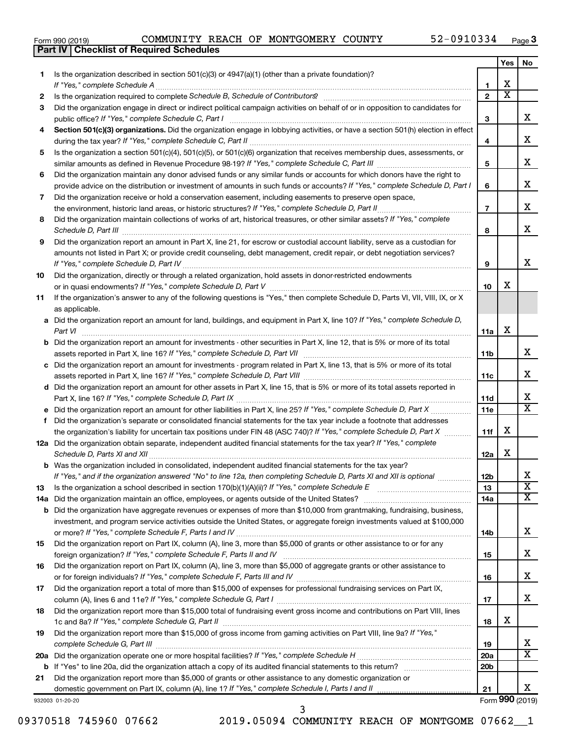|  | Form 990 (2019) |
|--|-----------------|
|  |                 |

**Part IV Checklist of Required Schedules**

|    |                                                                                                                                                                                                                                                           |                 | Yes                   | No                           |
|----|-----------------------------------------------------------------------------------------------------------------------------------------------------------------------------------------------------------------------------------------------------------|-----------------|-----------------------|------------------------------|
| 1  | Is the organization described in section $501(c)(3)$ or $4947(a)(1)$ (other than a private foundation)?                                                                                                                                                   |                 |                       |                              |
|    | If "Yes," complete Schedule A                                                                                                                                                                                                                             | 1               | х                     |                              |
| 2  | Is the organization required to complete Schedule B, Schedule of Contributors? [11] The organization required to complete Schedule B, Schedule of Contributors?                                                                                           | $\overline{2}$  | $\overline{\text{x}}$ |                              |
| 3  | Did the organization engage in direct or indirect political campaign activities on behalf of or in opposition to candidates for                                                                                                                           |                 |                       |                              |
|    | public office? If "Yes," complete Schedule C, Part I                                                                                                                                                                                                      | 3               |                       | х                            |
| 4  | Section 501(c)(3) organizations. Did the organization engage in lobbying activities, or have a section 501(h) election in effect                                                                                                                          | 4               |                       | х                            |
| 5  | Is the organization a section 501(c)(4), 501(c)(5), or 501(c)(6) organization that receives membership dues, assessments, or                                                                                                                              |                 |                       |                              |
|    |                                                                                                                                                                                                                                                           | 5               |                       | х                            |
| 6  | Did the organization maintain any donor advised funds or any similar funds or accounts for which donors have the right to<br>provide advice on the distribution or investment of amounts in such funds or accounts? If "Yes," complete Schedule D, Part I | 6               |                       | X.                           |
| 7  | Did the organization receive or hold a conservation easement, including easements to preserve open space,                                                                                                                                                 |                 |                       |                              |
|    | the environment, historic land areas, or historic structures? If "Yes," complete Schedule D, Part II                                                                                                                                                      | $\overline{7}$  |                       | х                            |
| 8  | Did the organization maintain collections of works of art, historical treasures, or other similar assets? If "Yes," complete                                                                                                                              |                 |                       |                              |
|    |                                                                                                                                                                                                                                                           | 8               |                       | х                            |
| 9  | Did the organization report an amount in Part X, line 21, for escrow or custodial account liability, serve as a custodian for                                                                                                                             |                 |                       |                              |
|    | amounts not listed in Part X; or provide credit counseling, debt management, credit repair, or debt negotiation services?                                                                                                                                 | 9               |                       | х                            |
| 10 | Did the organization, directly or through a related organization, hold assets in donor-restricted endowments                                                                                                                                              |                 |                       |                              |
|    |                                                                                                                                                                                                                                                           | 10              | х                     |                              |
| 11 | If the organization's answer to any of the following questions is "Yes," then complete Schedule D, Parts VI, VII, VIII, IX, or X<br>as applicable.                                                                                                        |                 |                       |                              |
|    | a Did the organization report an amount for land, buildings, and equipment in Part X, line 10? If "Yes," complete Schedule D,                                                                                                                             |                 |                       |                              |
|    | Part VI                                                                                                                                                                                                                                                   | 11a             | х                     |                              |
|    | <b>b</b> Did the organization report an amount for investments - other securities in Part X, line 12, that is 5% or more of its total                                                                                                                     |                 |                       |                              |
|    |                                                                                                                                                                                                                                                           | 11b             |                       | х                            |
|    | c Did the organization report an amount for investments - program related in Part X, line 13, that is 5% or more of its total                                                                                                                             |                 |                       |                              |
|    |                                                                                                                                                                                                                                                           | 11c             |                       | х                            |
|    | d Did the organization report an amount for other assets in Part X, line 15, that is 5% or more of its total assets reported in                                                                                                                           |                 |                       | x                            |
|    |                                                                                                                                                                                                                                                           | 11d             |                       | $\overline{\texttt{x}}$      |
| f  | Did the organization's separate or consolidated financial statements for the tax year include a footnote that addresses                                                                                                                                   | 11e             |                       |                              |
|    | the organization's liability for uncertain tax positions under FIN 48 (ASC 740)? If "Yes," complete Schedule D, Part X                                                                                                                                    | 11f             | х                     |                              |
|    | 12a Did the organization obtain separate, independent audited financial statements for the tax year? If "Yes," complete                                                                                                                                   |                 |                       |                              |
|    | Schedule D, Parts XI and XII                                                                                                                                                                                                                              | 12a             | х                     |                              |
|    | <b>b</b> Was the organization included in consolidated, independent audited financial statements for the tax year?                                                                                                                                        |                 |                       |                              |
|    | If "Yes," and if the organization answered "No" to line 12a, then completing Schedule D, Parts XI and XII is optional <i>www.</i>                                                                                                                         | 12b             |                       | ∡⊾                           |
| 13 | Is the organization a school described in section $170(b)(1)(A)(ii)$ ? If "Yes," complete Schedule E                                                                                                                                                      | 13              |                       | $\overline{\text{x}}$        |
|    | 14a Did the organization maintain an office, employees, or agents outside of the United States?                                                                                                                                                           | 14a             |                       | $\overline{\mathtt{x}}$      |
|    | <b>b</b> Did the organization have aggregate revenues or expenses of more than \$10,000 from grantmaking, fundraising, business,                                                                                                                          |                 |                       |                              |
|    | investment, and program service activities outside the United States, or aggregate foreign investments valued at \$100,000                                                                                                                                |                 |                       |                              |
|    |                                                                                                                                                                                                                                                           | 14b             |                       | X.                           |
| 15 | Did the organization report on Part IX, column (A), line 3, more than \$5,000 of grants or other assistance to or for any                                                                                                                                 | 15              |                       | x                            |
| 16 | Did the organization report on Part IX, column (A), line 3, more than \$5,000 of aggregate grants or other assistance to                                                                                                                                  |                 |                       |                              |
|    |                                                                                                                                                                                                                                                           | 16              |                       | X.                           |
| 17 | Did the organization report a total of more than \$15,000 of expenses for professional fundraising services on Part IX,                                                                                                                                   |                 |                       |                              |
|    |                                                                                                                                                                                                                                                           | 17              |                       | x                            |
| 18 | Did the organization report more than \$15,000 total of fundraising event gross income and contributions on Part VIII, lines                                                                                                                              |                 |                       |                              |
|    |                                                                                                                                                                                                                                                           | 18              | х                     |                              |
| 19 | Did the organization report more than \$15,000 of gross income from gaming activities on Part VIII, line 9a? If "Yes,"                                                                                                                                    |                 |                       |                              |
|    |                                                                                                                                                                                                                                                           | 19              |                       | x<br>$\overline{\texttt{x}}$ |
|    |                                                                                                                                                                                                                                                           | 20a             |                       |                              |
| 21 | Did the organization report more than \$5,000 of grants or other assistance to any domestic organization or                                                                                                                                               | 20 <sub>b</sub> |                       |                              |
|    | domestic government on Part IX, column (A), line 1? If "Yes," complete Schedule I, Parts I and II                                                                                                                                                         | 21              |                       | х                            |
|    | 932003 01-20-20                                                                                                                                                                                                                                           |                 |                       | Form 990 (2019)              |

932003 01-20-20

09370518 745960 07662 2019.05094 COMMUNITY REACH OF MONTGOME 07662\_1

3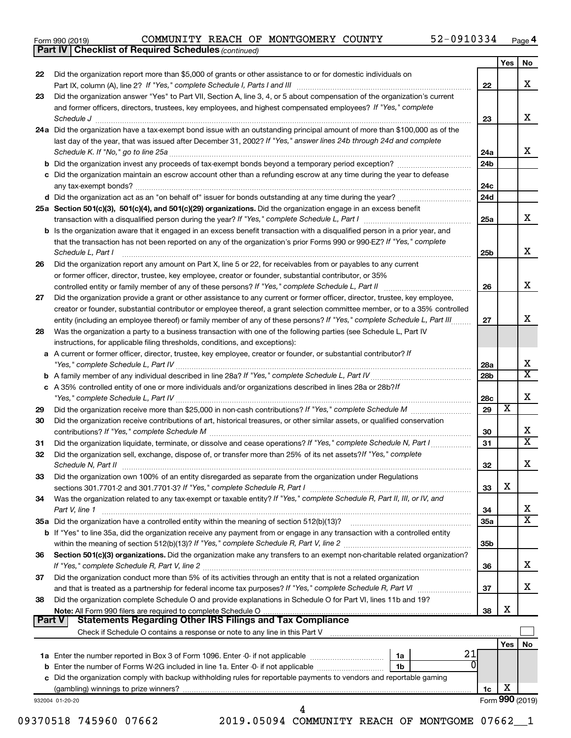| Form 990 (2019) |  |
|-----------------|--|
|-----------------|--|

*(continued)* **Part IV Checklist of Required Schedules**

|               |                                                                                                                                     |                 | Yes             | No                      |
|---------------|-------------------------------------------------------------------------------------------------------------------------------------|-----------------|-----------------|-------------------------|
| 22            | Did the organization report more than \$5,000 of grants or other assistance to or for domestic individuals on                       |                 |                 |                         |
|               |                                                                                                                                     | 22              |                 | x                       |
| 23            | Did the organization answer "Yes" to Part VII, Section A, line 3, 4, or 5 about compensation of the organization's current          |                 |                 |                         |
|               | and former officers, directors, trustees, key employees, and highest compensated employees? If "Yes," complete                      |                 |                 |                         |
|               | Schedule J                                                                                                                          | 23              |                 | x                       |
|               | 24a Did the organization have a tax-exempt bond issue with an outstanding principal amount of more than \$100,000 as of the         |                 |                 |                         |
|               | last day of the year, that was issued after December 31, 2002? If "Yes," answer lines 24b through 24d and complete                  |                 |                 |                         |
|               | Schedule K. If "No," go to line 25a                                                                                                 | 24a             |                 | x                       |
|               | <b>b</b> Did the organization invest any proceeds of tax-exempt bonds beyond a temporary period exception?                          | 24 <sub>b</sub> |                 |                         |
|               | c Did the organization maintain an escrow account other than a refunding escrow at any time during the year to defease              |                 |                 |                         |
|               | any tax-exempt bonds?                                                                                                               | 24c             |                 |                         |
|               | d Did the organization act as an "on behalf of" issuer for bonds outstanding at any time during the year?                           | 24d             |                 |                         |
|               | 25a Section 501(c)(3), 501(c)(4), and 501(c)(29) organizations. Did the organization engage in an excess benefit                    |                 |                 |                         |
|               |                                                                                                                                     | 25a             |                 | x                       |
|               | <b>b</b> Is the organization aware that it engaged in an excess benefit transaction with a disqualified person in a prior year, and |                 |                 |                         |
|               | that the transaction has not been reported on any of the organization's prior Forms 990 or 990-EZ? If "Yes," complete               |                 |                 |                         |
|               | Schedule L, Part I                                                                                                                  | 25b             |                 | х                       |
| 26            | Did the organization report any amount on Part X, line 5 or 22, for receivables from or payables to any current                     |                 |                 |                         |
|               | or former officer, director, trustee, key employee, creator or founder, substantial contributor, or 35%                             |                 |                 |                         |
|               | controlled entity or family member of any of these persons? If "Yes," complete Schedule L, Part II                                  | 26              |                 | х                       |
| 27            | Did the organization provide a grant or other assistance to any current or former officer, director, trustee, key employee,         |                 |                 |                         |
|               | creator or founder, substantial contributor or employee thereof, a grant selection committee member, or to a 35% controlled         |                 |                 | x                       |
|               | entity (including an employee thereof) or family member of any of these persons? If "Yes," complete Schedule L, Part III            | 27              |                 |                         |
| 28            | Was the organization a party to a business transaction with one of the following parties (see Schedule L, Part IV                   |                 |                 |                         |
|               | instructions, for applicable filing thresholds, conditions, and exceptions):                                                        |                 |                 |                         |
|               | a A current or former officer, director, trustee, key employee, creator or founder, or substantial contributor? If                  |                 |                 | х                       |
|               |                                                                                                                                     | 28a             |                 | $\mathbf x$             |
|               |                                                                                                                                     | 28 <sub>b</sub> |                 |                         |
|               | c A 35% controlled entity of one or more individuals and/or organizations described in lines 28a or 28b?If                          |                 |                 | х                       |
|               |                                                                                                                                     | 28c<br>29       | х               |                         |
| 29<br>30      | Did the organization receive contributions of art, historical treasures, or other similar assets, or qualified conservation         |                 |                 |                         |
|               |                                                                                                                                     | 30              |                 | x                       |
| 31            | Did the organization liquidate, terminate, or dissolve and cease operations? If "Yes," complete Schedule N, Part I                  | 31              |                 | $\overline{\mathbf{X}}$ |
| 32            | Did the organization sell, exchange, dispose of, or transfer more than 25% of its net assets? If "Yes," complete                    |                 |                 |                         |
|               | Schedule N, Part II                                                                                                                 | 32              |                 | х                       |
| 33            | Did the organization own 100% of an entity disregarded as separate from the organization under Regulations                          |                 |                 |                         |
|               |                                                                                                                                     | 33              | X               |                         |
| 34            | Was the organization related to any tax-exempt or taxable entity? If "Yes," complete Schedule R, Part II, III, or IV, and           |                 |                 |                         |
|               | Part V, line 1                                                                                                                      | 34              |                 | x                       |
|               |                                                                                                                                     | <b>35a</b>      |                 | $\overline{\mathbf{X}}$ |
|               | b If "Yes" to line 35a, did the organization receive any payment from or engage in any transaction with a controlled entity         |                 |                 |                         |
|               |                                                                                                                                     | 35 <sub>b</sub> |                 |                         |
| 36            | Section 501(c)(3) organizations. Did the organization make any transfers to an exempt non-charitable related organization?          |                 |                 |                         |
|               |                                                                                                                                     | 36              |                 | x                       |
| 37            | Did the organization conduct more than 5% of its activities through an entity that is not a related organization                    |                 |                 |                         |
|               | and that is treated as a partnership for federal income tax purposes? If "Yes," complete Schedule R, Part VI                        | 37              |                 | x                       |
| 38            | Did the organization complete Schedule O and provide explanations in Schedule O for Part VI, lines 11b and 19?                      |                 |                 |                         |
|               |                                                                                                                                     | 38              | X               |                         |
| <b>Part V</b> | <b>Statements Regarding Other IRS Filings and Tax Compliance</b>                                                                    |                 |                 |                         |
|               |                                                                                                                                     |                 |                 |                         |
|               |                                                                                                                                     |                 | Yes             | No                      |
|               | 21<br>1a                                                                                                                            |                 |                 |                         |
|               | <sup>0</sup><br>b Enter the number of Forms W-2G included in line 1a. Enter -0- if not applicable<br>1b                             |                 |                 |                         |
|               | c Did the organization comply with backup withholding rules for reportable payments to vendors and reportable gaming                |                 |                 |                         |
|               |                                                                                                                                     | 1c              | х               |                         |
|               | 932004 01-20-20                                                                                                                     |                 | Form 990 (2019) |                         |
|               |                                                                                                                                     |                 |                 |                         |

09370518 745960 07662 2019.05094 COMMUNITY REACH OF MONTGOME 07662\_1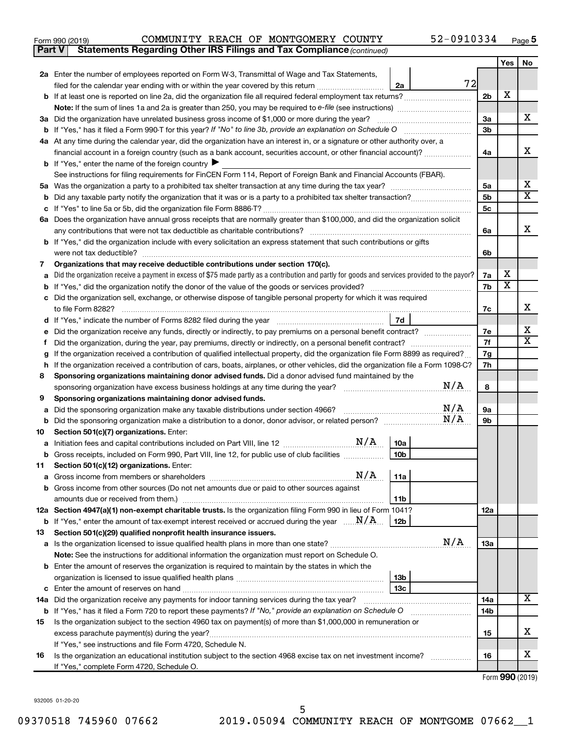| Form 990 (2019) |  |  | COMMUNITY REACH OF MONTGOMERY COUNTY                                                | 52-0910334 | Page |
|-----------------|--|--|-------------------------------------------------------------------------------------|------------|------|
|                 |  |  | <b>Part V</b> Statements Regarding Other IRS Filings and Tax Compliance (continued) |            |      |

|         |                                                                                                                                                                                                                                     |                      | Yes                     | No                      |
|---------|-------------------------------------------------------------------------------------------------------------------------------------------------------------------------------------------------------------------------------------|----------------------|-------------------------|-------------------------|
|         | 2a Enter the number of employees reported on Form W-3, Transmittal of Wage and Tax Statements,                                                                                                                                      |                      |                         |                         |
|         | 72<br>filed for the calendar year ending with or within the year covered by this return <i>[[[[[[[[[[[[[]]]</i> ]]<br>2a                                                                                                            |                      |                         |                         |
| b       | If at least one is reported on line 2a, did the organization file all required federal employment tax returns?                                                                                                                      | 2 <sub>b</sub>       | X                       |                         |
|         |                                                                                                                                                                                                                                     |                      |                         |                         |
| За      | Did the organization have unrelated business gross income of \$1,000 or more during the year?                                                                                                                                       | 3a                   |                         | x                       |
|         |                                                                                                                                                                                                                                     | 3b                   |                         |                         |
|         | 4a At any time during the calendar year, did the organization have an interest in, or a signature or other authority over, a                                                                                                        |                      |                         |                         |
|         | financial account in a foreign country (such as a bank account, securities account, or other financial account)?                                                                                                                    | 4a                   |                         | x                       |
|         | <b>b</b> If "Yes," enter the name of the foreign country                                                                                                                                                                            |                      |                         |                         |
|         | See instructions for filing requirements for FinCEN Form 114, Report of Foreign Bank and Financial Accounts (FBAR).                                                                                                                 |                      |                         | х                       |
| 5a      |                                                                                                                                                                                                                                     | 5a<br>5 <sub>b</sub> |                         | $\overline{\textbf{X}}$ |
| b       |                                                                                                                                                                                                                                     | 5 <sub>c</sub>       |                         |                         |
| с       | 6a Does the organization have annual gross receipts that are normally greater than \$100,000, and did the organization solicit                                                                                                      |                      |                         |                         |
|         | any contributions that were not tax deductible as charitable contributions?                                                                                                                                                         | 6а                   |                         | х                       |
| b       | If "Yes," did the organization include with every solicitation an express statement that such contributions or gifts                                                                                                                |                      |                         |                         |
|         | were not tax deductible?                                                                                                                                                                                                            | 6b                   |                         |                         |
| 7       | Organizations that may receive deductible contributions under section 170(c).                                                                                                                                                       |                      |                         |                         |
| a       | Did the organization receive a payment in excess of \$75 made partly as a contribution and partly for goods and services provided to the payor?                                                                                     | 7а                   | х                       |                         |
| b       |                                                                                                                                                                                                                                     | 7b                   | $\overline{\textbf{x}}$ |                         |
| c       | Did the organization sell, exchange, or otherwise dispose of tangible personal property for which it was required                                                                                                                   |                      |                         |                         |
|         | to file Form 8282?                                                                                                                                                                                                                  | 7c                   |                         | x                       |
| d       | 7d<br>If "Yes," indicate the number of Forms 8282 filed during the year manufacture in the way to the number of Forms 8282 filed during the year                                                                                    |                      |                         |                         |
| е       | Did the organization receive any funds, directly or indirectly, to pay premiums on a personal benefit contract?                                                                                                                     | 7е                   |                         | х                       |
| f       |                                                                                                                                                                                                                                     | 7f                   |                         | х                       |
| g       | If the organization received a contribution of qualified intellectual property, did the organization file Form 8899 as required?                                                                                                    | 7g                   |                         |                         |
| h       | If the organization received a contribution of cars, boats, airplanes, or other vehicles, did the organization file a Form 1098-C?                                                                                                  | 7h                   |                         |                         |
| 8       | Sponsoring organizations maintaining donor advised funds. Did a donor advised fund maintained by the                                                                                                                                |                      |                         |                         |
|         | N/A<br>sponsoring organization have excess business holdings at any time during the year?                                                                                                                                           | 8                    |                         |                         |
| 9       | Sponsoring organizations maintaining donor advised funds.<br>N/A                                                                                                                                                                    |                      |                         |                         |
| а       | Did the sponsoring organization make any taxable distributions under section 4966?<br>N/A                                                                                                                                           | <b>9a</b><br>9b      |                         |                         |
| b<br>10 | Section 501(c)(7) organizations. Enter:                                                                                                                                                                                             |                      |                         |                         |
| а       | 10a                                                                                                                                                                                                                                 |                      |                         |                         |
| b       | 10 <sub>b</sub><br>Gross receipts, included on Form 990, Part VIII, line 12, for public use of club facilities                                                                                                                      |                      |                         |                         |
| 11      | Section 501(c)(12) organizations. Enter:                                                                                                                                                                                            |                      |                         |                         |
|         |                                                                                                                                                                                                                                     |                      |                         |                         |
|         | Gross income from other sources (Do not net amounts due or paid to other sources against                                                                                                                                            |                      |                         |                         |
|         | 11 <sub>b</sub><br>amounts due or received from them.)                                                                                                                                                                              |                      |                         |                         |
|         | 12a Section 4947(a)(1) non-exempt charitable trusts. Is the organization filing Form 990 in lieu of Form 1041?                                                                                                                      | 12a                  |                         |                         |
|         | <b>b</b> If "Yes," enter the amount of tax-exempt interest received or accrued during the year $\ldots$ $N/A$ .<br>12 <sub>b</sub>                                                                                                  |                      |                         |                         |
| 13      | Section 501(c)(29) qualified nonprofit health insurance issuers.                                                                                                                                                                    |                      |                         |                         |
|         | N/A                                                                                                                                                                                                                                 | 13a                  |                         |                         |
|         | Note: See the instructions for additional information the organization must report on Schedule O.                                                                                                                                   |                      |                         |                         |
|         | <b>b</b> Enter the amount of reserves the organization is required to maintain by the states in which the                                                                                                                           |                      |                         |                         |
|         | 13 <sub>b</sub>                                                                                                                                                                                                                     |                      |                         |                         |
| с       | 13 <sub>c</sub>                                                                                                                                                                                                                     |                      |                         | х                       |
|         | 14a Did the organization receive any payments for indoor tanning services during the tax year?                                                                                                                                      | 14a                  |                         |                         |
|         | <b>b</b> If "Yes," has it filed a Form 720 to report these payments? If "No," provide an explanation on Schedule O<br>Is the organization subject to the section 4960 tax on payment(s) of more than \$1,000,000 in remuneration or | 14b                  |                         |                         |
| 15      |                                                                                                                                                                                                                                     | 15                   |                         | х                       |
|         | If "Yes," see instructions and file Form 4720, Schedule N.                                                                                                                                                                          |                      |                         |                         |
| 16      | Is the organization an educational institution subject to the section 4968 excise tax on net investment income?                                                                                                                     | 16                   |                         | х                       |
|         | If "Yes," complete Form 4720, Schedule O.                                                                                                                                                                                           |                      |                         |                         |

Form (2019) **990**

932005 01-20-20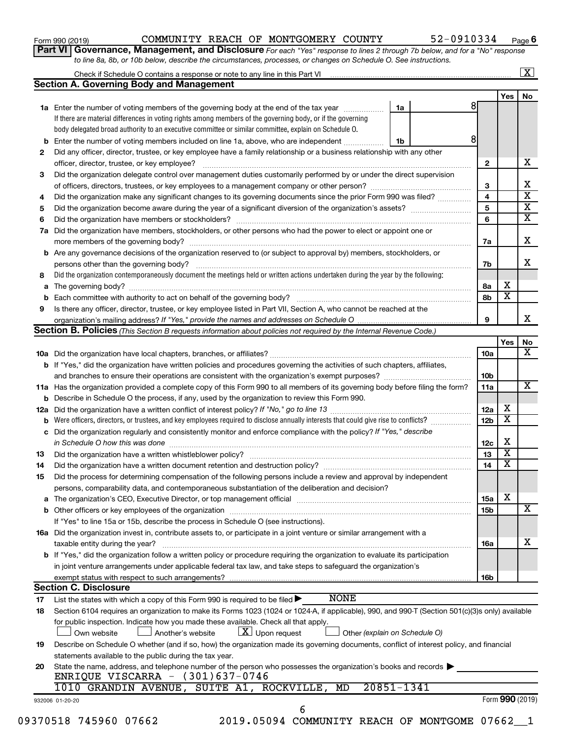| Form 990 (2019) |  |
|-----------------|--|
|-----------------|--|

Form 990 (2019)  $\begin{array}{cccc} \text{COMMUNITY} \end{array}$  REACH OF MONTGOMERY COUNTY  $\begin{array}{cccc} \text{S2-0910334} \end{array}$   $_{\text{Page}}$ 

**Part VI** Governance, Management, and Disclosure For each "Yes" response to lines 2 through 7b below, and for a "No" response *to line 8a, 8b, or 10b below, describe the circumstances, processes, or changes on Schedule O. See instructions.*

|    |                                                                                                                                                  |            |                         |                         | $\mathbf{X}$            |  |  |
|----|--------------------------------------------------------------------------------------------------------------------------------------------------|------------|-------------------------|-------------------------|-------------------------|--|--|
|    | <b>Section A. Governing Body and Management</b>                                                                                                  |            |                         |                         |                         |  |  |
|    |                                                                                                                                                  |            |                         | Yes                     | No                      |  |  |
|    | <b>1a</b> Enter the number of voting members of the governing body at the end of the tax year                                                    | 1a         | 8                       |                         |                         |  |  |
|    | If there are material differences in voting rights among members of the governing body, or if the governing                                      |            |                         |                         |                         |  |  |
|    | body delegated broad authority to an executive committee or similar committee, explain on Schedule O.                                            |            |                         |                         |                         |  |  |
|    | <b>b</b> Enter the number of voting members included on line 1a, above, who are independent                                                      | 1b         | 8                       |                         |                         |  |  |
| 2  | Did any officer, director, trustee, or key employee have a family relationship or a business relationship with any other                         |            |                         |                         |                         |  |  |
|    | officer, director, trustee, or key employee?                                                                                                     |            | $\mathbf{2}$            |                         | x                       |  |  |
| З  | Did the organization delegate control over management duties customarily performed by or under the direct supervision                            |            |                         |                         |                         |  |  |
|    |                                                                                                                                                  |            |                         |                         |                         |  |  |
| 4  | Did the organization make any significant changes to its governing documents since the prior Form 990 was filed?                                 |            | $\overline{\mathbf{4}}$ |                         | $\overline{\text{x}}$   |  |  |
| 5  |                                                                                                                                                  |            | 5                       |                         | $\overline{\textbf{X}}$ |  |  |
| 6  |                                                                                                                                                  |            | 6                       |                         | $\overline{\mathtt{x}}$ |  |  |
|    | 7a Did the organization have members, stockholders, or other persons who had the power to elect or appoint one or                                |            |                         |                         |                         |  |  |
|    |                                                                                                                                                  |            | 7a                      |                         | х                       |  |  |
|    | <b>b</b> Are any governance decisions of the organization reserved to (or subject to approval by) members, stockholders, or                      |            |                         |                         |                         |  |  |
|    | persons other than the governing body?                                                                                                           |            | 7b                      |                         | X                       |  |  |
| 8  | Did the organization contemporaneously document the meetings held or written actions undertaken during the year by the following:                |            |                         |                         |                         |  |  |
|    |                                                                                                                                                  |            | 8а                      | х                       |                         |  |  |
| b  |                                                                                                                                                  |            | 8b                      | $\overline{\textbf{x}}$ |                         |  |  |
| 9  | Is there any officer, director, trustee, or key employee listed in Part VII, Section A, who cannot be reached at the                             |            |                         |                         |                         |  |  |
|    |                                                                                                                                                  |            | 9                       |                         | x                       |  |  |
|    | <b>Section B. Policies</b> (This Section B requests information about policies not required by the Internal Revenue Code.)                       |            |                         |                         |                         |  |  |
|    |                                                                                                                                                  |            |                         | Yes                     | No                      |  |  |
|    |                                                                                                                                                  |            | 10a                     |                         | $\overline{\mathbf{X}}$ |  |  |
|    | b If "Yes," did the organization have written policies and procedures governing the activities of such chapters, affiliates,                     |            |                         |                         |                         |  |  |
|    |                                                                                                                                                  |            | 10 <sub>b</sub>         |                         |                         |  |  |
|    | 11a Has the organization provided a complete copy of this Form 990 to all members of its governing body before filing the form?                  |            | 11a                     |                         | $\overline{\mathbf{X}}$ |  |  |
|    | <b>b</b> Describe in Schedule O the process, if any, used by the organization to review this Form 990.                                           |            |                         |                         |                         |  |  |
|    |                                                                                                                                                  |            | 12a                     | х                       |                         |  |  |
|    | <b>b</b> Were officers, directors, or trustees, and key employees required to disclose annually interests that could give rise to conflicts?     |            | 12 <sub>b</sub>         | $\overline{\mathbf{x}}$ |                         |  |  |
|    | c Did the organization regularly and consistently monitor and enforce compliance with the policy? If "Yes," describe                             |            |                         |                         |                         |  |  |
|    | in Schedule O how this was done manufactured and a state of the state of the state of the state of the state o                                   |            | 12c                     | х                       |                         |  |  |
| 13 | Did the organization have a written whistleblower policy?                                                                                        |            | 13                      | $\overline{\textbf{x}}$ |                         |  |  |
| 14 | Did the organization have a written document retention and destruction policy? [11] manufaction manufaction in                                   |            | 14                      | $\overline{\textbf{x}}$ |                         |  |  |
| 15 | Did the process for determining compensation of the following persons include a review and approval by independent                               |            |                         |                         |                         |  |  |
|    | persons, comparability data, and contemporaneous substantiation of the deliberation and decision?                                                |            |                         |                         |                         |  |  |
|    |                                                                                                                                                  |            | 15a                     | X                       |                         |  |  |
|    | <b>b</b> Other officers or key employees of the organization                                                                                     |            | 15b                     |                         | X                       |  |  |
|    | If "Yes" to line 15a or 15b, describe the process in Schedule O (see instructions).                                                              |            |                         |                         |                         |  |  |
|    | 16a Did the organization invest in, contribute assets to, or participate in a joint venture or similar arrangement with a                        |            |                         |                         |                         |  |  |
|    | taxable entity during the year?                                                                                                                  |            | 16a                     |                         | х                       |  |  |
|    | <b>b</b> If "Yes," did the organization follow a written policy or procedure requiring the organization to evaluate its participation            |            |                         |                         |                         |  |  |
|    | in joint venture arrangements under applicable federal tax law, and take steps to safeguard the organization's                                   |            |                         |                         |                         |  |  |
|    | exempt status with respect to such arrangements?                                                                                                 |            | 16b                     |                         |                         |  |  |
|    | <b>Section C. Disclosure</b>                                                                                                                     |            |                         |                         |                         |  |  |
| 17 | <b>NONE</b><br>List the states with which a copy of this Form 990 is required to be filed $\blacktriangleright$                                  |            |                         |                         |                         |  |  |
| 18 | Section 6104 requires an organization to make its Forms 1023 (1024 or 1024-A, if applicable), 990, and 990-T (Section 501(c)(3)s only) available |            |                         |                         |                         |  |  |
|    | for public inspection. Indicate how you made these available. Check all that apply.                                                              |            |                         |                         |                         |  |  |
|    | $\lfloor x \rfloor$ Upon request<br>Own website<br>Another's website<br>Other (explain on Schedule O)                                            |            |                         |                         |                         |  |  |
| 19 | Describe on Schedule O whether (and if so, how) the organization made its governing documents, conflict of interest policy, and financial        |            |                         |                         |                         |  |  |
|    | statements available to the public during the tax year.                                                                                          |            |                         |                         |                         |  |  |
| 20 | State the name, address, and telephone number of the person who possesses the organization's books and records                                   |            |                         |                         |                         |  |  |
|    | ENRIQUE VISCARRA - (301)637-0746                                                                                                                 |            |                         |                         |                         |  |  |
|    | 1010 GRANDIN AVENUE, SUITE A1, ROCKVILLE,<br>MD                                                                                                  | 20851-1341 |                         |                         |                         |  |  |
|    | 932006 01-20-20                                                                                                                                  |            |                         |                         | Form 990 (2019)         |  |  |
|    | 6                                                                                                                                                |            |                         |                         |                         |  |  |

09370518 745960 07662 2019.05094 COMMUNITY REACH OF MONTGOME 07662\_1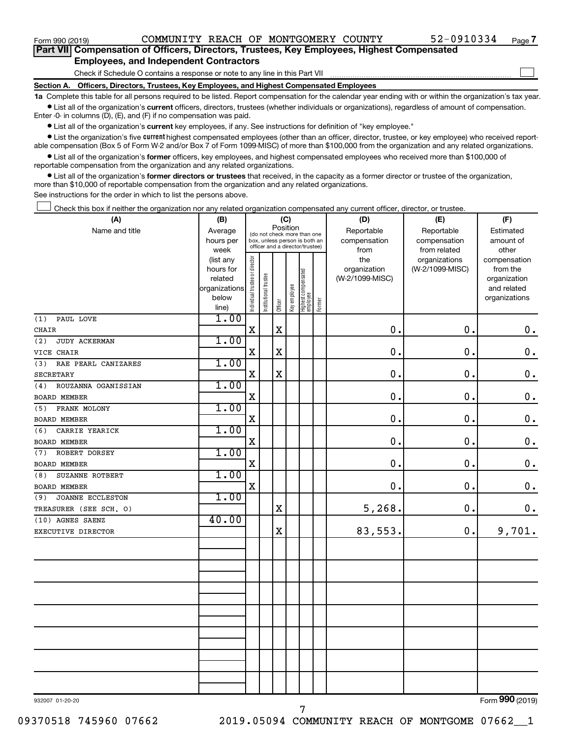$\Box$ 

| Part VII Compensation of Officers, Directors, Trustees, Key Employees, Highest Compensated |  |  |
|--------------------------------------------------------------------------------------------|--|--|
| <b>Employees, and Independent Contractors</b>                                              |  |  |

Check if Schedule O contains a response or note to any line in this Part VII

**Section A. Officers, Directors, Trustees, Key Employees, and Highest Compensated Employees**

**1a**  Complete this table for all persons required to be listed. Report compensation for the calendar year ending with or within the organization's tax year.  $\bullet$  List all of the organization's current officers, directors, trustees (whether individuals or organizations), regardless of amount of compensation.

Enter -0- in columns (D), (E), and (F) if no compensation was paid.

**•** List all of the organization's current key employees, if any. See instructions for definition of "key employee."

• List the organization's five *current* highest compensated employees (other than an officer, director, trustee, or key employee) who received reportable compensation (Box 5 of Form W-2 and/or Box 7 of Form 1099-MISC) of more than \$100,000 from the organization and any related organizations.

 $\bullet$  List all of the organization's former officers, key employees, and highest compensated employees who received more than \$100,000 of reportable compensation from the organization and any related organizations.

**•** List all of the organization's former directors or trustees that received, in the capacity as a former director or trustee of the organization, more than \$10,000 of reportable compensation from the organization and any related organizations.

See instructions for the order in which to list the persons above.

Check this box if neither the organization nor any related organization compensated any current officer, director, or trustee.  $\Box$ 

| (A)                            |                        | (C)<br>(B)                     |                                                                  | (D)         | (E)          | (F)                               |           |                     |                                  |                          |
|--------------------------------|------------------------|--------------------------------|------------------------------------------------------------------|-------------|--------------|-----------------------------------|-----------|---------------------|----------------------------------|--------------------------|
| Name and title                 | Average                |                                | Position<br>(do not check more than one                          |             | Reportable   | Reportable                        | Estimated |                     |                                  |                          |
|                                | hours per              |                                | box, unless person is both an<br>officer and a director/trustee) |             |              |                                   |           | compensation        | compensation                     | amount of                |
|                                | week                   |                                |                                                                  |             |              |                                   |           | from                | from related                     | other                    |
|                                | (list any<br>hours for |                                |                                                                  |             |              |                                   |           | the<br>organization | organizations<br>(W-2/1099-MISC) | compensation<br>from the |
|                                | related                |                                |                                                                  |             |              |                                   |           | (W-2/1099-MISC)     |                                  | organization             |
|                                | organizations          |                                |                                                                  |             |              |                                   |           |                     |                                  | and related              |
|                                | below                  | Individual trustee or director | Institutional trustee                                            |             | Key employee |                                   |           |                     |                                  | organizations            |
|                                | line)                  |                                |                                                                  | Officer     |              | Highest compensated<br>  employee | Former    |                     |                                  |                          |
| (1)<br>PAUL LOVE               | 1.00                   |                                |                                                                  |             |              |                                   |           |                     |                                  |                          |
| CHAIR                          |                        | X                              |                                                                  | $\mathbf X$ |              |                                   |           | $\mathbf 0$ .       | 0.                               | $\mathbf 0$ .            |
| (2)<br>JUDY ACKERMAN           | 1.00                   |                                |                                                                  |             |              |                                   |           |                     |                                  |                          |
| VICE CHAIR                     |                        | X                              |                                                                  | X           |              |                                   |           | $\mathbf 0$ .       | 0.                               | $\mathbf 0$ .            |
| RAE PEARL CANIZARES<br>(3)     | 1.00                   |                                |                                                                  |             |              |                                   |           |                     |                                  |                          |
| <b>SECRETARY</b>               |                        | $\mathbf X$                    |                                                                  | $\mathbf X$ |              |                                   |           | $\mathbf 0$ .       | 0.                               | $\mathbf 0$ .            |
| ROUZANNA OGANISSIAN<br>(4)     | 1.00                   |                                |                                                                  |             |              |                                   |           |                     |                                  |                          |
| BOARD MEMBER                   |                        | X                              |                                                                  |             |              |                                   |           | $\mathbf 0$ .       | 0.                               | $\mathbf 0$ .            |
| FRANK MOLONY<br>(5)            | 1.00                   |                                |                                                                  |             |              |                                   |           |                     |                                  |                          |
| BOARD MEMBER                   |                        | X                              |                                                                  |             |              |                                   |           | $\mathbf 0$ .       | 0.                               | $\mathbf 0$ .            |
| CARRIE YEARICK<br>(6)          | 1.00                   |                                |                                                                  |             |              |                                   |           |                     |                                  |                          |
| <b>BOARD MEMBER</b>            |                        | $\mathbf X$                    |                                                                  |             |              |                                   |           | $\mathbf 0$ .       | 0.                               | $\mathbf 0$ .            |
| ROBERT DORSEY<br>(7)           | 1.00                   |                                |                                                                  |             |              |                                   |           |                     |                                  |                          |
| <b>BOARD MEMBER</b>            |                        | $\mathbf X$                    |                                                                  |             |              |                                   |           | $\mathbf 0$ .       | $\mathbf 0$ .                    | $\mathbf 0$ .            |
| SUZANNE ROTBERT<br>(8)         | 1.00                   |                                |                                                                  |             |              |                                   |           |                     |                                  |                          |
| <b>BOARD MEMBER</b>            |                        | $\mathbf X$                    |                                                                  |             |              |                                   |           | $\mathbf 0$ .       | 0.                               | $\mathbf 0$ .            |
| <b>JOANNE ECCLESTON</b><br>(9) | 1.00                   |                                |                                                                  |             |              |                                   |           |                     |                                  |                          |
| TREASURER (SEE SCH. 0)         |                        |                                |                                                                  | $\mathbf X$ |              |                                   |           | 5,268.              | 0.                               | $0$ .                    |
| (10) AGNES SAENZ               | 40.00                  |                                |                                                                  |             |              |                                   |           |                     |                                  |                          |
| EXECUTIVE DIRECTOR             |                        |                                |                                                                  | $\rm X$     |              |                                   |           | 83,553.             | 0.                               | 9,701.                   |
|                                |                        |                                |                                                                  |             |              |                                   |           |                     |                                  |                          |
|                                |                        |                                |                                                                  |             |              |                                   |           |                     |                                  |                          |
|                                |                        |                                |                                                                  |             |              |                                   |           |                     |                                  |                          |
|                                |                        |                                |                                                                  |             |              |                                   |           |                     |                                  |                          |
|                                |                        |                                |                                                                  |             |              |                                   |           |                     |                                  |                          |
|                                |                        |                                |                                                                  |             |              |                                   |           |                     |                                  |                          |
|                                |                        |                                |                                                                  |             |              |                                   |           |                     |                                  |                          |
|                                |                        |                                |                                                                  |             |              |                                   |           |                     |                                  |                          |
|                                |                        |                                |                                                                  |             |              |                                   |           |                     |                                  |                          |
|                                |                        |                                |                                                                  |             |              |                                   |           |                     |                                  |                          |
|                                |                        |                                |                                                                  |             |              |                                   |           |                     |                                  |                          |
|                                |                        |                                |                                                                  |             |              |                                   |           |                     |                                  |                          |
|                                |                        |                                |                                                                  |             |              |                                   |           |                     |                                  |                          |
|                                |                        |                                |                                                                  |             |              |                                   |           |                     |                                  |                          |

932007 01-20-20

Form (2019) **990**

7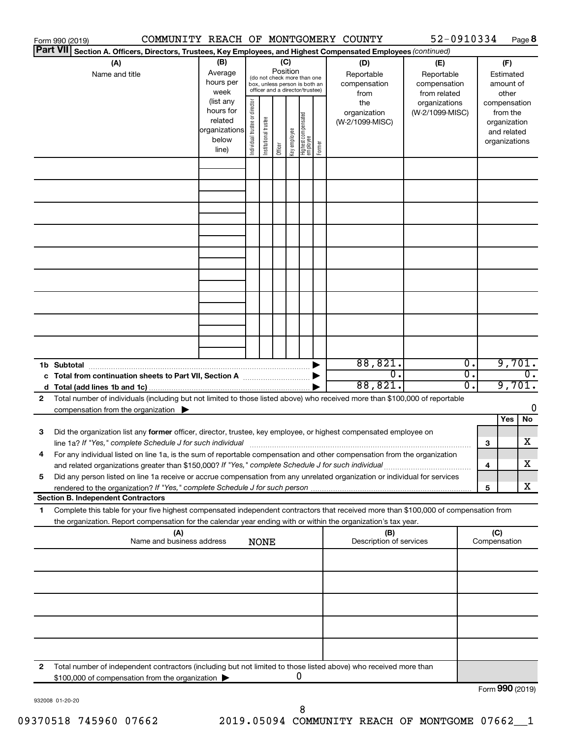|              | Form 990 (2019)                                                                                                                                                                                                                                        |                                  |                                     |                                |             |                                                                                                                    |              |                                   |        | COMMUNITY REACH OF MONTGOMERY COUNTY      | 52-0910334                                        |                                      |     |                                                                          | Page 8           |
|--------------|--------------------------------------------------------------------------------------------------------------------------------------------------------------------------------------------------------------------------------------------------------|----------------------------------|-------------------------------------|--------------------------------|-------------|--------------------------------------------------------------------------------------------------------------------|--------------|-----------------------------------|--------|-------------------------------------------|---------------------------------------------------|--------------------------------------|-----|--------------------------------------------------------------------------|------------------|
|              | Part VII Section A. Officers, Directors, Trustees, Key Employees, and Highest Compensated Employees (continued)                                                                                                                                        |                                  |                                     |                                |             |                                                                                                                    |              |                                   |        |                                           |                                                   |                                      |     |                                                                          |                  |
|              | (A)<br>Name and title                                                                                                                                                                                                                                  |                                  | (B)<br>Average<br>hours per<br>week | Individual trustee or director |             | (C)<br>Position<br>(do not check more than one<br>box, unless person is both an<br>officer and a director/trustee) |              |                                   |        | (D)<br>Reportable<br>compensation<br>from | (E)<br>Reportable<br>compensation<br>from related |                                      |     | (F)<br>Estimated<br>amount of<br>other                                   |                  |
|              | (list any<br>hours for<br>related<br>organizations<br>below<br>line)                                                                                                                                                                                   |                                  |                                     |                                |             | Officer                                                                                                            | Key employee | Highest compensated<br>  employee | Former | the<br>organization<br>(W-2/1099-MISC)    | organizations<br>(W-2/1099-MISC)                  |                                      |     | compensation<br>from the<br>organization<br>and related<br>organizations |                  |
|              |                                                                                                                                                                                                                                                        |                                  |                                     |                                |             |                                                                                                                    |              |                                   |        |                                           |                                                   |                                      |     |                                                                          |                  |
|              |                                                                                                                                                                                                                                                        |                                  |                                     |                                |             |                                                                                                                    |              |                                   |        |                                           |                                                   |                                      |     |                                                                          |                  |
|              |                                                                                                                                                                                                                                                        |                                  |                                     |                                |             |                                                                                                                    |              |                                   |        |                                           |                                                   |                                      |     |                                                                          |                  |
|              |                                                                                                                                                                                                                                                        |                                  |                                     |                                |             |                                                                                                                    |              |                                   |        |                                           |                                                   |                                      |     |                                                                          |                  |
|              |                                                                                                                                                                                                                                                        |                                  |                                     |                                |             |                                                                                                                    |              |                                   |        |                                           |                                                   |                                      |     |                                                                          |                  |
|              |                                                                                                                                                                                                                                                        |                                  |                                     |                                |             |                                                                                                                    |              |                                   |        |                                           |                                                   |                                      |     |                                                                          |                  |
|              | 1b Subtotal                                                                                                                                                                                                                                            |                                  |                                     |                                |             |                                                                                                                    |              |                                   |        | 88,821.                                   |                                                   | σ.                                   |     | 9,701.                                                                   |                  |
|              | c Total from continuation sheets to Part VII, Section A manufactured by                                                                                                                                                                                |                                  |                                     |                                |             |                                                                                                                    |              |                                   |        | 0.<br>88,821.                             |                                                   | $\overline{0}$ .<br>$\overline{0}$ . |     | 9,701.                                                                   | $\overline{0}$ . |
| $\mathbf{2}$ | Total number of individuals (including but not limited to those listed above) who received more than \$100,000 of reportable<br>compensation from the organization $\blacktriangleright$                                                               |                                  |                                     |                                |             |                                                                                                                    |              |                                   |        |                                           |                                                   |                                      |     | <b>Yes</b>                                                               | 0<br>No          |
| З            | Did the organization list any former officer, director, trustee, key employee, or highest compensated employee on<br>line 1a? If "Yes," complete Schedule J for such individual [11] manufacture manufacture in the set of the set o                   |                                  |                                     |                                |             |                                                                                                                    |              |                                   |        |                                           |                                                   |                                      | 3   |                                                                          | х                |
| 4<br>5       | For any individual listed on line 1a, is the sum of reportable compensation and other compensation from the organization<br>Did any person listed on line 1a receive or accrue compensation from any unrelated organization or individual for services |                                  |                                     |                                |             |                                                                                                                    |              |                                   |        |                                           |                                                   |                                      | 4   |                                                                          | х                |
|              | <b>Section B. Independent Contractors</b>                                                                                                                                                                                                              |                                  |                                     |                                |             |                                                                                                                    |              |                                   |        |                                           |                                                   |                                      | 5   |                                                                          | x                |
| 1            | Complete this table for your five highest compensated independent contractors that received more than \$100,000 of compensation from<br>the organization. Report compensation for the calendar year ending with or within the organization's tax year. |                                  |                                     |                                |             |                                                                                                                    |              |                                   |        |                                           |                                                   |                                      |     |                                                                          |                  |
|              |                                                                                                                                                                                                                                                        | (A)<br>Name and business address |                                     |                                | <b>NONE</b> |                                                                                                                    |              |                                   |        | (B)<br>Description of services            |                                                   |                                      | (C) | Compensation                                                             |                  |
|              |                                                                                                                                                                                                                                                        |                                  |                                     |                                |             |                                                                                                                    |              |                                   |        |                                           |                                                   |                                      |     |                                                                          |                  |
|              |                                                                                                                                                                                                                                                        |                                  |                                     |                                |             |                                                                                                                    |              |                                   |        |                                           |                                                   |                                      |     |                                                                          |                  |
|              |                                                                                                                                                                                                                                                        |                                  |                                     |                                |             |                                                                                                                    |              |                                   |        |                                           |                                                   |                                      |     |                                                                          |                  |
|              |                                                                                                                                                                                                                                                        |                                  |                                     |                                |             |                                                                                                                    |              |                                   |        |                                           |                                                   |                                      |     |                                                                          |                  |
| 2            | Total number of independent contractors (including but not limited to those listed above) who received more than<br>\$100,000 of compensation from the organization >                                                                                  |                                  |                                     |                                |             |                                                                                                                    | 0            |                                   |        |                                           |                                                   |                                      |     | $T_{\text{c}} = 000 \text{ (2010)}$                                      |                  |

932008 01-20-20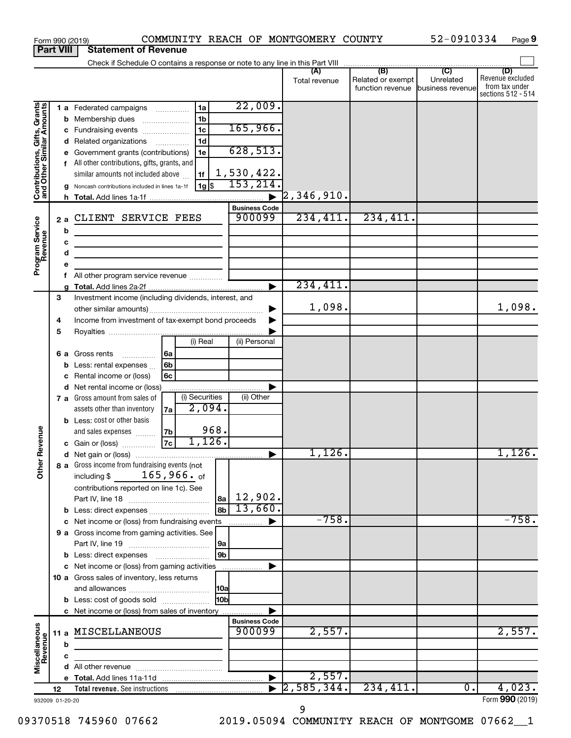|                                                           |             |                                  | COMMUNITY REACH OF MONTGOMERY COUNTY<br>Form 990 (2019)                                                                                                                                                                                                                                                                                                                                                                       |                                                                                                                        |                           |                                       | 52-0910334                    | Page 9                                                          |
|-----------------------------------------------------------|-------------|----------------------------------|-------------------------------------------------------------------------------------------------------------------------------------------------------------------------------------------------------------------------------------------------------------------------------------------------------------------------------------------------------------------------------------------------------------------------------|------------------------------------------------------------------------------------------------------------------------|---------------------------|---------------------------------------|-------------------------------|-----------------------------------------------------------------|
| <b>Part VIII</b>                                          |             |                                  | <b>Statement of Revenue</b>                                                                                                                                                                                                                                                                                                                                                                                                   |                                                                                                                        |                           |                                       |                               |                                                                 |
|                                                           |             |                                  |                                                                                                                                                                                                                                                                                                                                                                                                                               |                                                                                                                        |                           |                                       |                               |                                                                 |
|                                                           |             |                                  |                                                                                                                                                                                                                                                                                                                                                                                                                               |                                                                                                                        | Total revenue             | Related or exempt<br>function revenue | Unrelated<br>business revenue | (D)<br>Revenue excluded<br>from tax under<br>sections 512 - 514 |
| Contributions, Gifts, Grants<br>and Other Similar Amounts |             | b<br>с<br>d<br>е<br>g<br>2a<br>b | 1a<br>1 a Federated campaigns<br>1 <sub>b</sub><br>Membership dues<br>$\ldots \ldots \ldots \ldots \ldots$<br>1 <sub>c</sub><br>Fundraising events<br>1 <sub>d</sub><br>Related organizations<br>Government grants (contributions)<br>1e<br>f All other contributions, gifts, grants, and<br>similar amounts not included above<br>1f<br>$1g\sqrt{2}$<br>Noncash contributions included in lines 1a-1f<br>CLIENT SERVICE FEES | 22,009.<br>165,966.<br>628, 513.<br>1,530,422.<br>153, 214.<br>$\blacktriangleright$<br><b>Business Code</b><br>900099 | [2, 346, 910.<br>234,411. | 234,411.                              |                               |                                                                 |
| Program Service<br>Revenue                                |             | с<br>d<br>е<br>f<br>a            | <u> 1980 - Johann Barbara, martin a bhann an t-Alban an t-Alban an t-Alban an t-Alban an t-Alban an t-Alban an t-Alban an t-Alban an t-Alban an t-Alban an t-Alban an t-Alban an t-Alban an t-Alban an t-Alban an t-Alban an t-A</u><br><u> 1989 - Johann Barbara, martin amerikan basar dan basar dan basar dalam basar dalam basar dalam basar dalam ba</u><br>All other program service revenue                            |                                                                                                                        | 234,411.                  |                                       |                               |                                                                 |
| evenue                                                    | 3<br>4<br>5 |                                  | Investment income (including dividends, interest, and<br>Income from investment of tax-exempt bond proceeds                                                                                                                                                                                                                                                                                                                   |                                                                                                                        | 1,098.                    |                                       |                               | 1,098.                                                          |
|                                                           |             | b<br>с<br>d                      | (i) Real<br>6a<br>6 a Gross rents<br>6b<br>Less: rental expenses<br>6c<br>Rental income or (loss)<br>Net rental income or (loss)                                                                                                                                                                                                                                                                                              | (ii) Personal                                                                                                          |                           |                                       |                               |                                                                 |
|                                                           |             |                                  | (i) Securities<br>7 a Gross amount from sales of<br>2,094.<br>assets other than inventory<br>7a<br><b>b</b> Less: cost or other basis<br>968.<br>7b<br>and sales expenses<br>1,126.<br>7c<br>c Gain or (loss)                                                                                                                                                                                                                 | (ii) Other                                                                                                             |                           |                                       |                               |                                                                 |
|                                                           |             |                                  |                                                                                                                                                                                                                                                                                                                                                                                                                               |                                                                                                                        | 1,126.                    |                                       |                               | $1,126$ .                                                       |
| Other F                                                   |             |                                  | 8 a Gross income from fundraising events (not<br>$165$ ,966. $_{\sf of}$<br>including \$<br>contributions reported on line 1c). See<br>8b<br><b>b</b> Less: direct expenses                                                                                                                                                                                                                                                   | $ a_2 $ 12,902.<br>13,660.                                                                                             |                           |                                       |                               |                                                                 |
|                                                           |             |                                  | c Net income or (loss) from fundraising events                                                                                                                                                                                                                                                                                                                                                                                |                                                                                                                        | $-758.$                   |                                       |                               | $-758.$                                                         |
|                                                           |             |                                  | 9 a Gross income from gaming activities. See<br> 9a                                                                                                                                                                                                                                                                                                                                                                           |                                                                                                                        |                           |                                       |                               |                                                                 |
|                                                           |             |                                  | 9b<br>c Net income or (loss) from gaming activities<br>10 a Gross sales of inventory, less returns<br> 10a<br>10bl<br><b>b</b> Less: cost of goods sold                                                                                                                                                                                                                                                                       |                                                                                                                        |                           |                                       |                               |                                                                 |
|                                                           |             |                                  | c Net income or (loss) from sales of inventory                                                                                                                                                                                                                                                                                                                                                                                | <b>Business Code</b>                                                                                                   |                           |                                       |                               |                                                                 |
| Miscellaneous<br>Revenue                                  |             | b                                | 11 a MISCELLANEOUS                                                                                                                                                                                                                                                                                                                                                                                                            | 900099                                                                                                                 | 2,557.                    |                                       |                               | 2,557.                                                          |
|                                                           |             | c                                |                                                                                                                                                                                                                                                                                                                                                                                                                               |                                                                                                                        |                           |                                       |                               |                                                                 |
|                                                           |             |                                  |                                                                                                                                                                                                                                                                                                                                                                                                                               |                                                                                                                        |                           |                                       |                               |                                                                 |
|                                                           |             |                                  |                                                                                                                                                                                                                                                                                                                                                                                                                               |                                                                                                                        | 2,557.                    |                                       |                               |                                                                 |
|                                                           | 12          |                                  |                                                                                                                                                                                                                                                                                                                                                                                                                               |                                                                                                                        | 2,585,344.                | 234,411.                              | 0.                            | 4,023.                                                          |
| 932009 01-20-20                                           |             |                                  |                                                                                                                                                                                                                                                                                                                                                                                                                               |                                                                                                                        |                           |                                       |                               | Form 990 (2019)                                                 |

9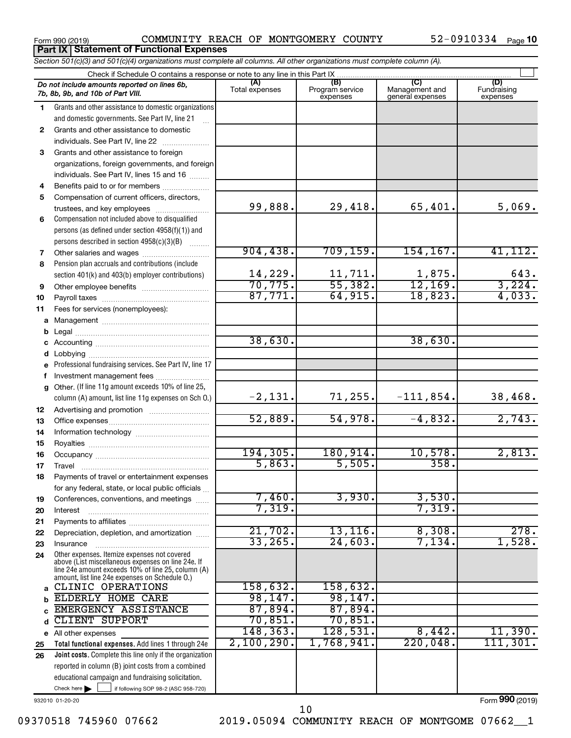Form 990 (2019)  $COMMUNITY$  REACH OF MONTGOMERY COUNTY  $52-0910334$  Page **Part IX Statement of Functional Expenses**

*Section 501(c)(3) and 501(c)(4) organizations must complete all columns. All other organizations must complete column (A).*

|              | Check if Schedule O contains a response or note to any line in this Part IX.                       |                       |                                    |                                    |                                |  |  |  |  |  |  |
|--------------|----------------------------------------------------------------------------------------------------|-----------------------|------------------------------------|------------------------------------|--------------------------------|--|--|--|--|--|--|
|              | Do not include amounts reported on lines 6b,<br>7b, 8b, 9b, and 10b of Part VIII.                  | (A)<br>Total expenses | (B)<br>Program service<br>expenses | Management and<br>general expenses | (D)<br>Fundraising<br>expenses |  |  |  |  |  |  |
| 1.           | Grants and other assistance to domestic organizations                                              |                       |                                    |                                    |                                |  |  |  |  |  |  |
|              | and domestic governments. See Part IV, line 21                                                     |                       |                                    |                                    |                                |  |  |  |  |  |  |
| $\mathbf{2}$ | Grants and other assistance to domestic                                                            |                       |                                    |                                    |                                |  |  |  |  |  |  |
|              | individuals. See Part IV, line 22                                                                  |                       |                                    |                                    |                                |  |  |  |  |  |  |
| 3            | Grants and other assistance to foreign                                                             |                       |                                    |                                    |                                |  |  |  |  |  |  |
|              | organizations, foreign governments, and foreign                                                    |                       |                                    |                                    |                                |  |  |  |  |  |  |
|              | individuals. See Part IV, lines 15 and 16                                                          |                       |                                    |                                    |                                |  |  |  |  |  |  |
| 4            | Benefits paid to or for members                                                                    |                       |                                    |                                    |                                |  |  |  |  |  |  |
| 5            | Compensation of current officers, directors,                                                       |                       |                                    |                                    |                                |  |  |  |  |  |  |
|              | trustees, and key employees                                                                        | 99,888.               | 29,418.                            | 65,401.                            | 5,069.                         |  |  |  |  |  |  |
| 6            | Compensation not included above to disqualified                                                    |                       |                                    |                                    |                                |  |  |  |  |  |  |
|              | persons (as defined under section 4958(f)(1)) and                                                  |                       |                                    |                                    |                                |  |  |  |  |  |  |
|              | persons described in section 4958(c)(3)(B)                                                         | 904, 438.             | 709, 159.                          | 154, 167.                          | 41, 112.                       |  |  |  |  |  |  |
| 7<br>8       | Other salaries and wages<br>Pension plan accruals and contributions (include                       |                       |                                    |                                    |                                |  |  |  |  |  |  |
|              | section 401(k) and 403(b) employer contributions)                                                  | 14,229.               | 11,711.                            | 1,875.                             | 643.                           |  |  |  |  |  |  |
| 9            |                                                                                                    | 70, 775.              | 55,382.                            | 12, 169.                           | 3,224.                         |  |  |  |  |  |  |
| 10           |                                                                                                    | 87,771.               | 64,915.                            | 18,823.                            | 4,033.                         |  |  |  |  |  |  |
| 11           | Fees for services (nonemployees):                                                                  |                       |                                    |                                    |                                |  |  |  |  |  |  |
| a            |                                                                                                    |                       |                                    |                                    |                                |  |  |  |  |  |  |
| b            |                                                                                                    |                       |                                    |                                    |                                |  |  |  |  |  |  |
|              |                                                                                                    | 38,630.               |                                    | 38,630.                            |                                |  |  |  |  |  |  |
| d            |                                                                                                    |                       |                                    |                                    |                                |  |  |  |  |  |  |
| е            | Professional fundraising services. See Part IV, line 17                                            |                       |                                    |                                    |                                |  |  |  |  |  |  |
| f            | Investment management fees                                                                         |                       |                                    |                                    |                                |  |  |  |  |  |  |
| g            | Other. (If line 11g amount exceeds 10% of line 25,                                                 |                       |                                    |                                    |                                |  |  |  |  |  |  |
|              | column (A) amount, list line 11g expenses on Sch O.)                                               | $-2,131.$             | 71,255.                            | $-111,854.$                        | 38,468.                        |  |  |  |  |  |  |
| 12           |                                                                                                    |                       |                                    |                                    |                                |  |  |  |  |  |  |
| 13           |                                                                                                    | 52,889.               | 54,978.                            | $-4,832.$                          | 2,743.                         |  |  |  |  |  |  |
| 14           |                                                                                                    |                       |                                    |                                    |                                |  |  |  |  |  |  |
| 15           |                                                                                                    | 194, 305.             | 180,914.                           | 10,578.                            | 2,813.                         |  |  |  |  |  |  |
| 16           |                                                                                                    | 5,863.                | 5,505.                             | 358.                               |                                |  |  |  |  |  |  |
| 17<br>18     |                                                                                                    |                       |                                    |                                    |                                |  |  |  |  |  |  |
|              | Payments of travel or entertainment expenses<br>for any federal, state, or local public officials  |                       |                                    |                                    |                                |  |  |  |  |  |  |
| 19           | Conferences, conventions, and meetings                                                             | 7,460.                | 3,930.                             | 3,530.                             |                                |  |  |  |  |  |  |
| 20           | Interest                                                                                           | 7,319.                |                                    | 7,319.                             |                                |  |  |  |  |  |  |
| 21           |                                                                                                    |                       |                                    |                                    |                                |  |  |  |  |  |  |
| 22           | Depreciation, depletion, and amortization                                                          | 21,702.               | $13, 116$ .                        | 8,308.                             | 278.                           |  |  |  |  |  |  |
| 23           | Insurance                                                                                          | 33, 265.              | 24,603.                            | 7,134.                             | 1,528.                         |  |  |  |  |  |  |
| 24           | Other expenses. Itemize expenses not covered<br>above (List miscellaneous expenses on line 24e. If |                       |                                    |                                    |                                |  |  |  |  |  |  |
|              | line 24e amount exceeds 10% of line 25, column (A)                                                 |                       |                                    |                                    |                                |  |  |  |  |  |  |
|              | amount, list line 24e expenses on Schedule O.)<br>CLINIC OPERATIONS                                | 158,632.              | 158,632.                           |                                    |                                |  |  |  |  |  |  |
| a            | ELDERLY HOME CARE                                                                                  | 98, 147.              | 98,147.                            |                                    |                                |  |  |  |  |  |  |
|              | EMERGENCY ASSISTANCE                                                                               | 87,894.               | 87,894.                            |                                    |                                |  |  |  |  |  |  |
|              | CLIENT SUPPORT                                                                                     | 70,851.               | 70,851.                            |                                    |                                |  |  |  |  |  |  |
|              | e All other expenses                                                                               | 148, 363.             | 128,531.                           | 8,442.                             | 11,390.                        |  |  |  |  |  |  |
| 25           | Total functional expenses. Add lines 1 through 24e                                                 | 2,100,290.            | 1,768,941。                         | 220,048.                           | 111,301.                       |  |  |  |  |  |  |
| 26           | Joint costs. Complete this line only if the organization                                           |                       |                                    |                                    |                                |  |  |  |  |  |  |
|              | reported in column (B) joint costs from a combined                                                 |                       |                                    |                                    |                                |  |  |  |  |  |  |
|              | educational campaign and fundraising solicitation.                                                 |                       |                                    |                                    |                                |  |  |  |  |  |  |
|              | Check here $\blacktriangleright$<br>if following SOP 98-2 (ASC 958-720)                            |                       |                                    |                                    |                                |  |  |  |  |  |  |

932010 01-20-20

Form (2019) **990**

09370518 745960 07662 2019.05094 COMMUNITY REACH OF MONTGOME 07662\_1

10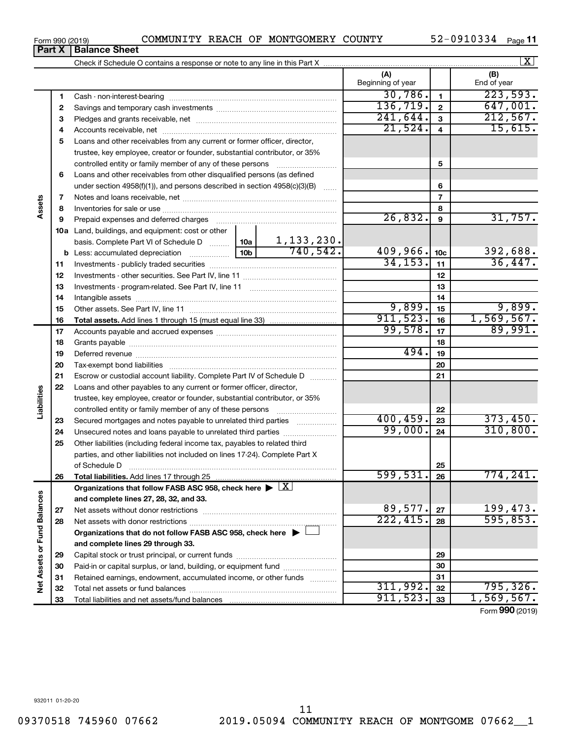| Form 990 (2019) |                               | COMMUNITY | . REACH OF | MONTGOMERY | <b>COUNTY</b> | 52-0910334 | Page |
|-----------------|-------------------------------|-----------|------------|------------|---------------|------------|------|
|                 | <b>Part X   Balance Sheet</b> |           |            |            |               |            |      |

Check if Schedule O contains a response or note to any line in this Part X

| 1  |                                                                                                                                                                                                                                | 30,786.   | $\mathbf{1}$            | 223,593.   |
|----|--------------------------------------------------------------------------------------------------------------------------------------------------------------------------------------------------------------------------------|-----------|-------------------------|------------|
| 2  |                                                                                                                                                                                                                                | 136, 719. | $\overline{\mathbf{2}}$ | 647,001.   |
| 3  |                                                                                                                                                                                                                                | 241,644.  | 3                       | 212,567.   |
| 4  |                                                                                                                                                                                                                                | 21,524.   | $\overline{\mathbf{4}}$ | 15,615.    |
| 5  | Loans and other receivables from any current or former officer, director,                                                                                                                                                      |           |                         |            |
|    | trustee, key employee, creator or founder, substantial contributor, or 35%                                                                                                                                                     |           |                         |            |
|    | controlled entity or family member of any of these persons                                                                                                                                                                     |           | 5                       |            |
| 6  | Loans and other receivables from other disqualified persons (as defined                                                                                                                                                        |           |                         |            |
|    | under section $4958(f)(1)$ , and persons described in section $4958(c)(3)(B)$                                                                                                                                                  |           | 6                       |            |
| 7  |                                                                                                                                                                                                                                |           | $\overline{7}$          |            |
| 8  |                                                                                                                                                                                                                                |           | 8                       |            |
| 9  | Prepaid expenses and deferred charges [11] [11] Prepaid expenses and deferred charges [11] [11] Annancement and the Prepaid expenses and deferred charges [11] [11] Annancement and the Prepaid experiment and the Prepaid exp | 26,832.   | $\boldsymbol{9}$        | 31,757.    |
|    | 10a Land, buildings, and equipment: cost or other                                                                                                                                                                              |           |                         |            |
|    | $\frac{1,133,230.}{740,542.}$<br>10a  <br>basis. Complete Part VI of Schedule D                                                                                                                                                |           |                         |            |
| b  | 10 <sub>b</sub>                                                                                                                                                                                                                | 409,966.  | 10 <sub>c</sub>         | 392,688.   |
| 11 |                                                                                                                                                                                                                                | 34, 153.  | 11                      | 36,447.    |
| 12 |                                                                                                                                                                                                                                |           | 12                      |            |
| 13 |                                                                                                                                                                                                                                |           | 13                      |            |
| 14 |                                                                                                                                                                                                                                |           | 14                      |            |
| 15 |                                                                                                                                                                                                                                | 9,899.    | 15                      | 9,899.     |
| 16 |                                                                                                                                                                                                                                | 911,523.  | 16                      | 1,569,567. |
| 17 |                                                                                                                                                                                                                                | 99,578.   | 17                      | 89,991.    |
| 18 |                                                                                                                                                                                                                                |           | 18                      |            |
| 19 |                                                                                                                                                                                                                                | 494.      | 19                      |            |
| 20 |                                                                                                                                                                                                                                |           | 20                      |            |
| 21 | Escrow or custodial account liability. Complete Part IV of Schedule D                                                                                                                                                          |           | 21                      |            |
| 22 | Loans and other payables to any current or former officer, director,                                                                                                                                                           |           |                         |            |
|    | trustee, key employee, creator or founder, substantial contributor, or 35%                                                                                                                                                     |           |                         |            |
|    | controlled entity or family member of any of these persons                                                                                                                                                                     |           | 22                      |            |
| 23 | Secured mortgages and notes payable to unrelated third parties                                                                                                                                                                 | 400, 459. | 23                      | 373,450.   |
| 24 | Unsecured notes and loans payable to unrelated third parties                                                                                                                                                                   | 99,000.   | 24                      | 310,800.   |
| 25 | Other liabilities (including federal income tax, payables to related third                                                                                                                                                     |           |                         |            |
|    | parties, and other liabilities not included on lines 17-24). Complete Part X                                                                                                                                                   |           |                         |            |
|    | of Schedule D                                                                                                                                                                                                                  |           | 25                      |            |
| 26 |                                                                                                                                                                                                                                | 599,531.  | 26                      | 774, 241.  |
|    | Organizations that follow FASB ASC 958, check here $\blacktriangleright \lfloor \underline{X} \rfloor$                                                                                                                         |           |                         |            |
|    | and complete lines 27, 28, 32, and 33.                                                                                                                                                                                         |           |                         |            |
| 27 |                                                                                                                                                                                                                                | 89,577.   | ${\bf 27}$              | 199,473.   |
| 28 |                                                                                                                                                                                                                                | 222,415.  | 28                      | 595,853.   |
|    | Organizations that do not follow FASB ASC 958, check here $\blacktriangleright$                                                                                                                                                |           |                         |            |
|    | and complete lines 29 through 33.                                                                                                                                                                                              |           |                         |            |
| 29 |                                                                                                                                                                                                                                |           | 29                      |            |
| 30 | Paid-in or capital surplus, or land, building, or equipment fund                                                                                                                                                               |           | 30                      |            |
| 31 | Retained earnings, endowment, accumulated income, or other funds                                                                                                                                                               |           | 31                      |            |
| 32 |                                                                                                                                                                                                                                | 311,992.  | 32                      | 795, 326.  |
| 33 |                                                                                                                                                                                                                                | 911,523.  | 33                      | 1,569,567. |

 $\boxed{\text{X}}$ 

Form (2019) **990**

**(A) (B)**

Beginning of year  $\vert$  | End of year

**Assets**

**Liabilities**

**Net Assets or Fund Balances**

Net Assets or Fund Balances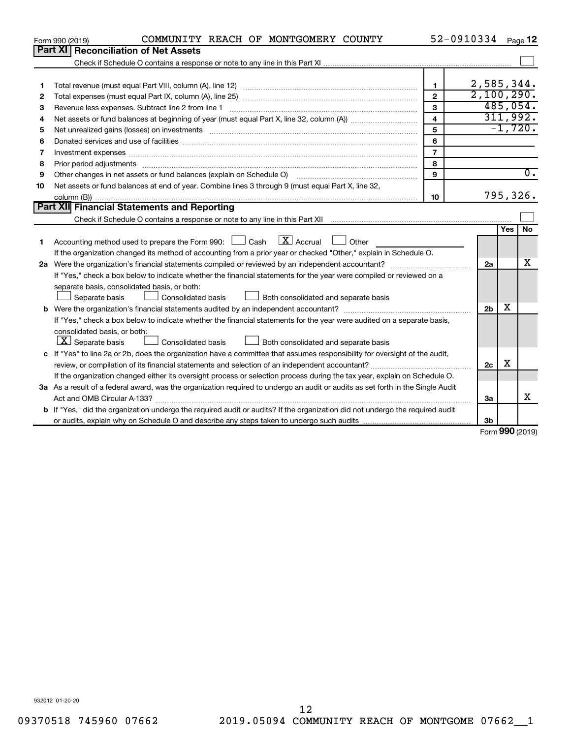| <b>Part XI</b><br><b>Reconciliation of Net Assets</b><br>2,585,344.<br>$\mathbf{1}$<br>1<br>2,100,290.<br>$\overline{2}$<br>2<br>485,054.<br>3<br>Revenue less expenses. Subtract line 2 from line 1<br>3<br>311,992.<br>4<br>4<br>$-1,720.$<br>5<br>5<br>6<br>6<br>$\overline{7}$<br>Investment expenses www.communication.com/www.communication.com/www.communication.com/www.com<br>7<br>8<br>8<br>$\overline{0}$ .<br>9<br>Other changes in net assets or fund balances (explain on Schedule O)<br>9<br>Net assets or fund balances at end of year. Combine lines 3 through 9 (must equal Part X, line 32,<br>10<br>795,326.<br>10<br>Part XII Financial Statements and Reporting<br>No<br>Yes<br>$\lfloor x \rfloor$ Accrual<br>Accounting method used to prepare the Form 990: $\Box$ Cash<br>$\Box$ Other<br>1.<br>If the organization changed its method of accounting from a prior year or checked "Other," explain in Schedule O.<br>х<br>2a<br>If "Yes," check a box below to indicate whether the financial statements for the year were compiled or reviewed on a<br>separate basis, consolidated basis, or both:<br>Both consolidated and separate basis<br>Separate basis<br>Consolidated basis<br>х<br>2 <sub>b</sub><br>If "Yes," check a box below to indicate whether the financial statements for the year were audited on a separate basis,<br>consolidated basis, or both:<br>$ \mathbf{X} $ Separate basis<br>Consolidated basis<br>Both consolidated and separate basis<br>c If "Yes" to line 2a or 2b, does the organization have a committee that assumes responsibility for oversight of the audit,<br>х<br>2c<br>If the organization changed either its oversight process or selection process during the tax year, explain on Schedule O.<br>3a As a result of a federal award, was the organization required to undergo an audit or audits as set forth in the Single Audit<br>x<br>Act and OMB Circular A-133?<br>3a<br><b>b</b> If "Yes," did the organization undergo the required audit or audits? If the organization did not undergo the required audit<br>3b<br>$\sim$ | COMMUNITY REACH OF MONTGOMERY COUNTY<br>Form 990 (2019) |  | 52-0910334 |  | Page 12 |  |  |
|-------------------------------------------------------------------------------------------------------------------------------------------------------------------------------------------------------------------------------------------------------------------------------------------------------------------------------------------------------------------------------------------------------------------------------------------------------------------------------------------------------------------------------------------------------------------------------------------------------------------------------------------------------------------------------------------------------------------------------------------------------------------------------------------------------------------------------------------------------------------------------------------------------------------------------------------------------------------------------------------------------------------------------------------------------------------------------------------------------------------------------------------------------------------------------------------------------------------------------------------------------------------------------------------------------------------------------------------------------------------------------------------------------------------------------------------------------------------------------------------------------------------------------------------------------------------------------------------------------------------------------------------------------------------------------------------------------------------------------------------------------------------------------------------------------------------------------------------------------------------------------------------------------------------------------------------------------------------------------------------------------------------------------------------------------------------------------------------------------------|---------------------------------------------------------|--|------------|--|---------|--|--|
|                                                                                                                                                                                                                                                                                                                                                                                                                                                                                                                                                                                                                                                                                                                                                                                                                                                                                                                                                                                                                                                                                                                                                                                                                                                                                                                                                                                                                                                                                                                                                                                                                                                                                                                                                                                                                                                                                                                                                                                                                                                                                                             |                                                         |  |            |  |         |  |  |
|                                                                                                                                                                                                                                                                                                                                                                                                                                                                                                                                                                                                                                                                                                                                                                                                                                                                                                                                                                                                                                                                                                                                                                                                                                                                                                                                                                                                                                                                                                                                                                                                                                                                                                                                                                                                                                                                                                                                                                                                                                                                                                             |                                                         |  |            |  |         |  |  |
|                                                                                                                                                                                                                                                                                                                                                                                                                                                                                                                                                                                                                                                                                                                                                                                                                                                                                                                                                                                                                                                                                                                                                                                                                                                                                                                                                                                                                                                                                                                                                                                                                                                                                                                                                                                                                                                                                                                                                                                                                                                                                                             |                                                         |  |            |  |         |  |  |
|                                                                                                                                                                                                                                                                                                                                                                                                                                                                                                                                                                                                                                                                                                                                                                                                                                                                                                                                                                                                                                                                                                                                                                                                                                                                                                                                                                                                                                                                                                                                                                                                                                                                                                                                                                                                                                                                                                                                                                                                                                                                                                             |                                                         |  |            |  |         |  |  |
|                                                                                                                                                                                                                                                                                                                                                                                                                                                                                                                                                                                                                                                                                                                                                                                                                                                                                                                                                                                                                                                                                                                                                                                                                                                                                                                                                                                                                                                                                                                                                                                                                                                                                                                                                                                                                                                                                                                                                                                                                                                                                                             |                                                         |  |            |  |         |  |  |
|                                                                                                                                                                                                                                                                                                                                                                                                                                                                                                                                                                                                                                                                                                                                                                                                                                                                                                                                                                                                                                                                                                                                                                                                                                                                                                                                                                                                                                                                                                                                                                                                                                                                                                                                                                                                                                                                                                                                                                                                                                                                                                             |                                                         |  |            |  |         |  |  |
|                                                                                                                                                                                                                                                                                                                                                                                                                                                                                                                                                                                                                                                                                                                                                                                                                                                                                                                                                                                                                                                                                                                                                                                                                                                                                                                                                                                                                                                                                                                                                                                                                                                                                                                                                                                                                                                                                                                                                                                                                                                                                                             |                                                         |  |            |  |         |  |  |
|                                                                                                                                                                                                                                                                                                                                                                                                                                                                                                                                                                                                                                                                                                                                                                                                                                                                                                                                                                                                                                                                                                                                                                                                                                                                                                                                                                                                                                                                                                                                                                                                                                                                                                                                                                                                                                                                                                                                                                                                                                                                                                             |                                                         |  |            |  |         |  |  |
|                                                                                                                                                                                                                                                                                                                                                                                                                                                                                                                                                                                                                                                                                                                                                                                                                                                                                                                                                                                                                                                                                                                                                                                                                                                                                                                                                                                                                                                                                                                                                                                                                                                                                                                                                                                                                                                                                                                                                                                                                                                                                                             |                                                         |  |            |  |         |  |  |
|                                                                                                                                                                                                                                                                                                                                                                                                                                                                                                                                                                                                                                                                                                                                                                                                                                                                                                                                                                                                                                                                                                                                                                                                                                                                                                                                                                                                                                                                                                                                                                                                                                                                                                                                                                                                                                                                                                                                                                                                                                                                                                             |                                                         |  |            |  |         |  |  |
|                                                                                                                                                                                                                                                                                                                                                                                                                                                                                                                                                                                                                                                                                                                                                                                                                                                                                                                                                                                                                                                                                                                                                                                                                                                                                                                                                                                                                                                                                                                                                                                                                                                                                                                                                                                                                                                                                                                                                                                                                                                                                                             |                                                         |  |            |  |         |  |  |
|                                                                                                                                                                                                                                                                                                                                                                                                                                                                                                                                                                                                                                                                                                                                                                                                                                                                                                                                                                                                                                                                                                                                                                                                                                                                                                                                                                                                                                                                                                                                                                                                                                                                                                                                                                                                                                                                                                                                                                                                                                                                                                             |                                                         |  |            |  |         |  |  |
|                                                                                                                                                                                                                                                                                                                                                                                                                                                                                                                                                                                                                                                                                                                                                                                                                                                                                                                                                                                                                                                                                                                                                                                                                                                                                                                                                                                                                                                                                                                                                                                                                                                                                                                                                                                                                                                                                                                                                                                                                                                                                                             |                                                         |  |            |  |         |  |  |
|                                                                                                                                                                                                                                                                                                                                                                                                                                                                                                                                                                                                                                                                                                                                                                                                                                                                                                                                                                                                                                                                                                                                                                                                                                                                                                                                                                                                                                                                                                                                                                                                                                                                                                                                                                                                                                                                                                                                                                                                                                                                                                             |                                                         |  |            |  |         |  |  |
|                                                                                                                                                                                                                                                                                                                                                                                                                                                                                                                                                                                                                                                                                                                                                                                                                                                                                                                                                                                                                                                                                                                                                                                                                                                                                                                                                                                                                                                                                                                                                                                                                                                                                                                                                                                                                                                                                                                                                                                                                                                                                                             |                                                         |  |            |  |         |  |  |
|                                                                                                                                                                                                                                                                                                                                                                                                                                                                                                                                                                                                                                                                                                                                                                                                                                                                                                                                                                                                                                                                                                                                                                                                                                                                                                                                                                                                                                                                                                                                                                                                                                                                                                                                                                                                                                                                                                                                                                                                                                                                                                             |                                                         |  |            |  |         |  |  |
|                                                                                                                                                                                                                                                                                                                                                                                                                                                                                                                                                                                                                                                                                                                                                                                                                                                                                                                                                                                                                                                                                                                                                                                                                                                                                                                                                                                                                                                                                                                                                                                                                                                                                                                                                                                                                                                                                                                                                                                                                                                                                                             |                                                         |  |            |  |         |  |  |
|                                                                                                                                                                                                                                                                                                                                                                                                                                                                                                                                                                                                                                                                                                                                                                                                                                                                                                                                                                                                                                                                                                                                                                                                                                                                                                                                                                                                                                                                                                                                                                                                                                                                                                                                                                                                                                                                                                                                                                                                                                                                                                             |                                                         |  |            |  |         |  |  |
|                                                                                                                                                                                                                                                                                                                                                                                                                                                                                                                                                                                                                                                                                                                                                                                                                                                                                                                                                                                                                                                                                                                                                                                                                                                                                                                                                                                                                                                                                                                                                                                                                                                                                                                                                                                                                                                                                                                                                                                                                                                                                                             |                                                         |  |            |  |         |  |  |
|                                                                                                                                                                                                                                                                                                                                                                                                                                                                                                                                                                                                                                                                                                                                                                                                                                                                                                                                                                                                                                                                                                                                                                                                                                                                                                                                                                                                                                                                                                                                                                                                                                                                                                                                                                                                                                                                                                                                                                                                                                                                                                             |                                                         |  |            |  |         |  |  |
|                                                                                                                                                                                                                                                                                                                                                                                                                                                                                                                                                                                                                                                                                                                                                                                                                                                                                                                                                                                                                                                                                                                                                                                                                                                                                                                                                                                                                                                                                                                                                                                                                                                                                                                                                                                                                                                                                                                                                                                                                                                                                                             |                                                         |  |            |  |         |  |  |
|                                                                                                                                                                                                                                                                                                                                                                                                                                                                                                                                                                                                                                                                                                                                                                                                                                                                                                                                                                                                                                                                                                                                                                                                                                                                                                                                                                                                                                                                                                                                                                                                                                                                                                                                                                                                                                                                                                                                                                                                                                                                                                             |                                                         |  |            |  |         |  |  |
|                                                                                                                                                                                                                                                                                                                                                                                                                                                                                                                                                                                                                                                                                                                                                                                                                                                                                                                                                                                                                                                                                                                                                                                                                                                                                                                                                                                                                                                                                                                                                                                                                                                                                                                                                                                                                                                                                                                                                                                                                                                                                                             |                                                         |  |            |  |         |  |  |
|                                                                                                                                                                                                                                                                                                                                                                                                                                                                                                                                                                                                                                                                                                                                                                                                                                                                                                                                                                                                                                                                                                                                                                                                                                                                                                                                                                                                                                                                                                                                                                                                                                                                                                                                                                                                                                                                                                                                                                                                                                                                                                             |                                                         |  |            |  |         |  |  |
|                                                                                                                                                                                                                                                                                                                                                                                                                                                                                                                                                                                                                                                                                                                                                                                                                                                                                                                                                                                                                                                                                                                                                                                                                                                                                                                                                                                                                                                                                                                                                                                                                                                                                                                                                                                                                                                                                                                                                                                                                                                                                                             |                                                         |  |            |  |         |  |  |
|                                                                                                                                                                                                                                                                                                                                                                                                                                                                                                                                                                                                                                                                                                                                                                                                                                                                                                                                                                                                                                                                                                                                                                                                                                                                                                                                                                                                                                                                                                                                                                                                                                                                                                                                                                                                                                                                                                                                                                                                                                                                                                             |                                                         |  |            |  |         |  |  |
|                                                                                                                                                                                                                                                                                                                                                                                                                                                                                                                                                                                                                                                                                                                                                                                                                                                                                                                                                                                                                                                                                                                                                                                                                                                                                                                                                                                                                                                                                                                                                                                                                                                                                                                                                                                                                                                                                                                                                                                                                                                                                                             |                                                         |  |            |  |         |  |  |
|                                                                                                                                                                                                                                                                                                                                                                                                                                                                                                                                                                                                                                                                                                                                                                                                                                                                                                                                                                                                                                                                                                                                                                                                                                                                                                                                                                                                                                                                                                                                                                                                                                                                                                                                                                                                                                                                                                                                                                                                                                                                                                             |                                                         |  |            |  |         |  |  |
|                                                                                                                                                                                                                                                                                                                                                                                                                                                                                                                                                                                                                                                                                                                                                                                                                                                                                                                                                                                                                                                                                                                                                                                                                                                                                                                                                                                                                                                                                                                                                                                                                                                                                                                                                                                                                                                                                                                                                                                                                                                                                                             |                                                         |  |            |  |         |  |  |
|                                                                                                                                                                                                                                                                                                                                                                                                                                                                                                                                                                                                                                                                                                                                                                                                                                                                                                                                                                                                                                                                                                                                                                                                                                                                                                                                                                                                                                                                                                                                                                                                                                                                                                                                                                                                                                                                                                                                                                                                                                                                                                             |                                                         |  |            |  |         |  |  |
|                                                                                                                                                                                                                                                                                                                                                                                                                                                                                                                                                                                                                                                                                                                                                                                                                                                                                                                                                                                                                                                                                                                                                                                                                                                                                                                                                                                                                                                                                                                                                                                                                                                                                                                                                                                                                                                                                                                                                                                                                                                                                                             |                                                         |  |            |  |         |  |  |
|                                                                                                                                                                                                                                                                                                                                                                                                                                                                                                                                                                                                                                                                                                                                                                                                                                                                                                                                                                                                                                                                                                                                                                                                                                                                                                                                                                                                                                                                                                                                                                                                                                                                                                                                                                                                                                                                                                                                                                                                                                                                                                             |                                                         |  |            |  |         |  |  |
|                                                                                                                                                                                                                                                                                                                                                                                                                                                                                                                                                                                                                                                                                                                                                                                                                                                                                                                                                                                                                                                                                                                                                                                                                                                                                                                                                                                                                                                                                                                                                                                                                                                                                                                                                                                                                                                                                                                                                                                                                                                                                                             |                                                         |  |            |  |         |  |  |
|                                                                                                                                                                                                                                                                                                                                                                                                                                                                                                                                                                                                                                                                                                                                                                                                                                                                                                                                                                                                                                                                                                                                                                                                                                                                                                                                                                                                                                                                                                                                                                                                                                                                                                                                                                                                                                                                                                                                                                                                                                                                                                             |                                                         |  |            |  |         |  |  |

Form (2019) **990**

932012 01-20-20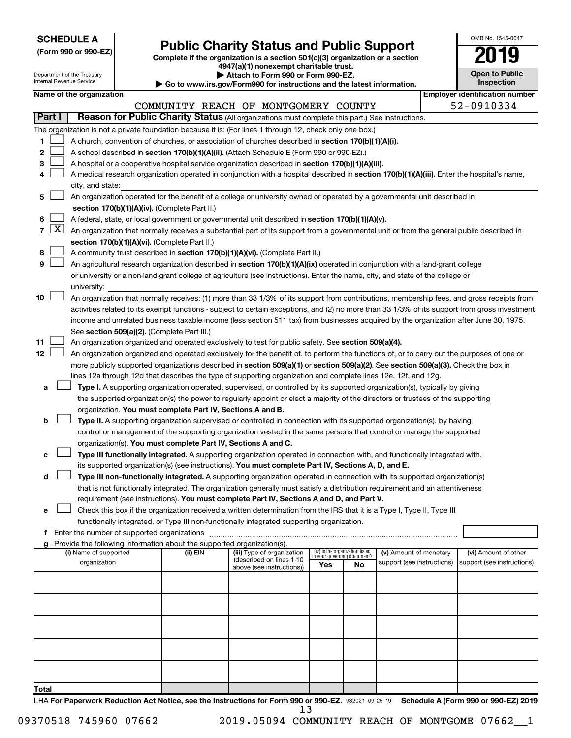| <b>SCHEDULE A</b> |  |
|-------------------|--|
|-------------------|--|

| (Form 990 or 990-EZ) |  |  |  |  |
|----------------------|--|--|--|--|
|----------------------|--|--|--|--|

Form 990 or 990-EZ) **Public Charity Status and Public Support**<br>
Complete if the organization is a section 501(c)(3) organization or a section<br> **2019** 

**4947(a)(1) nonexempt charitable trust.**

| OMB No 1545-0047                    |
|-------------------------------------|
| 19                                  |
| <b>Open to Public</b><br>Inspection |

|       |                     | Department of the Treasury<br>Internal Revenue Service |  |                                                                        | Attach to Form 990 or Form 990-EZ.                                                                                                                                                                                                                                                         |                                 |                             |                            |  | <b>Open to Public</b><br>Inspection   |
|-------|---------------------|--------------------------------------------------------|--|------------------------------------------------------------------------|--------------------------------------------------------------------------------------------------------------------------------------------------------------------------------------------------------------------------------------------------------------------------------------------|---------------------------------|-----------------------------|----------------------------|--|---------------------------------------|
|       |                     | Name of the organization                               |  |                                                                        | Go to www.irs.gov/Form990 for instructions and the latest information.                                                                                                                                                                                                                     |                                 |                             |                            |  | <b>Employer identification number</b> |
|       |                     |                                                        |  |                                                                        | COMMUNITY REACH OF MONTGOMERY COUNTY                                                                                                                                                                                                                                                       |                                 |                             |                            |  | 52-0910334                            |
|       | Part I              |                                                        |  |                                                                        | Reason for Public Charity Status (All organizations must complete this part.) See instructions.                                                                                                                                                                                            |                                 |                             |                            |  |                                       |
|       |                     |                                                        |  |                                                                        | The organization is not a private foundation because it is: (For lines 1 through 12, check only one box.)                                                                                                                                                                                  |                                 |                             |                            |  |                                       |
| 1     |                     |                                                        |  |                                                                        | A church, convention of churches, or association of churches described in section 170(b)(1)(A)(i).                                                                                                                                                                                         |                                 |                             |                            |  |                                       |
| 2     |                     |                                                        |  |                                                                        | A school described in section 170(b)(1)(A)(ii). (Attach Schedule E (Form 990 or 990-EZ).)                                                                                                                                                                                                  |                                 |                             |                            |  |                                       |
| 3     |                     |                                                        |  |                                                                        | A hospital or a cooperative hospital service organization described in section 170(b)(1)(A)(iii).                                                                                                                                                                                          |                                 |                             |                            |  |                                       |
| 4     |                     |                                                        |  |                                                                        | A medical research organization operated in conjunction with a hospital described in section 170(b)(1)(A)(iii). Enter the hospital's name,                                                                                                                                                 |                                 |                             |                            |  |                                       |
|       |                     | city, and state:                                       |  |                                                                        |                                                                                                                                                                                                                                                                                            |                                 |                             |                            |  |                                       |
| 5     |                     |                                                        |  |                                                                        | An organization operated for the benefit of a college or university owned or operated by a governmental unit described in                                                                                                                                                                  |                                 |                             |                            |  |                                       |
|       |                     | section 170(b)(1)(A)(iv). (Complete Part II.)          |  |                                                                        |                                                                                                                                                                                                                                                                                            |                                 |                             |                            |  |                                       |
| 6     |                     |                                                        |  |                                                                        | A federal, state, or local government or governmental unit described in section 170(b)(1)(A)(v).                                                                                                                                                                                           |                                 |                             |                            |  |                                       |
| 7     | $\lfloor x \rfloor$ |                                                        |  |                                                                        | An organization that normally receives a substantial part of its support from a governmental unit or from the general public described in                                                                                                                                                  |                                 |                             |                            |  |                                       |
|       |                     |                                                        |  | section 170(b)(1)(A)(vi). (Complete Part II.)                          |                                                                                                                                                                                                                                                                                            |                                 |                             |                            |  |                                       |
| 8     |                     |                                                        |  |                                                                        | A community trust described in section 170(b)(1)(A)(vi). (Complete Part II.)                                                                                                                                                                                                               |                                 |                             |                            |  |                                       |
| 9     |                     |                                                        |  |                                                                        | An agricultural research organization described in section 170(b)(1)(A)(ix) operated in conjunction with a land-grant college                                                                                                                                                              |                                 |                             |                            |  |                                       |
|       |                     |                                                        |  |                                                                        | or university or a non-land-grant college of agriculture (see instructions). Enter the name, city, and state of the college or                                                                                                                                                             |                                 |                             |                            |  |                                       |
| 10    |                     | university:                                            |  |                                                                        |                                                                                                                                                                                                                                                                                            |                                 |                             |                            |  |                                       |
|       |                     |                                                        |  |                                                                        | An organization that normally receives: (1) more than 33 1/3% of its support from contributions, membership fees, and gross receipts from<br>activities related to its exempt functions - subject to certain exceptions, and (2) no more than 33 1/3% of its support from gross investment |                                 |                             |                            |  |                                       |
|       |                     |                                                        |  |                                                                        | income and unrelated business taxable income (less section 511 tax) from businesses acquired by the organization after June 30, 1975.                                                                                                                                                      |                                 |                             |                            |  |                                       |
|       |                     |                                                        |  | See section 509(a)(2). (Complete Part III.)                            |                                                                                                                                                                                                                                                                                            |                                 |                             |                            |  |                                       |
| 11    |                     |                                                        |  |                                                                        | An organization organized and operated exclusively to test for public safety. See section 509(a)(4).                                                                                                                                                                                       |                                 |                             |                            |  |                                       |
| 12    |                     |                                                        |  |                                                                        | An organization organized and operated exclusively for the benefit of, to perform the functions of, or to carry out the purposes of one or                                                                                                                                                 |                                 |                             |                            |  |                                       |
|       |                     |                                                        |  |                                                                        | more publicly supported organizations described in section 509(a)(1) or section 509(a)(2). See section 509(a)(3). Check the box in                                                                                                                                                         |                                 |                             |                            |  |                                       |
|       |                     |                                                        |  |                                                                        | lines 12a through 12d that describes the type of supporting organization and complete lines 12e, 12f, and 12g.                                                                                                                                                                             |                                 |                             |                            |  |                                       |
| a     |                     |                                                        |  |                                                                        | Type I. A supporting organization operated, supervised, or controlled by its supported organization(s), typically by giving                                                                                                                                                                |                                 |                             |                            |  |                                       |
|       |                     |                                                        |  |                                                                        | the supported organization(s) the power to regularly appoint or elect a majority of the directors or trustees of the supporting                                                                                                                                                            |                                 |                             |                            |  |                                       |
|       |                     |                                                        |  | organization. You must complete Part IV, Sections A and B.             |                                                                                                                                                                                                                                                                                            |                                 |                             |                            |  |                                       |
| b     |                     |                                                        |  |                                                                        | Type II. A supporting organization supervised or controlled in connection with its supported organization(s), by having                                                                                                                                                                    |                                 |                             |                            |  |                                       |
|       |                     |                                                        |  |                                                                        | control or management of the supporting organization vested in the same persons that control or manage the supported                                                                                                                                                                       |                                 |                             |                            |  |                                       |
|       |                     |                                                        |  | organization(s). You must complete Part IV, Sections A and C.          |                                                                                                                                                                                                                                                                                            |                                 |                             |                            |  |                                       |
| с     |                     |                                                        |  |                                                                        | Type III functionally integrated. A supporting organization operated in connection with, and functionally integrated with,                                                                                                                                                                 |                                 |                             |                            |  |                                       |
|       |                     |                                                        |  |                                                                        | its supported organization(s) (see instructions). You must complete Part IV, Sections A, D, and E.                                                                                                                                                                                         |                                 |                             |                            |  |                                       |
| d     |                     |                                                        |  |                                                                        | Type III non-functionally integrated. A supporting organization operated in connection with its supported organization(s)                                                                                                                                                                  |                                 |                             |                            |  |                                       |
|       |                     |                                                        |  |                                                                        | that is not functionally integrated. The organization generally must satisfy a distribution requirement and an attentiveness<br>requirement (see instructions). You must complete Part IV, Sections A and D, and Part V.                                                                   |                                 |                             |                            |  |                                       |
|       |                     |                                                        |  |                                                                        | Check this box if the organization received a written determination from the IRS that it is a Type I, Type II, Type III                                                                                                                                                                    |                                 |                             |                            |  |                                       |
|       |                     |                                                        |  |                                                                        | functionally integrated, or Type III non-functionally integrated supporting organization.                                                                                                                                                                                                  |                                 |                             |                            |  |                                       |
|       |                     |                                                        |  |                                                                        |                                                                                                                                                                                                                                                                                            |                                 |                             |                            |  |                                       |
|       |                     |                                                        |  | Provide the following information about the supported organization(s). |                                                                                                                                                                                                                                                                                            |                                 |                             |                            |  |                                       |
|       |                     | (i) Name of supported                                  |  | (ii) EIN                                                               | (iii) Type of organization<br>(described on lines 1-10                                                                                                                                                                                                                                     | (iv) Is the organization listed | in your governing document? | (v) Amount of monetary     |  | (vi) Amount of other                  |
|       |                     | organization                                           |  |                                                                        | above (see instructions))                                                                                                                                                                                                                                                                  | Yes                             | No                          | support (see instructions) |  | support (see instructions)            |
|       |                     |                                                        |  |                                                                        |                                                                                                                                                                                                                                                                                            |                                 |                             |                            |  |                                       |
|       |                     |                                                        |  |                                                                        |                                                                                                                                                                                                                                                                                            |                                 |                             |                            |  |                                       |
|       |                     |                                                        |  |                                                                        |                                                                                                                                                                                                                                                                                            |                                 |                             |                            |  |                                       |
|       |                     |                                                        |  |                                                                        |                                                                                                                                                                                                                                                                                            |                                 |                             |                            |  |                                       |
|       |                     |                                                        |  |                                                                        |                                                                                                                                                                                                                                                                                            |                                 |                             |                            |  |                                       |
|       |                     |                                                        |  |                                                                        |                                                                                                                                                                                                                                                                                            |                                 |                             |                            |  |                                       |
|       |                     |                                                        |  |                                                                        |                                                                                                                                                                                                                                                                                            |                                 |                             |                            |  |                                       |
|       |                     |                                                        |  |                                                                        |                                                                                                                                                                                                                                                                                            |                                 |                             |                            |  |                                       |
|       |                     |                                                        |  |                                                                        |                                                                                                                                                                                                                                                                                            |                                 |                             |                            |  |                                       |
| Total |                     |                                                        |  |                                                                        |                                                                                                                                                                                                                                                                                            |                                 |                             |                            |  |                                       |

LHA For Paperwork Reduction Act Notice, see the Instructions for Form 990 or 990-EZ. 932021 09-25-19 Schedule A (Form 990 or 990-EZ) 2019 13

09370518 745960 07662 2019.05094 COMMUNITY REACH OF MONTGOME 07662\_1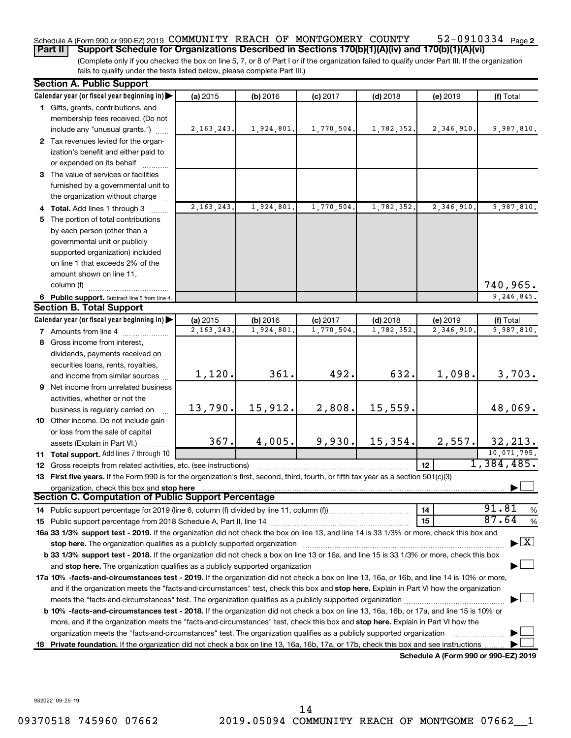#### 52-0910334 Page 2 Schedule A (Form 990 or 990-EZ) 2019 COMMUNITY REACH OF MONTGOMERY COUNTY 52-0910334 Page

(Complete only if you checked the box on line 5, 7, or 8 of Part I or if the organization failed to qualify under Part III. If the organization fails to qualify under the tests listed below, please complete Part III.) **Part II Support Schedule for Organizations Described in Sections 170(b)(1)(A)(iv) and 170(b)(1)(A)(vi)**

|     | <b>Section A. Public Support</b>                                                                                                                                                                                              |              |            |            |            |                                      |                                |
|-----|-------------------------------------------------------------------------------------------------------------------------------------------------------------------------------------------------------------------------------|--------------|------------|------------|------------|--------------------------------------|--------------------------------|
|     | Calendar year (or fiscal year beginning in)                                                                                                                                                                                   | (a) 2015     | (b) 2016   | $(c)$ 2017 | $(d)$ 2018 | (e) 2019                             | (f) Total                      |
|     | 1 Gifts, grants, contributions, and                                                                                                                                                                                           |              |            |            |            |                                      |                                |
|     | membership fees received. (Do not                                                                                                                                                                                             |              |            |            |            |                                      |                                |
|     | include any "unusual grants.")                                                                                                                                                                                                | 2, 163, 243. | 1,924,801. | 1,770,504. | 1,782,352. | 2,346,910.                           | 9,987,810.                     |
|     | 2 Tax revenues levied for the organ-                                                                                                                                                                                          |              |            |            |            |                                      |                                |
|     | ization's benefit and either paid to                                                                                                                                                                                          |              |            |            |            |                                      |                                |
|     | or expended on its behalf                                                                                                                                                                                                     |              |            |            |            |                                      |                                |
|     | 3 The value of services or facilities                                                                                                                                                                                         |              |            |            |            |                                      |                                |
|     | furnished by a governmental unit to                                                                                                                                                                                           |              |            |            |            |                                      |                                |
|     | the organization without charge                                                                                                                                                                                               |              |            |            |            |                                      |                                |
|     | 4 Total. Add lines 1 through 3                                                                                                                                                                                                | 2, 163, 243. | 1,924,801. | 1,770,504. | 1,782,352. | 2,346,910                            | 9,987,810.                     |
|     | 5 The portion of total contributions                                                                                                                                                                                          |              |            |            |            |                                      |                                |
|     | by each person (other than a                                                                                                                                                                                                  |              |            |            |            |                                      |                                |
|     | governmental unit or publicly                                                                                                                                                                                                 |              |            |            |            |                                      |                                |
|     | supported organization) included                                                                                                                                                                                              |              |            |            |            |                                      |                                |
|     | on line 1 that exceeds 2% of the                                                                                                                                                                                              |              |            |            |            |                                      |                                |
|     | amount shown on line 11,                                                                                                                                                                                                      |              |            |            |            |                                      |                                |
|     | column (f)                                                                                                                                                                                                                    |              |            |            |            |                                      | 740,965.                       |
|     | 6 Public support. Subtract line 5 from line 4.                                                                                                                                                                                |              |            |            |            |                                      | 9,246,845.                     |
|     | <b>Section B. Total Support</b>                                                                                                                                                                                               |              |            |            |            |                                      |                                |
|     | Calendar year (or fiscal year beginning in)                                                                                                                                                                                   | (a) 2015     | (b) 2016   | $(c)$ 2017 | $(d)$ 2018 | (e) 2019                             | (f) Total                      |
|     | 7 Amounts from line 4                                                                                                                                                                                                         | 2, 163, 243. | 1,924,801  | 1,770,504  | 1,782,352. | 2,346,910                            | 9,987,810.                     |
|     | 8 Gross income from interest,                                                                                                                                                                                                 |              |            |            |            |                                      |                                |
|     | dividends, payments received on                                                                                                                                                                                               |              |            |            |            |                                      |                                |
|     | securities loans, rents, royalties,                                                                                                                                                                                           |              |            |            |            |                                      |                                |
|     | and income from similar sources                                                                                                                                                                                               | 1,120.       | 361.       | 492.       | 632.       | 1,098.                               | 3,703.                         |
|     | 9 Net income from unrelated business                                                                                                                                                                                          |              |            |            |            |                                      |                                |
|     | activities, whether or not the                                                                                                                                                                                                |              |            |            |            |                                      |                                |
|     | business is regularly carried on                                                                                                                                                                                              | 13,790.      | 15,912.    | 2,808.     | 15,559.    |                                      | 48,069.                        |
|     | 10 Other income. Do not include gain                                                                                                                                                                                          |              |            |            |            |                                      |                                |
|     | or loss from the sale of capital                                                                                                                                                                                              |              |            |            |            |                                      |                                |
|     | assets (Explain in Part VI.)                                                                                                                                                                                                  | 367.         | 4,005.     | 9,930.     | 15,354.    | 2,557.                               | 32, 213.                       |
|     | 11 Total support. Add lines 7 through 10                                                                                                                                                                                      |              |            |            |            |                                      | 10,071,795.                    |
|     | 12 Gross receipts from related activities, etc. (see instructions)                                                                                                                                                            |              |            |            |            | 12 <sup>12</sup>                     | 1,384,485.                     |
|     | 13 First five years. If the Form 990 is for the organization's first, second, third, fourth, or fifth tax year as a section 501(c)(3)                                                                                         |              |            |            |            |                                      |                                |
|     | organization, check this box and stop here                                                                                                                                                                                    |              |            |            |            |                                      |                                |
|     | Section C. Computation of Public Support Percentage                                                                                                                                                                           |              |            |            |            |                                      |                                |
|     | 14 Public support percentage for 2019 (line 6, column (f) divided by line 11, column (f)                                                                                                                                      |              |            |            |            | 14                                   | 91.81<br>%                     |
|     |                                                                                                                                                                                                                               |              |            |            |            | 15                                   | 87.64<br>%                     |
|     | 16a 33 1/3% support test - 2019. If the organization did not check the box on line 13, and line 14 is 33 1/3% or more, check this box and                                                                                     |              |            |            |            |                                      |                                |
|     | stop here. The organization qualifies as a publicly supported organization manufaction manufacture or the organization manufacture or the organization manufacture or the organization of the state of the state of the state |              |            |            |            |                                      | $\blacktriangleright$ $\mid$ X |
|     | b 33 1/3% support test - 2018. If the organization did not check a box on line 13 or 16a, and line 15 is 33 1/3% or more, check this box                                                                                      |              |            |            |            |                                      |                                |
|     |                                                                                                                                                                                                                               |              |            |            |            |                                      |                                |
|     | 17a 10% -facts-and-circumstances test - 2019. If the organization did not check a box on line 13, 16a, or 16b, and line 14 is 10% or more,                                                                                    |              |            |            |            |                                      |                                |
|     | and if the organization meets the "facts-and-circumstances" test, check this box and stop here. Explain in Part VI how the organization                                                                                       |              |            |            |            |                                      |                                |
|     |                                                                                                                                                                                                                               |              |            |            |            |                                      |                                |
|     | b 10% -facts-and-circumstances test - 2018. If the organization did not check a box on line 13, 16a, 16b, or 17a, and line 15 is 10% or                                                                                       |              |            |            |            |                                      |                                |
|     | more, and if the organization meets the "facts-and-circumstances" test, check this box and stop here. Explain in Part VI how the                                                                                              |              |            |            |            |                                      |                                |
|     | organization meets the "facts-and-circumstances" test. The organization qualifies as a publicly supported organization                                                                                                        |              |            |            |            |                                      |                                |
| 18. | Private foundation. If the organization did not check a box on line 13, 16a, 16b, 17a, or 17b, check this box and see instructions                                                                                            |              |            |            |            |                                      |                                |
|     |                                                                                                                                                                                                                               |              |            |            |            | Schedule A (Form 990 or 990-EZ) 2019 |                                |

932022 09-25-19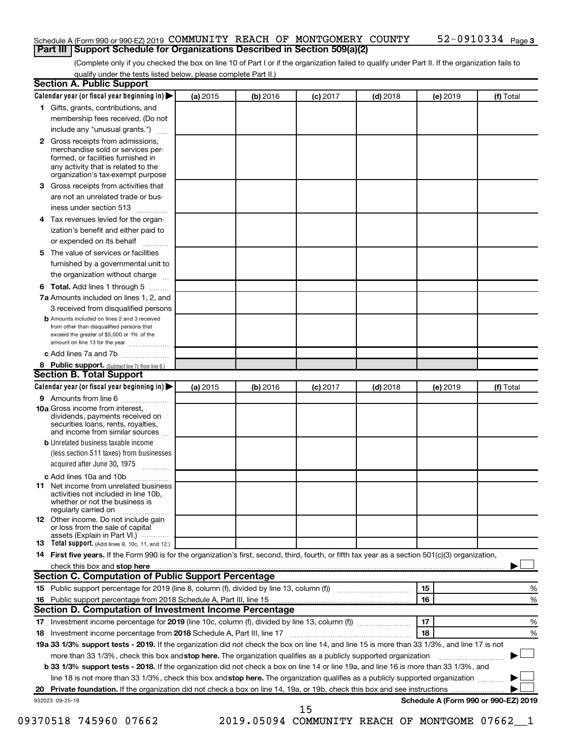#### Schedule A (Form 990 or 990-EZ) 2019 COMMUNITY REACH OF MONTGOMERY COUNTY 52-0910334 Page **Part III Support Schedule for Organizations Described in Section 509(a)(2)**

(Complete only if you checked the box on line 10 of Part I or if the organization failed to qualify under Part II. If the organization fails to qualify under the tests listed below, please complete Part II.)

| <b>Section A. Public Support</b>                                                                                                                                                                                         |          |          |            |            |          |                                      |
|--------------------------------------------------------------------------------------------------------------------------------------------------------------------------------------------------------------------------|----------|----------|------------|------------|----------|--------------------------------------|
| Calendar year (or fiscal year beginning in)                                                                                                                                                                              | (a) 2015 | (b) 2016 | $(c)$ 2017 | $(d)$ 2018 | (e) 2019 | (f) Total                            |
| 1 Gifts, grants, contributions, and                                                                                                                                                                                      |          |          |            |            |          |                                      |
| membership fees received. (Do not                                                                                                                                                                                        |          |          |            |            |          |                                      |
| include any "unusual grants.")                                                                                                                                                                                           |          |          |            |            |          |                                      |
| 2 Gross receipts from admissions,<br>merchandise sold or services per-<br>formed, or facilities furnished in<br>any activity that is related to the<br>organization's tax-exempt purpose                                 |          |          |            |            |          |                                      |
| 3 Gross receipts from activities that                                                                                                                                                                                    |          |          |            |            |          |                                      |
| are not an unrelated trade or bus-                                                                                                                                                                                       |          |          |            |            |          |                                      |
| iness under section 513                                                                                                                                                                                                  |          |          |            |            |          |                                      |
| 4 Tax revenues levied for the organ-                                                                                                                                                                                     |          |          |            |            |          |                                      |
| ization's benefit and either paid to                                                                                                                                                                                     |          |          |            |            |          |                                      |
| or expended on its behalf                                                                                                                                                                                                |          |          |            |            |          |                                      |
| .<br>5 The value of services or facilities                                                                                                                                                                               |          |          |            |            |          |                                      |
| furnished by a governmental unit to                                                                                                                                                                                      |          |          |            |            |          |                                      |
| the organization without charge                                                                                                                                                                                          |          |          |            |            |          |                                      |
|                                                                                                                                                                                                                          |          |          |            |            |          |                                      |
| 6 Total. Add lines 1 through 5<br>7a Amounts included on lines 1, 2, and                                                                                                                                                 |          |          |            |            |          |                                      |
|                                                                                                                                                                                                                          |          |          |            |            |          |                                      |
| 3 received from disqualified persons<br><b>b</b> Amounts included on lines 2 and 3 received<br>from other than disqualified persons that<br>exceed the greater of \$5,000 or 1% of the<br>amount on line 13 for the year |          |          |            |            |          |                                      |
| c Add lines 7a and 7b                                                                                                                                                                                                    |          |          |            |            |          |                                      |
| 8 Public support. (Subtract line 7c from line 6.)                                                                                                                                                                        |          |          |            |            |          |                                      |
| <b>Section B. Total Support</b>                                                                                                                                                                                          |          |          |            |            |          |                                      |
| Calendar year (or fiscal year beginning in)                                                                                                                                                                              | (a) 2015 | (b) 2016 | $(c)$ 2017 | $(d)$ 2018 | (e) 2019 | (f) Total                            |
| <b>9</b> Amounts from line 6                                                                                                                                                                                             |          |          |            |            |          |                                      |
| <b>10a</b> Gross income from interest,<br>dividends, payments received on<br>securities loans, rents, royalties,<br>and income from similar sources                                                                      |          |          |            |            |          |                                      |
| <b>b</b> Unrelated business taxable income                                                                                                                                                                               |          |          |            |            |          |                                      |
| (less section 511 taxes) from businesses                                                                                                                                                                                 |          |          |            |            |          |                                      |
| acquired after June 30, 1975                                                                                                                                                                                             |          |          |            |            |          |                                      |
| c Add lines 10a and 10b                                                                                                                                                                                                  |          |          |            |            |          |                                      |
| 11 Net income from unrelated business<br>activities not included in line 10b.<br>whether or not the business is<br>regularly carried on                                                                                  |          |          |            |            |          |                                      |
| <b>12</b> Other income. Do not include gain<br>or loss from the sale of capital                                                                                                                                          |          |          |            |            |          |                                      |
| assets (Explain in Part VI.)<br><b>13</b> Total support. (Add lines 9, 10c, 11, and 12.)                                                                                                                                 |          |          |            |            |          |                                      |
| 14 First five years. If the Form 990 is for the organization's first, second, third, fourth, or fifth tax year as a section 501(c)(3) organization,                                                                      |          |          |            |            |          |                                      |
|                                                                                                                                                                                                                          |          |          |            |            |          |                                      |
| Section C. Computation of Public Support Percentage                                                                                                                                                                      |          |          |            |            |          |                                      |
| 15 Public support percentage for 2019 (line 8, column (f), divided by line 13, column (f) <i>manumeronominimal</i>                                                                                                       |          |          |            |            | 15       | ℅                                    |
| 16 Public support percentage from 2018 Schedule A, Part III, line 15                                                                                                                                                     |          |          |            |            | 16       | %                                    |
| Section D. Computation of Investment Income Percentage                                                                                                                                                                   |          |          |            |            |          |                                      |
|                                                                                                                                                                                                                          |          |          |            |            | 17       | %                                    |
| 18 Investment income percentage from 2018 Schedule A, Part III, line 17                                                                                                                                                  |          |          |            |            | 18       | %                                    |
| 19a 33 1/3% support tests - 2019. If the organization did not check the box on line 14, and line 15 is more than 33 1/3%, and line 17 is not                                                                             |          |          |            |            |          |                                      |
| more than 33 1/3%, check this box and stop here. The organization qualifies as a publicly supported organization                                                                                                         |          |          |            |            |          |                                      |
| b 33 1/3% support tests - 2018. If the organization did not check a box on line 14 or line 19a, and line 16 is more than 33 1/3%, and                                                                                    |          |          |            |            |          |                                      |
| line 18 is not more than 33 1/3%, check this box and stop here. The organization qualifies as a publicly supported organization                                                                                          |          |          |            |            |          |                                      |
|                                                                                                                                                                                                                          |          |          |            |            |          |                                      |
| 932023 09-25-19                                                                                                                                                                                                          |          |          |            |            |          | Schedule A (Form 990 or 990-EZ) 2019 |
|                                                                                                                                                                                                                          |          |          | 15         |            |          |                                      |

09370518 745960 07662 2019.05094 COMMUNITY REACH OF MONTGOME 07662\_1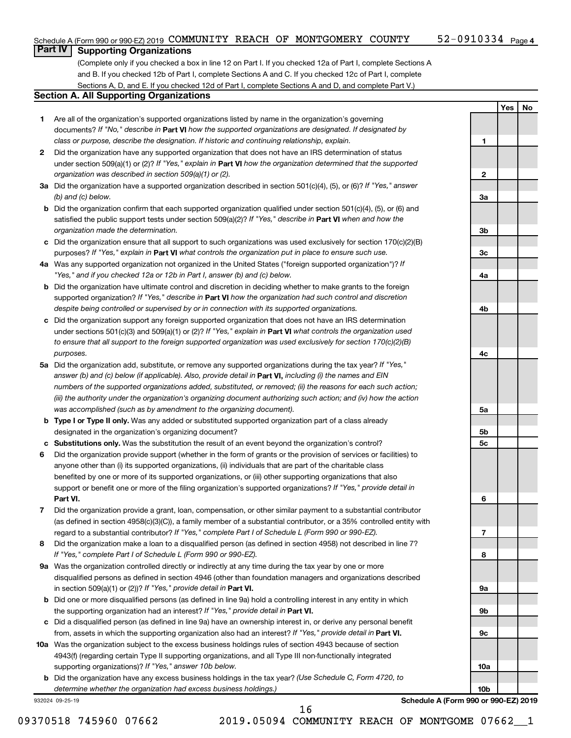### **Part IV Supporting Organizations**

(Complete only if you checked a box in line 12 on Part I. If you checked 12a of Part I, complete Sections A and B. If you checked 12b of Part I, complete Sections A and C. If you checked 12c of Part I, complete Sections A, D, and E. If you checked 12d of Part I, complete Sections A and D, and complete Part V.)

### **Section A. All Supporting Organizations**

- **1** Are all of the organization's supported organizations listed by name in the organization's governing documents? If "No," describe in Part VI how the supported organizations are designated. If designated by *class or purpose, describe the designation. If historic and continuing relationship, explain.*
- **2** Did the organization have any supported organization that does not have an IRS determination of status under section 509(a)(1) or (2)? If "Yes," explain in Part **VI** how the organization determined that the supported *organization was described in section 509(a)(1) or (2).*
- **3a** Did the organization have a supported organization described in section 501(c)(4), (5), or (6)? If "Yes," answer *(b) and (c) below.*
- **b** Did the organization confirm that each supported organization qualified under section 501(c)(4), (5), or (6) and satisfied the public support tests under section 509(a)(2)? If "Yes," describe in Part VI when and how the *organization made the determination.*
- **c** Did the organization ensure that all support to such organizations was used exclusively for section 170(c)(2)(B) purposes? If "Yes," explain in Part VI what controls the organization put in place to ensure such use.
- **4 a** *If* Was any supported organization not organized in the United States ("foreign supported organization")? *"Yes," and if you checked 12a or 12b in Part I, answer (b) and (c) below.*
- **b** Did the organization have ultimate control and discretion in deciding whether to make grants to the foreign supported organization? If "Yes," describe in Part VI how the organization had such control and discretion *despite being controlled or supervised by or in connection with its supported organizations.*
- **c** Did the organization support any foreign supported organization that does not have an IRS determination under sections 501(c)(3) and 509(a)(1) or (2)? If "Yes," explain in Part VI what controls the organization used *to ensure that all support to the foreign supported organization was used exclusively for section 170(c)(2)(B) purposes.*
- **5a** Did the organization add, substitute, or remove any supported organizations during the tax year? If "Yes," answer (b) and (c) below (if applicable). Also, provide detail in **Part VI,** including (i) the names and EIN *numbers of the supported organizations added, substituted, or removed; (ii) the reasons for each such action; (iii) the authority under the organization's organizing document authorizing such action; and (iv) how the action was accomplished (such as by amendment to the organizing document).*
- **b Type I or Type II only.** Was any added or substituted supported organization part of a class already designated in the organization's organizing document?
- **c Substitutions only.**  Was the substitution the result of an event beyond the organization's control?
- **6** Did the organization provide support (whether in the form of grants or the provision of services or facilities) to **Part VI.** support or benefit one or more of the filing organization's supported organizations? If "Yes," provide detail in anyone other than (i) its supported organizations, (ii) individuals that are part of the charitable class benefited by one or more of its supported organizations, or (iii) other supporting organizations that also
- **7** Did the organization provide a grant, loan, compensation, or other similar payment to a substantial contributor regard to a substantial contributor? If "Yes," complete Part I of Schedule L (Form 990 or 990-EZ). (as defined in section 4958(c)(3)(C)), a family member of a substantial contributor, or a 35% controlled entity with
- **8** Did the organization make a loan to a disqualified person (as defined in section 4958) not described in line 7? *If "Yes," complete Part I of Schedule L (Form 990 or 990-EZ).*
- **9 a** Was the organization controlled directly or indirectly at any time during the tax year by one or more in section 509(a)(1) or (2))? If "Yes," provide detail in **Part VI.** disqualified persons as defined in section 4946 (other than foundation managers and organizations described
- **b** Did one or more disqualified persons (as defined in line 9a) hold a controlling interest in any entity in which the supporting organization had an interest? If "Yes," provide detail in Part VI.
- **c** Did a disqualified person (as defined in line 9a) have an ownership interest in, or derive any personal benefit from, assets in which the supporting organization also had an interest? If "Yes," provide detail in Part VI.
- **10 a** Was the organization subject to the excess business holdings rules of section 4943 because of section supporting organizations)? If "Yes," answer 10b below. 4943(f) (regarding certain Type II supporting organizations, and all Type III non-functionally integrated
	- **b** Did the organization have any excess business holdings in the tax year? (Use Schedule C, Form 4720, to *determine whether the organization had excess business holdings.)*

932024 09-25-19

**Schedule A (Form 990 or 990-EZ) 2019**

**Yes No**

**1**

**2**

**3a**

**3b**

**3c**

**4a**

**4b**

**4c**

**5a**

**5b 5c**

**6**

**7**

**8**

**9a**

**9b**

**9c**

**10a**

**10b**

16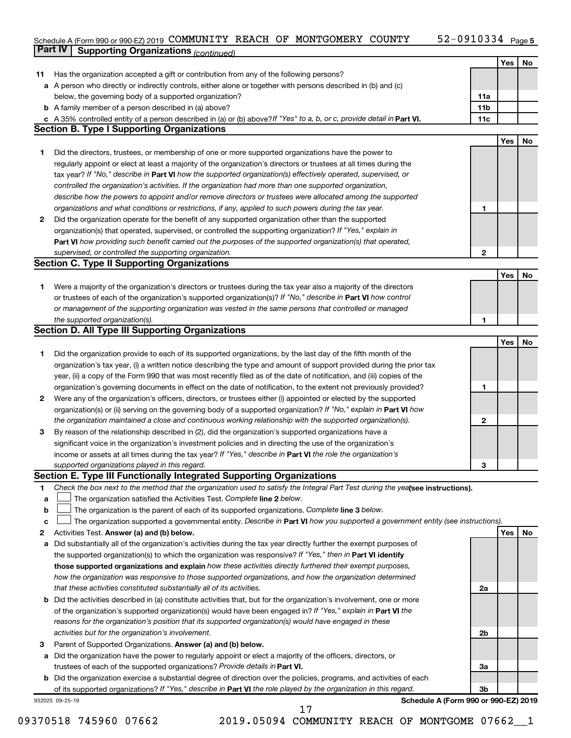#### 52-0910334 Page 5 Schedule A (Form 990 or 990-EZ) 2019 COMMUNITY REACH OF MONTGOMERY COUNTY 52-09I0334 Page COMMUNITY REACH OF MONTGOMERY COUNTY 52-0910334

|    | <b>Part IV</b>  | <b>Supporting Organizations (continued)</b>                                                                                                                                  |                 |            |    |
|----|-----------------|------------------------------------------------------------------------------------------------------------------------------------------------------------------------------|-----------------|------------|----|
|    |                 |                                                                                                                                                                              |                 | Yes        | No |
| 11 |                 | Has the organization accepted a gift or contribution from any of the following persons?                                                                                      |                 |            |    |
| а  |                 | A person who directly or indirectly controls, either alone or together with persons described in (b) and (c)                                                                 |                 |            |    |
|    |                 | below, the governing body of a supported organization?                                                                                                                       | 11a             |            |    |
|    |                 | <b>b</b> A family member of a person described in (a) above?                                                                                                                 | 11 <sub>b</sub> |            |    |
|    |                 |                                                                                                                                                                              | 11c             |            |    |
|    |                 | c A 35% controlled entity of a person described in (a) or (b) above? If "Yes" to a, b, or c, provide detail in Part VI.<br><b>Section B. Type I Supporting Organizations</b> |                 |            |    |
|    |                 |                                                                                                                                                                              |                 |            |    |
|    |                 |                                                                                                                                                                              |                 | Yes        | No |
| 1. |                 | Did the directors, trustees, or membership of one or more supported organizations have the power to                                                                          |                 |            |    |
|    |                 | regularly appoint or elect at least a majority of the organization's directors or trustees at all times during the                                                           |                 |            |    |
|    |                 | tax year? If "No," describe in Part VI how the supported organization(s) effectively operated, supervised, or                                                                |                 |            |    |
|    |                 | controlled the organization's activities. If the organization had more than one supported organization,                                                                      |                 |            |    |
|    |                 | describe how the powers to appoint and/or remove directors or trustees were allocated among the supported                                                                    |                 |            |    |
|    |                 | organizations and what conditions or restrictions, if any, applied to such powers during the tax year.                                                                       | 1               |            |    |
| 2  |                 | Did the organization operate for the benefit of any supported organization other than the supported                                                                          |                 |            |    |
|    |                 | organization(s) that operated, supervised, or controlled the supporting organization? If "Yes," explain in                                                                   |                 |            |    |
|    |                 | Part VI how providing such benefit carried out the purposes of the supported organization(s) that operated,                                                                  |                 |            |    |
|    |                 | supervised, or controlled the supporting organization.                                                                                                                       | 2               |            |    |
|    |                 | <b>Section C. Type II Supporting Organizations</b>                                                                                                                           |                 |            |    |
|    |                 |                                                                                                                                                                              |                 | <b>Yes</b> | No |
| 1. |                 | Were a majority of the organization's directors or trustees during the tax year also a majority of the directors                                                             |                 |            |    |
|    |                 | or trustees of each of the organization's supported organization(s)? If "No," describe in Part VI how control                                                                |                 |            |    |
|    |                 | or management of the supporting organization was vested in the same persons that controlled or managed                                                                       |                 |            |    |
|    |                 | the supported organization(s).                                                                                                                                               | 1               |            |    |
|    |                 | <b>Section D. All Type III Supporting Organizations</b>                                                                                                                      |                 |            |    |
|    |                 |                                                                                                                                                                              |                 | <b>Yes</b> | No |
| 1  |                 | Did the organization provide to each of its supported organizations, by the last day of the fifth month of the                                                               |                 |            |    |
|    |                 | organization's tax year, (i) a written notice describing the type and amount of support provided during the prior tax                                                        |                 |            |    |
|    |                 | year, (ii) a copy of the Form 990 that was most recently filed as of the date of notification, and (iii) copies of the                                                       |                 |            |    |
|    |                 | organization's governing documents in effect on the date of notification, to the extent not previously provided?                                                             | 1               |            |    |
| 2  |                 | Were any of the organization's officers, directors, or trustees either (i) appointed or elected by the supported                                                             |                 |            |    |
|    |                 |                                                                                                                                                                              |                 |            |    |
|    |                 | organization(s) or (ii) serving on the governing body of a supported organization? If "No," explain in Part VI how                                                           |                 |            |    |
|    |                 | the organization maintained a close and continuous working relationship with the supported organization(s).                                                                  | 2               |            |    |
| 3  |                 | By reason of the relationship described in (2), did the organization's supported organizations have a                                                                        |                 |            |    |
|    |                 | significant voice in the organization's investment policies and in directing the use of the organization's                                                                   |                 |            |    |
|    |                 | income or assets at all times during the tax year? If "Yes," describe in Part VI the role the organization's                                                                 |                 |            |    |
|    |                 | supported organizations played in this regard.                                                                                                                               | з               |            |    |
|    |                 | Section E. Type III Functionally Integrated Supporting Organizations                                                                                                         |                 |            |    |
| 1  |                 | Check the box next to the method that the organization used to satisfy the Integral Part Test during the yealsee instructions).                                              |                 |            |    |
| a  |                 | The organization satisfied the Activities Test. Complete line 2 below.                                                                                                       |                 |            |    |
| b  |                 | The organization is the parent of each of its supported organizations. Complete line 3 below.                                                                                |                 |            |    |
| c  |                 | The organization supported a governmental entity. Describe in Part VI how you supported a government entity (see instructions).                                              |                 |            |    |
| 2  |                 | Activities Test. Answer (a) and (b) below.                                                                                                                                   |                 | Yes        | No |
| а  |                 | Did substantially all of the organization's activities during the tax year directly further the exempt purposes of                                                           |                 |            |    |
|    |                 | the supported organization(s) to which the organization was responsive? If "Yes," then in Part VI identify                                                                   |                 |            |    |
|    |                 | those supported organizations and explain how these activities directly furthered their exempt purposes,                                                                     |                 |            |    |
|    |                 | how the organization was responsive to those supported organizations, and how the organization determined                                                                    |                 |            |    |
|    |                 | that these activities constituted substantially all of its activities.                                                                                                       | 2a              |            |    |
| b  |                 | Did the activities described in (a) constitute activities that, but for the organization's involvement, one or more                                                          |                 |            |    |
|    |                 | of the organization's supported organization(s) would have been engaged in? If "Yes," explain in Part VI the                                                                 |                 |            |    |
|    |                 | reasons for the organization's position that its supported organization(s) would have engaged in these                                                                       |                 |            |    |
|    |                 | activities but for the organization's involvement.                                                                                                                           | 2b              |            |    |
| з  |                 | Parent of Supported Organizations. Answer (a) and (b) below.                                                                                                                 |                 |            |    |
| а  |                 | Did the organization have the power to regularly appoint or elect a majority of the officers, directors, or                                                                  |                 |            |    |
|    |                 | trustees of each of the supported organizations? Provide details in Part VI.                                                                                                 | За              |            |    |
|    |                 | <b>b</b> Did the organization exercise a substantial degree of direction over the policies, programs, and activities of each                                                 |                 |            |    |
|    |                 | of its supported organizations? If "Yes," describe in Part VI the role played by the organization in this regard.                                                            | Зb              |            |    |
|    | 932025 09-25-19 | Schedule A (Form 990 or 990-EZ) 2019                                                                                                                                         |                 |            |    |
|    |                 | 17                                                                                                                                                                           |                 |            |    |

09370518 745960 07662 2019.05094 COMMUNITY REACH OF MONTGOME 07662\_1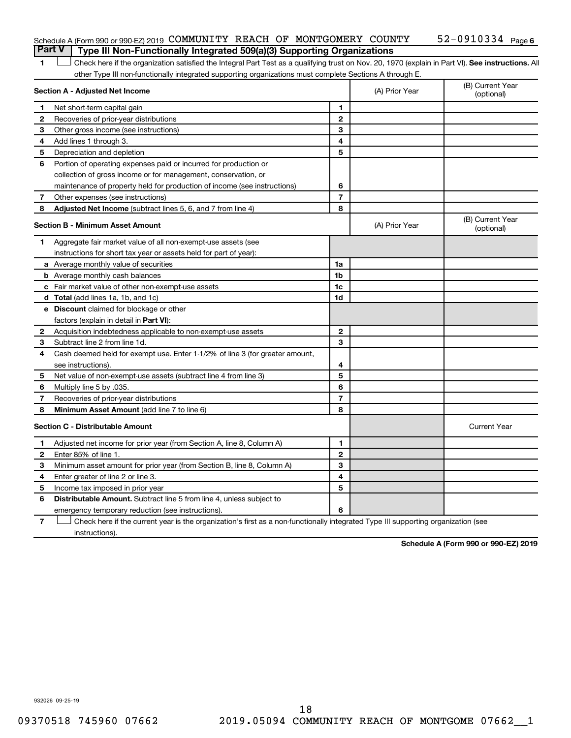| Schedule A (Form 990 or 990-EZ) 2019 COMMUNITY REACH OF MONTGOMERY COUNTY        |  |  | $52-0910334$ Page 6 |  |
|----------------------------------------------------------------------------------|--|--|---------------------|--|
| Part V   Type III Non-Functionally Integrated 509(a)(3) Supporting Organizations |  |  |                     |  |

1 **Letter See instructions.** All Check here if the organization satisfied the Integral Part Test as a qualifying trust on Nov. 20, 1970 (explain in Part VI). See instructions. All other Type III non-functionally integrated supporting organizations must complete Sections A through E.

|   | Section A - Adjusted Net Income                                              | (A) Prior Year | (B) Current Year<br>(optional) |                                |
|---|------------------------------------------------------------------------------|----------------|--------------------------------|--------------------------------|
| 1 | Net short-term capital gain                                                  | 1              |                                |                                |
| 2 | Recoveries of prior-year distributions                                       | $\mathbf{2}$   |                                |                                |
| 3 | Other gross income (see instructions)                                        | 3              |                                |                                |
| 4 | Add lines 1 through 3.                                                       | 4              |                                |                                |
| 5 | Depreciation and depletion                                                   | 5              |                                |                                |
| 6 | Portion of operating expenses paid or incurred for production or             |                |                                |                                |
|   | collection of gross income or for management, conservation, or               |                |                                |                                |
|   | maintenance of property held for production of income (see instructions)     | 6              |                                |                                |
| 7 | Other expenses (see instructions)                                            | $\overline{7}$ |                                |                                |
| 8 | Adjusted Net Income (subtract lines 5, 6, and 7 from line 4)                 | 8              |                                |                                |
|   | <b>Section B - Minimum Asset Amount</b>                                      |                | (A) Prior Year                 | (B) Current Year<br>(optional) |
| 1 | Aggregate fair market value of all non-exempt-use assets (see                |                |                                |                                |
|   | instructions for short tax year or assets held for part of year):            |                |                                |                                |
|   | <b>a</b> Average monthly value of securities                                 | 1a             |                                |                                |
|   | <b>b</b> Average monthly cash balances                                       | 1b             |                                |                                |
|   | <b>c</b> Fair market value of other non-exempt-use assets                    | 1c             |                                |                                |
|   | <b>d</b> Total (add lines 1a, 1b, and 1c)                                    | 1d             |                                |                                |
|   | e Discount claimed for blockage or other                                     |                |                                |                                |
|   | factors (explain in detail in <b>Part VI</b> ):                              |                |                                |                                |
| 2 | Acquisition indebtedness applicable to non-exempt-use assets                 | $\mathbf{2}$   |                                |                                |
| 3 | Subtract line 2 from line 1d.                                                | 3              |                                |                                |
| 4 | Cash deemed held for exempt use. Enter 1-1/2% of line 3 (for greater amount, |                |                                |                                |
|   | see instructions).                                                           | 4              |                                |                                |
| 5 | Net value of non-exempt-use assets (subtract line 4 from line 3)             | 5              |                                |                                |
| 6 | Multiply line 5 by .035.                                                     | 6              |                                |                                |
| 7 | Recoveries of prior-year distributions                                       | $\overline{7}$ |                                |                                |
| 8 | Minimum Asset Amount (add line 7 to line 6)                                  | 8              |                                |                                |
|   | <b>Section C - Distributable Amount</b>                                      |                |                                | <b>Current Year</b>            |
| 1 | Adjusted net income for prior year (from Section A, line 8, Column A)        | 1              |                                |                                |
| 2 | Enter 85% of line 1.                                                         | $\mathbf{2}$   |                                |                                |
| 3 | Minimum asset amount for prior year (from Section B, line 8, Column A)       | 3              |                                |                                |
| 4 | Enter greater of line 2 or line 3.                                           | 4              |                                |                                |
| 5 | Income tax imposed in prior year                                             | 5              |                                |                                |
| 6 | <b>Distributable Amount.</b> Subtract line 5 from line 4, unless subject to  |                |                                |                                |
|   | emergency temporary reduction (see instructions).                            | 6              |                                |                                |
|   |                                                                              |                |                                |                                |

**7** Check here if the current year is the organization's first as a non-functionally integrated Type III supporting organization (see † instructions).

**Schedule A (Form 990 or 990-EZ) 2019**

932026 09-25-19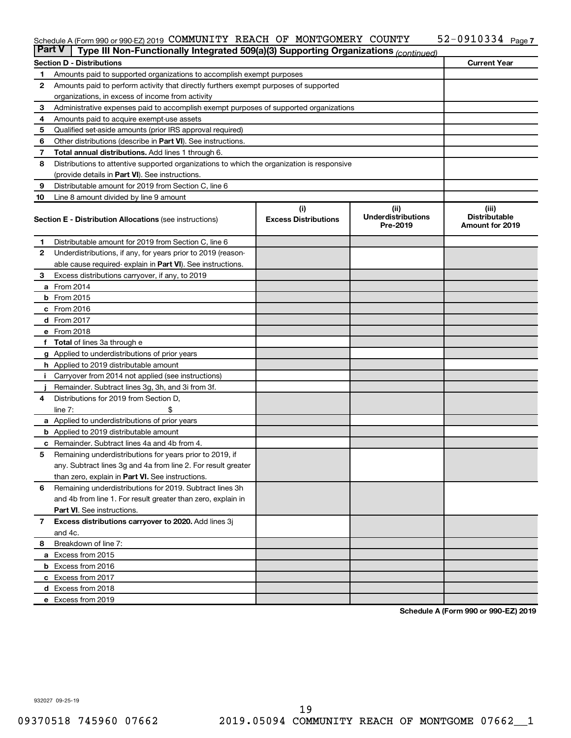#### Schedule A (Form 990 or 990-EZ) 2019 COMMUNITY REACH OF MONTGOMERY COUNTY 52-09I0334 Page COMMUNITY REACH OF MONTGOMERY COUNTY 52-0910334

| <b>Part V</b>  | Type III Non-Functionally Integrated 509(a)(3) Supporting Organizations (continued)        |                             |                                       |                                                |  |  |  |  |  |  |
|----------------|--------------------------------------------------------------------------------------------|-----------------------------|---------------------------------------|------------------------------------------------|--|--|--|--|--|--|
|                | <b>Section D - Distributions</b>                                                           |                             |                                       | <b>Current Year</b>                            |  |  |  |  |  |  |
| 1              | Amounts paid to supported organizations to accomplish exempt purposes                      |                             |                                       |                                                |  |  |  |  |  |  |
| $\mathbf{2}$   | Amounts paid to perform activity that directly furthers exempt purposes of supported       |                             |                                       |                                                |  |  |  |  |  |  |
|                | organizations, in excess of income from activity                                           |                             |                                       |                                                |  |  |  |  |  |  |
| 3              | Administrative expenses paid to accomplish exempt purposes of supported organizations      |                             |                                       |                                                |  |  |  |  |  |  |
| 4              | Amounts paid to acquire exempt-use assets                                                  |                             |                                       |                                                |  |  |  |  |  |  |
| 5              | Qualified set-aside amounts (prior IRS approval required)                                  |                             |                                       |                                                |  |  |  |  |  |  |
| 6              | Other distributions (describe in <b>Part VI</b> ). See instructions.                       |                             |                                       |                                                |  |  |  |  |  |  |
| 7              | Total annual distributions. Add lines 1 through 6.                                         |                             |                                       |                                                |  |  |  |  |  |  |
| 8              | Distributions to attentive supported organizations to which the organization is responsive |                             |                                       |                                                |  |  |  |  |  |  |
|                | (provide details in Part VI). See instructions.                                            |                             |                                       |                                                |  |  |  |  |  |  |
| 9              | Distributable amount for 2019 from Section C, line 6                                       |                             |                                       |                                                |  |  |  |  |  |  |
| 10             | Line 8 amount divided by line 9 amount                                                     |                             |                                       |                                                |  |  |  |  |  |  |
|                |                                                                                            | (i)                         | (ii)                                  | (iii)                                          |  |  |  |  |  |  |
|                | <b>Section E - Distribution Allocations (see instructions)</b>                             | <b>Excess Distributions</b> | <b>Underdistributions</b><br>Pre-2019 | <b>Distributable</b><br><b>Amount for 2019</b> |  |  |  |  |  |  |
| 1              | Distributable amount for 2019 from Section C, line 6                                       |                             |                                       |                                                |  |  |  |  |  |  |
| 2              | Underdistributions, if any, for years prior to 2019 (reason-                               |                             |                                       |                                                |  |  |  |  |  |  |
|                | able cause required-explain in Part VI). See instructions.                                 |                             |                                       |                                                |  |  |  |  |  |  |
| 3              | Excess distributions carryover, if any, to 2019                                            |                             |                                       |                                                |  |  |  |  |  |  |
|                | a From 2014                                                                                |                             |                                       |                                                |  |  |  |  |  |  |
|                | <b>b</b> From 2015                                                                         |                             |                                       |                                                |  |  |  |  |  |  |
|                | c From 2016                                                                                |                             |                                       |                                                |  |  |  |  |  |  |
|                | <b>d</b> From 2017                                                                         |                             |                                       |                                                |  |  |  |  |  |  |
|                | e From 2018                                                                                |                             |                                       |                                                |  |  |  |  |  |  |
|                | f Total of lines 3a through e                                                              |                             |                                       |                                                |  |  |  |  |  |  |
|                | <b>g</b> Applied to underdistributions of prior years                                      |                             |                                       |                                                |  |  |  |  |  |  |
|                | <b>h</b> Applied to 2019 distributable amount                                              |                             |                                       |                                                |  |  |  |  |  |  |
| Ť.             | Carryover from 2014 not applied (see instructions)                                         |                             |                                       |                                                |  |  |  |  |  |  |
|                | Remainder. Subtract lines 3g, 3h, and 3i from 3f.                                          |                             |                                       |                                                |  |  |  |  |  |  |
| 4              | Distributions for 2019 from Section D,                                                     |                             |                                       |                                                |  |  |  |  |  |  |
|                | line $7:$                                                                                  |                             |                                       |                                                |  |  |  |  |  |  |
|                | a Applied to underdistributions of prior years                                             |                             |                                       |                                                |  |  |  |  |  |  |
|                | <b>b</b> Applied to 2019 distributable amount                                              |                             |                                       |                                                |  |  |  |  |  |  |
| c              | Remainder. Subtract lines 4a and 4b from 4.                                                |                             |                                       |                                                |  |  |  |  |  |  |
| 5              | Remaining underdistributions for years prior to 2019, if                                   |                             |                                       |                                                |  |  |  |  |  |  |
|                | any. Subtract lines 3g and 4a from line 2. For result greater                              |                             |                                       |                                                |  |  |  |  |  |  |
|                | than zero, explain in Part VI. See instructions.                                           |                             |                                       |                                                |  |  |  |  |  |  |
| 6              | Remaining underdistributions for 2019. Subtract lines 3h                                   |                             |                                       |                                                |  |  |  |  |  |  |
|                | and 4b from line 1. For result greater than zero, explain in                               |                             |                                       |                                                |  |  |  |  |  |  |
|                | <b>Part VI.</b> See instructions.                                                          |                             |                                       |                                                |  |  |  |  |  |  |
| $\overline{7}$ | Excess distributions carryover to 2020. Add lines 3j                                       |                             |                                       |                                                |  |  |  |  |  |  |
|                | and 4c.                                                                                    |                             |                                       |                                                |  |  |  |  |  |  |
| 8              | Breakdown of line 7:                                                                       |                             |                                       |                                                |  |  |  |  |  |  |
|                | a Excess from 2015                                                                         |                             |                                       |                                                |  |  |  |  |  |  |
|                | <b>b</b> Excess from 2016                                                                  |                             |                                       |                                                |  |  |  |  |  |  |
|                | c Excess from 2017                                                                         |                             |                                       |                                                |  |  |  |  |  |  |
|                | d Excess from 2018                                                                         |                             |                                       |                                                |  |  |  |  |  |  |
|                | e Excess from 2019                                                                         |                             |                                       |                                                |  |  |  |  |  |  |

**Schedule A (Form 990 or 990-EZ) 2019**

932027 09-25-19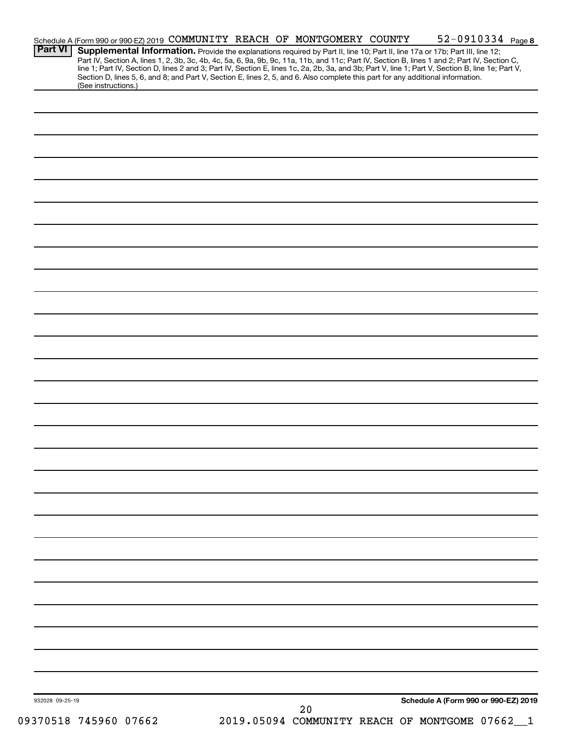| 932028 09-25-19 |                                                                                                                                                                                                                                                                                                  |  | 20                                                                                                                              |  |                                      |  |
|-----------------|--------------------------------------------------------------------------------------------------------------------------------------------------------------------------------------------------------------------------------------------------------------------------------------------------|--|---------------------------------------------------------------------------------------------------------------------------------|--|--------------------------------------|--|
|                 |                                                                                                                                                                                                                                                                                                  |  |                                                                                                                                 |  | Schedule A (Form 990 or 990-EZ) 2019 |  |
|                 |                                                                                                                                                                                                                                                                                                  |  |                                                                                                                                 |  |                                      |  |
|                 |                                                                                                                                                                                                                                                                                                  |  |                                                                                                                                 |  |                                      |  |
|                 |                                                                                                                                                                                                                                                                                                  |  |                                                                                                                                 |  |                                      |  |
|                 |                                                                                                                                                                                                                                                                                                  |  |                                                                                                                                 |  |                                      |  |
|                 |                                                                                                                                                                                                                                                                                                  |  |                                                                                                                                 |  |                                      |  |
|                 |                                                                                                                                                                                                                                                                                                  |  |                                                                                                                                 |  |                                      |  |
|                 |                                                                                                                                                                                                                                                                                                  |  |                                                                                                                                 |  |                                      |  |
|                 |                                                                                                                                                                                                                                                                                                  |  |                                                                                                                                 |  |                                      |  |
|                 |                                                                                                                                                                                                                                                                                                  |  |                                                                                                                                 |  |                                      |  |
|                 |                                                                                                                                                                                                                                                                                                  |  |                                                                                                                                 |  |                                      |  |
|                 |                                                                                                                                                                                                                                                                                                  |  |                                                                                                                                 |  |                                      |  |
|                 |                                                                                                                                                                                                                                                                                                  |  |                                                                                                                                 |  |                                      |  |
|                 |                                                                                                                                                                                                                                                                                                  |  |                                                                                                                                 |  |                                      |  |
|                 |                                                                                                                                                                                                                                                                                                  |  |                                                                                                                                 |  |                                      |  |
|                 |                                                                                                                                                                                                                                                                                                  |  |                                                                                                                                 |  |                                      |  |
|                 |                                                                                                                                                                                                                                                                                                  |  |                                                                                                                                 |  |                                      |  |
|                 |                                                                                                                                                                                                                                                                                                  |  |                                                                                                                                 |  |                                      |  |
|                 |                                                                                                                                                                                                                                                                                                  |  |                                                                                                                                 |  |                                      |  |
|                 |                                                                                                                                                                                                                                                                                                  |  |                                                                                                                                 |  |                                      |  |
|                 |                                                                                                                                                                                                                                                                                                  |  |                                                                                                                                 |  |                                      |  |
|                 |                                                                                                                                                                                                                                                                                                  |  |                                                                                                                                 |  |                                      |  |
|                 |                                                                                                                                                                                                                                                                                                  |  |                                                                                                                                 |  |                                      |  |
|                 |                                                                                                                                                                                                                                                                                                  |  |                                                                                                                                 |  |                                      |  |
|                 |                                                                                                                                                                                                                                                                                                  |  |                                                                                                                                 |  |                                      |  |
|                 |                                                                                                                                                                                                                                                                                                  |  |                                                                                                                                 |  |                                      |  |
|                 |                                                                                                                                                                                                                                                                                                  |  |                                                                                                                                 |  |                                      |  |
|                 | (See instructions.)                                                                                                                                                                                                                                                                              |  | Section D, lines 5, 6, and 8; and Part V, Section E, lines 2, 5, and 6. Also complete this part for any additional information. |  |                                      |  |
|                 | Part IV, Section A, lines 1, 2, 3b, 3c, 4b, 4c, 5a, 6, 9a, 9b, 9c, 11a, 11b, and 11c; Part IV, Section B, lines 1 and 2; Part IV, Section C,<br>line 1; Part IV, Section D, lines 2 and 3; Part IV, Section E, lines 1c, 2a, 2b, 3a, and 3b; Part V, line 1; Part V, Section B, line 1e; Part V, |  |                                                                                                                                 |  |                                      |  |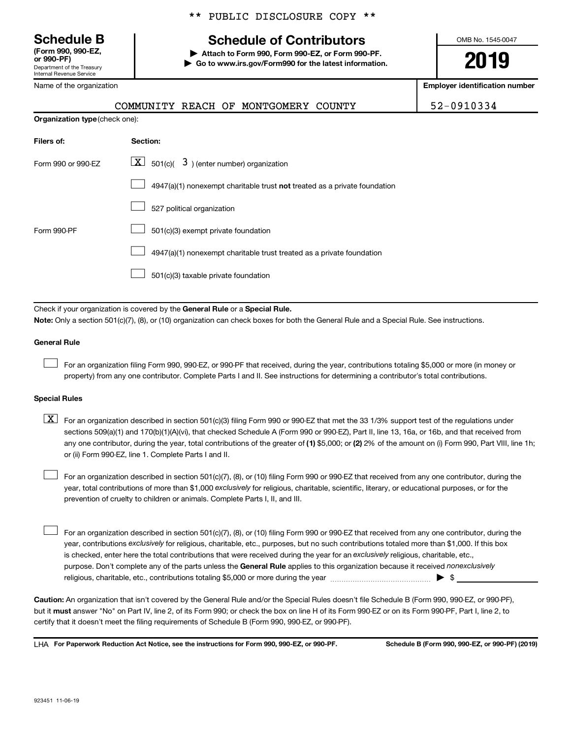Department of the Treasury **(Form 990, 990-EZ,**

Internal Revenue Service

Name of the organization

**Organization type** (check one):

#### \*\* PUBLIC DISCLOSURE COPY \*\*

# **Schedule B Schedule of Contributors**

**or 990-PF) | Attach to Form 990, Form 990-EZ, or Form 990-PF. | Go to www.irs.gov/Form990 for the latest information.** OMB No. 1545-0047

**2019**

**Employer identification number**

|  |  | 2-091033 |
|--|--|----------|
|--|--|----------|

|  | COMMUNITY REACH OF MONTGOMERY COUNTY | 52-0910334 |
|--|--------------------------------------|------------|

| Filers of:         | Section:                                                                    |
|--------------------|-----------------------------------------------------------------------------|
| Form 990 or 990-EZ | $\boxed{\textbf{X}}$ 501(c)( 3) (enter number) organization                 |
|                    | $4947(a)(1)$ nonexempt charitable trust not treated as a private foundation |
|                    | 527 political organization                                                  |
| Form 990-PF        | 501(c)(3) exempt private foundation                                         |
|                    | 4947(a)(1) nonexempt charitable trust treated as a private foundation       |
|                    | 501(c)(3) taxable private foundation                                        |

Check if your organization is covered by the General Rule or a Special Rule.

**Note:**  Only a section 501(c)(7), (8), or (10) organization can check boxes for both the General Rule and a Special Rule. See instructions.

#### **General Rule**

 $\Box$ 

For an organization filing Form 990, 990-EZ, or 990-PF that received, during the year, contributions totaling \$5,000 or more (in money or property) from any one contributor. Complete Parts I and II. See instructions for determining a contributor's total contributions.

#### **Special Rules**

any one contributor, during the year, total contributions of the greater of (1) \$5,000; or (2) 2% of the amount on (i) Form 990, Part VIII, line 1h;  $\boxed{\text{X}}$  For an organization described in section 501(c)(3) filing Form 990 or 990-EZ that met the 33 1/3% support test of the regulations under sections 509(a)(1) and 170(b)(1)(A)(vi), that checked Schedule A (Form 990 or 990-EZ), Part II, line 13, 16a, or 16b, and that received from or (ii) Form 990-EZ, line 1. Complete Parts I and II.

year, total contributions of more than \$1,000 *exclusively* for religious, charitable, scientific, literary, or educational purposes, or for the For an organization described in section 501(c)(7), (8), or (10) filing Form 990 or 990-EZ that received from any one contributor, during the prevention of cruelty to children or animals. Complete Parts I, II, and III.  $\Box$ 

purpose. Don't complete any of the parts unless the General Rule applies to this organization because it received nonexclusively year, contributions exclusively for religious, charitable, etc., purposes, but no such contributions totaled more than \$1,000. If this box is checked, enter here the total contributions that were received during the year for an exclusively religious, charitable, etc., For an organization described in section 501(c)(7), (8), or (10) filing Form 990 or 990-EZ that received from any one contributor, during the religious, charitable, etc., contributions totaling \$5,000 or more during the year  $\ldots$  $\ldots$  $\ldots$  $\ldots$  $\ldots$  $\ldots$  $\Box$ 

**Caution:**  An organization that isn't covered by the General Rule and/or the Special Rules doesn't file Schedule B (Form 990, 990-EZ, or 990-PF),  **must** but it answer "No" on Part IV, line 2, of its Form 990; or check the box on line H of its Form 990-EZ or on its Form 990-PF, Part I, line 2, to certify that it doesn't meet the filing requirements of Schedule B (Form 990, 990-EZ, or 990-PF).

**For Paperwork Reduction Act Notice, see the instructions for Form 990, 990-EZ, or 990-PF. Schedule B (Form 990, 990-EZ, or 990-PF) (2019)** LHA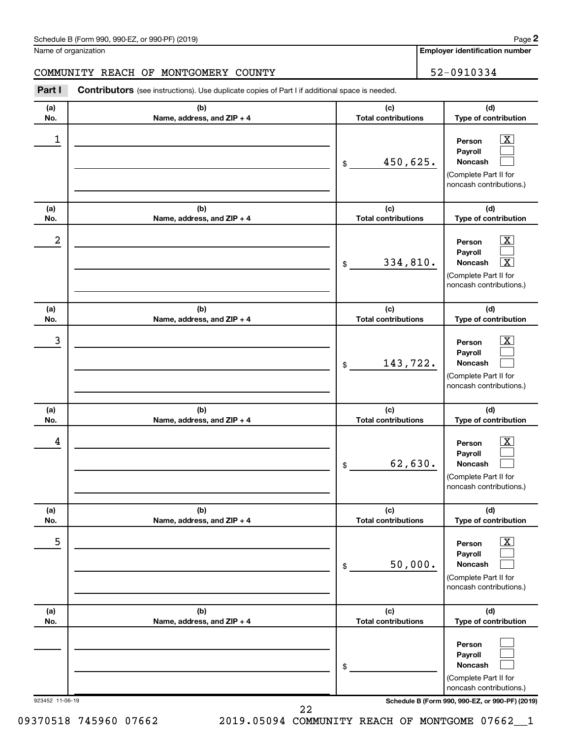| Schedule B (Form 990, 990-EZ, or 990-PF) (2019)<br>$\sqrt{2}$ and $\sqrt{2}$ and $\sqrt{2}$ and $\sqrt{2}$ and $\sqrt{2}$ and $\sqrt{2}$ and $\sqrt{2}$ and $\sqrt{2}$ and $\sqrt{2}$ and $\sqrt{2}$ and $\sqrt{2}$ and $\sqrt{2}$ and $\sqrt{2}$ and $\sqrt{2}$ and $\sqrt{2}$ and $\sqrt{2}$ and $\sqrt{2}$ and $\sqrt{2}$ and $\sqrt{2$ | Page |
|--------------------------------------------------------------------------------------------------------------------------------------------------------------------------------------------------------------------------------------------------------------------------------------------------------------------------------------------|------|
|--------------------------------------------------------------------------------------------------------------------------------------------------------------------------------------------------------------------------------------------------------------------------------------------------------------------------------------------|------|

Name of organization

**Employer identification number**

# COMMUNITY REACH OF MONTGOMERY COUNTY 62-0910334

**Part I** Contributors (see instructions). Use duplicate copies of Part I if additional space is needed.

| (a)                    | (b)                               | (c)                                         | (d)                                                                                                                                                         |
|------------------------|-----------------------------------|---------------------------------------------|-------------------------------------------------------------------------------------------------------------------------------------------------------------|
| No.                    | Name, address, and ZIP + 4        | <b>Total contributions</b>                  | Type of contribution                                                                                                                                        |
| 1                      |                                   | 450,625.<br>\$                              | $\overline{\text{X}}$<br>Person<br>Payroll<br>Noncash<br>(Complete Part II for<br>noncash contributions.)                                                   |
| (a)<br>No.             | (b)<br>Name, address, and ZIP + 4 | (c)<br><b>Total contributions</b>           | (d)<br>Type of contribution                                                                                                                                 |
| 2                      |                                   | 334,810.<br>\$                              | $\overline{\text{X}}$<br>Person<br>Payroll<br>$\overline{\texttt{x}}$<br>Noncash<br>(Complete Part II for<br>noncash contributions.)                        |
| (a)<br>No.             | (b)<br>Name, address, and ZIP + 4 | (c)<br><b>Total contributions</b>           | (d)<br>Type of contribution                                                                                                                                 |
| 3                      |                                   | 143,722.<br>\$                              | x<br>Person<br>Payroll<br><b>Noncash</b><br>(Complete Part II for<br>noncash contributions.)                                                                |
| (a)<br>No.             | (b)<br>Name, address, and ZIP + 4 | (c)<br><b>Total contributions</b>           | (d)<br>Type of contribution                                                                                                                                 |
| 4                      |                                   | 62,630.<br>\$                               | x<br>Person<br>Payroll<br><b>Noncash</b><br>(Complete Part II for<br>noncash contributions.)                                                                |
| (a)                    | (b)                               | (c)                                         | (d)                                                                                                                                                         |
| No.<br>5               | Name, address, and ZIP + 4        | <b>Total contributions</b><br>50,000.<br>\$ | Type of contribution<br>$\overline{\text{X}}$<br>Person<br>Payroll<br>Noncash<br>(Complete Part II for<br>noncash contributions.)                           |
| (a)                    | (b)                               | (c)                                         | (d)                                                                                                                                                         |
| No.<br>923452 11-06-19 | Name, address, and ZIP + 4        | <b>Total contributions</b><br>\$            | Type of contribution<br>Person<br>Payroll<br>Noncash<br>(Complete Part II for<br>noncash contributions.)<br>Schedule B (Form 990, 990-EZ, or 990-PF) (2019) |

09370518 745960 07662 2019.05094 COMMUNITY REACH OF MONTGOME 07662\_1 22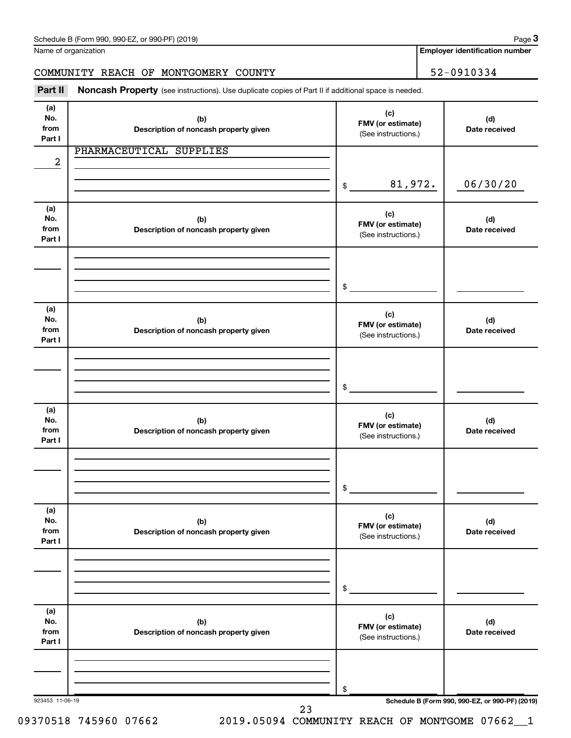Name of organization

**Employer identification number**

# COMMUNITY REACH OF MONTGOMERY COUNTY **1999** 52-0910334

Part II Noncash Property (see instructions). Use duplicate copies of Part II if additional space is needed.

| (a)<br>No.<br>from<br>Part I | (b)<br>Description of noncash property given | (c)<br>FMV (or estimate)<br>(See instructions.) | (d)<br>Date received                            |
|------------------------------|----------------------------------------------|-------------------------------------------------|-------------------------------------------------|
| $\overline{2}$               | PHARMACEUTICAL SUPPLIES                      |                                                 |                                                 |
|                              |                                              | 81,972.<br>$\frac{1}{2}$                        | 06/30/20                                        |
| (a)<br>No.<br>from<br>Part I | (b)<br>Description of noncash property given | (c)<br>FMV (or estimate)<br>(See instructions.) | (d)<br>Date received                            |
|                              |                                              | $\sim$                                          |                                                 |
| (a)<br>No.<br>from<br>Part I | (b)<br>Description of noncash property given | (c)<br>FMV (or estimate)<br>(See instructions.) | (d)<br>Date received                            |
|                              |                                              | $\frac{1}{2}$                                   |                                                 |
| (a)<br>No.<br>from<br>Part I | (b)<br>Description of noncash property given | (c)<br>FMV (or estimate)<br>(See instructions.) | (d)<br>Date received                            |
|                              |                                              | \$                                              |                                                 |
| (a)<br>No.<br>from<br>Part I | (b)<br>Description of noncash property given | (c)<br>FMV (or estimate)<br>(See instructions.) | (d)<br>Date received                            |
|                              |                                              | \$                                              |                                                 |
| (a)<br>No.<br>from<br>Part I | (b)<br>Description of noncash property given | (c)<br>FMV (or estimate)<br>(See instructions.) | (d)<br>Date received                            |
| 923453 11-06-19              |                                              | \$                                              | Schedule B (Form 990, 990-EZ, or 990-PF) (2019) |

09370518 745960 07662 2019.05094 COMMUNITY REACH OF MONTGOME 07662\_1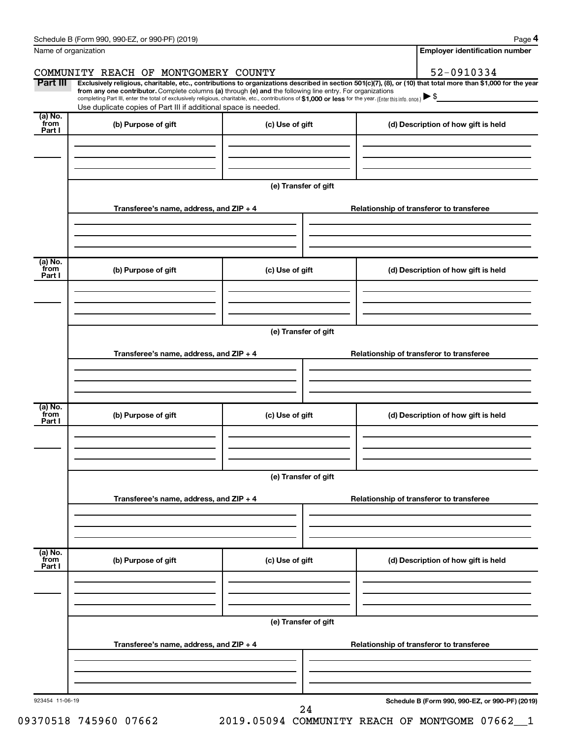| Name of organization<br>COMMUNITY REACH OF MONTGOMERY COUNTY<br>Part III<br>from any one contributor. Complete columns (a) through (e) and the following line entry. For organizations<br>completing Part III, enter the total of exclusively religious, charitable, etc., contributions of \$1,000 or less for the year. (Enter this info. once.)<br>Use duplicate copies of Part III if additional space is needed.<br>(a) No. | (c) Use of gift      | <b>Employer identification number</b><br>52-0910334<br>Exclusively religious, charitable, etc., contributions to organizations described in section 501(c)(7), (8), or (10) that total more than \$1,000 for the year |
|----------------------------------------------------------------------------------------------------------------------------------------------------------------------------------------------------------------------------------------------------------------------------------------------------------------------------------------------------------------------------------------------------------------------------------|----------------------|-----------------------------------------------------------------------------------------------------------------------------------------------------------------------------------------------------------------------|
|                                                                                                                                                                                                                                                                                                                                                                                                                                  |                      |                                                                                                                                                                                                                       |
|                                                                                                                                                                                                                                                                                                                                                                                                                                  |                      |                                                                                                                                                                                                                       |
|                                                                                                                                                                                                                                                                                                                                                                                                                                  |                      |                                                                                                                                                                                                                       |
|                                                                                                                                                                                                                                                                                                                                                                                                                                  |                      |                                                                                                                                                                                                                       |
|                                                                                                                                                                                                                                                                                                                                                                                                                                  |                      |                                                                                                                                                                                                                       |
| from<br>(b) Purpose of gift<br>Part I                                                                                                                                                                                                                                                                                                                                                                                            |                      | (d) Description of how gift is held                                                                                                                                                                                   |
|                                                                                                                                                                                                                                                                                                                                                                                                                                  |                      |                                                                                                                                                                                                                       |
|                                                                                                                                                                                                                                                                                                                                                                                                                                  |                      |                                                                                                                                                                                                                       |
|                                                                                                                                                                                                                                                                                                                                                                                                                                  |                      |                                                                                                                                                                                                                       |
|                                                                                                                                                                                                                                                                                                                                                                                                                                  | (e) Transfer of gift |                                                                                                                                                                                                                       |
| Transferee's name, address, and ZIP + 4                                                                                                                                                                                                                                                                                                                                                                                          |                      | Relationship of transferor to transferee                                                                                                                                                                              |
|                                                                                                                                                                                                                                                                                                                                                                                                                                  |                      |                                                                                                                                                                                                                       |
|                                                                                                                                                                                                                                                                                                                                                                                                                                  |                      |                                                                                                                                                                                                                       |
|                                                                                                                                                                                                                                                                                                                                                                                                                                  |                      |                                                                                                                                                                                                                       |
| (a) No.<br>from<br>(b) Purpose of gift                                                                                                                                                                                                                                                                                                                                                                                           |                      |                                                                                                                                                                                                                       |
| Part I                                                                                                                                                                                                                                                                                                                                                                                                                           | (c) Use of gift      | (d) Description of how gift is held                                                                                                                                                                                   |
|                                                                                                                                                                                                                                                                                                                                                                                                                                  |                      |                                                                                                                                                                                                                       |
|                                                                                                                                                                                                                                                                                                                                                                                                                                  |                      |                                                                                                                                                                                                                       |
|                                                                                                                                                                                                                                                                                                                                                                                                                                  |                      |                                                                                                                                                                                                                       |
|                                                                                                                                                                                                                                                                                                                                                                                                                                  | (e) Transfer of gift |                                                                                                                                                                                                                       |
| Transferee's name, address, and ZIP + 4                                                                                                                                                                                                                                                                                                                                                                                          |                      | Relationship of transferor to transferee                                                                                                                                                                              |
|                                                                                                                                                                                                                                                                                                                                                                                                                                  |                      |                                                                                                                                                                                                                       |
|                                                                                                                                                                                                                                                                                                                                                                                                                                  |                      |                                                                                                                                                                                                                       |
|                                                                                                                                                                                                                                                                                                                                                                                                                                  |                      |                                                                                                                                                                                                                       |
| (a) No.<br>from<br>(b) Purpose of gift                                                                                                                                                                                                                                                                                                                                                                                           | (c) Use of gift      | (d) Description of how gift is held                                                                                                                                                                                   |
| Part I                                                                                                                                                                                                                                                                                                                                                                                                                           |                      |                                                                                                                                                                                                                       |
|                                                                                                                                                                                                                                                                                                                                                                                                                                  |                      |                                                                                                                                                                                                                       |
|                                                                                                                                                                                                                                                                                                                                                                                                                                  |                      |                                                                                                                                                                                                                       |
|                                                                                                                                                                                                                                                                                                                                                                                                                                  | (e) Transfer of gift |                                                                                                                                                                                                                       |
|                                                                                                                                                                                                                                                                                                                                                                                                                                  |                      |                                                                                                                                                                                                                       |
| Transferee's name, address, and ZIP + 4                                                                                                                                                                                                                                                                                                                                                                                          |                      | Relationship of transferor to transferee                                                                                                                                                                              |
|                                                                                                                                                                                                                                                                                                                                                                                                                                  |                      |                                                                                                                                                                                                                       |
|                                                                                                                                                                                                                                                                                                                                                                                                                                  |                      |                                                                                                                                                                                                                       |
| (a) No.<br>from                                                                                                                                                                                                                                                                                                                                                                                                                  |                      |                                                                                                                                                                                                                       |
| (b) Purpose of gift<br>Part I                                                                                                                                                                                                                                                                                                                                                                                                    | (c) Use of gift      | (d) Description of how gift is held                                                                                                                                                                                   |
|                                                                                                                                                                                                                                                                                                                                                                                                                                  |                      |                                                                                                                                                                                                                       |
|                                                                                                                                                                                                                                                                                                                                                                                                                                  |                      |                                                                                                                                                                                                                       |
|                                                                                                                                                                                                                                                                                                                                                                                                                                  |                      |                                                                                                                                                                                                                       |
|                                                                                                                                                                                                                                                                                                                                                                                                                                  | (e) Transfer of gift |                                                                                                                                                                                                                       |
| Transferee's name, address, and ZIP + 4                                                                                                                                                                                                                                                                                                                                                                                          |                      | Relationship of transferor to transferee                                                                                                                                                                              |
|                                                                                                                                                                                                                                                                                                                                                                                                                                  |                      |                                                                                                                                                                                                                       |
|                                                                                                                                                                                                                                                                                                                                                                                                                                  |                      |                                                                                                                                                                                                                       |
|                                                                                                                                                                                                                                                                                                                                                                                                                                  |                      |                                                                                                                                                                                                                       |
| 923454 11-06-19                                                                                                                                                                                                                                                                                                                                                                                                                  | 24                   | Schedule B (Form 990, 990-EZ, or 990-PF) (2019)                                                                                                                                                                       |

09370518 745960 07662 2019.05094 COMMUNITY REACH OF MONTGOME 07662\_\_1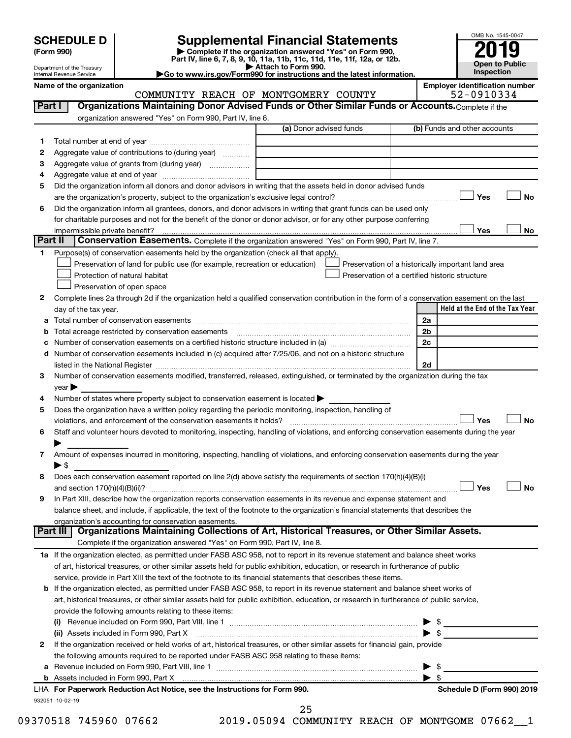| <b>SCHEDULE D</b> |
|-------------------|
|                   |

| (Form 990) |  |
|------------|--|
|------------|--|

# **SCHEDULE D Supplemental Financial Statements**<br> **Form 990 2019**<br> **Part IV** line 6.7.8.9.10, 11a, 11b, 11d, 11d, 11d, 11d, 11d, 12a, 0r, 12b

**(Form 990) | Complete if the organization answered "Yes" on Form 990, Part IV, line 6, 7, 8, 9, 10, 11a, 11b, 11c, 11d, 11e, 11f, 12a, or 12b.**

**| Attach to Form 990. |Go to www.irs.gov/Form990 for instructions and the latest information.**



Department of the Treasury Internal Revenue Service

Name of the organization<br>**COMMUNITY REACH OF MONTGOMERY COUNTY Employer identification number**<br>52-0910334 COMMUNITY REACH OF MONTGOMERY COUNTY

|    | organization answered "Yes" on Form 990, Part IV, line 6.                                                                                                              | (a) Donor advised funds | (b) Funds and other accounts                       |
|----|------------------------------------------------------------------------------------------------------------------------------------------------------------------------|-------------------------|----------------------------------------------------|
| 1  |                                                                                                                                                                        |                         |                                                    |
| 2  | Aggregate value of contributions to (during year)                                                                                                                      |                         |                                                    |
| з  | Aggregate value of grants from (during year)                                                                                                                           |                         |                                                    |
| 4  |                                                                                                                                                                        |                         |                                                    |
| 5  | Did the organization inform all donors and donor advisors in writing that the assets held in donor advised funds                                                       |                         |                                                    |
|    |                                                                                                                                                                        |                         | Yes<br>No                                          |
| 6  | Did the organization inform all grantees, donors, and donor advisors in writing that grant funds can be used only                                                      |                         |                                                    |
|    | for charitable purposes and not for the benefit of the donor or donor advisor, or for any other purpose conferring                                                     |                         |                                                    |
|    |                                                                                                                                                                        |                         | Yes<br>No                                          |
|    | Part II<br>Conservation Easements. Complete if the organization answered "Yes" on Form 990, Part IV, line 7.                                                           |                         |                                                    |
| 1. | Purpose(s) of conservation easements held by the organization (check all that apply).                                                                                  |                         |                                                    |
|    | Preservation of land for public use (for example, recreation or education)                                                                                             |                         | Preservation of a historically important land area |
|    | Protection of natural habitat                                                                                                                                          |                         | Preservation of a certified historic structure     |
|    | Preservation of open space                                                                                                                                             |                         |                                                    |
| 2  |                                                                                                                                                                        |                         |                                                    |
|    | Complete lines 2a through 2d if the organization held a qualified conservation contribution in the form of a conservation easement on the last<br>day of the tax year. |                         | Held at the End of the Tax Year                    |
|    |                                                                                                                                                                        |                         | 2a                                                 |
| а  |                                                                                                                                                                        |                         | 2 <sub>b</sub>                                     |
|    | Number of conservation easements on a certified historic structure included in (a) manufacture included in (a)                                                         |                         | 2c                                                 |
|    |                                                                                                                                                                        |                         |                                                    |
| d  | Number of conservation easements included in (c) acquired after 7/25/06, and not on a historic structure                                                               |                         |                                                    |
|    | listed in the National Register [111] [12] The National Register [11] Manuscritt, Manuscritt, Manuscritt, Manus                                                        |                         | 2d                                                 |
| 3  | Number of conservation easements modified, transferred, released, extinguished, or terminated by the organization during the tax                                       |                         |                                                    |
|    | year                                                                                                                                                                   |                         |                                                    |
| 4  | Number of states where property subject to conservation easement is located >                                                                                          |                         |                                                    |
| 5  | Does the organization have a written policy regarding the periodic monitoring, inspection, handling of                                                                 |                         |                                                    |
|    |                                                                                                                                                                        |                         | Yes<br><b>No</b>                                   |
| 6  | Staff and volunteer hours devoted to monitoring, inspecting, handling of violations, and enforcing conservation easements during the year                              |                         |                                                    |
|    |                                                                                                                                                                        |                         |                                                    |
| 7  | Amount of expenses incurred in monitoring, inspecting, handling of violations, and enforcing conservation easements during the year                                    |                         |                                                    |
|    | $\blacktriangleright$ \$                                                                                                                                               |                         |                                                    |
| 8  | Does each conservation easement reported on line 2(d) above satisfy the requirements of section 170(h)(4)(B)(i)                                                        |                         |                                                    |
|    |                                                                                                                                                                        |                         | Yes<br>No                                          |
| 9  | In Part XIII, describe how the organization reports conservation easements in its revenue and expense statement and                                                    |                         |                                                    |
|    | balance sheet, and include, if applicable, the text of the footnote to the organization's financial statements that describes the                                      |                         |                                                    |
|    | organization's accounting for conservation easements.                                                                                                                  |                         |                                                    |
|    | Organizations Maintaining Collections of Art, Historical Treasures, or Other Similar Assets.<br>Part III                                                               |                         |                                                    |
|    | Complete if the organization answered "Yes" on Form 990, Part IV, line 8.                                                                                              |                         |                                                    |
|    | 1a If the organization elected, as permitted under FASB ASC 958, not to report in its revenue statement and balance sheet works                                        |                         |                                                    |
|    | of art, historical treasures, or other similar assets held for public exhibition, education, or research in furtherance of public                                      |                         |                                                    |
|    |                                                                                                                                                                        |                         |                                                    |
|    | service, provide in Part XIII the text of the footnote to its financial statements that describes these items.                                                         |                         |                                                    |
|    | b If the organization elected, as permitted under FASB ASC 958, to report in its revenue statement and balance sheet works of                                          |                         |                                                    |
|    | art, historical treasures, or other similar assets held for public exhibition, education, or research in furtherance of public service,                                |                         |                                                    |
|    | provide the following amounts relating to these items:                                                                                                                 |                         |                                                    |
|    |                                                                                                                                                                        |                         |                                                    |
|    | (ii) Assets included in Form 990, Part X                                                                                                                               |                         | $\blacktriangleright$ \$                           |
|    |                                                                                                                                                                        |                         |                                                    |
|    | If the organization received or held works of art, historical treasures, or other similar assets for financial gain, provide                                           |                         |                                                    |
| 2  | the following amounts required to be reported under FASB ASC 958 relating to these items:                                                                              |                         |                                                    |
| а  |                                                                                                                                                                        |                         | $\blacktriangleright$ \$                           |
|    |                                                                                                                                                                        |                         | $\blacktriangleright$ s                            |
|    |                                                                                                                                                                        |                         |                                                    |
|    | LHA For Paperwork Reduction Act Notice, see the Instructions for Form 990.<br>932051 10-02-19                                                                          |                         | Schedule D (Form 990) 2019                         |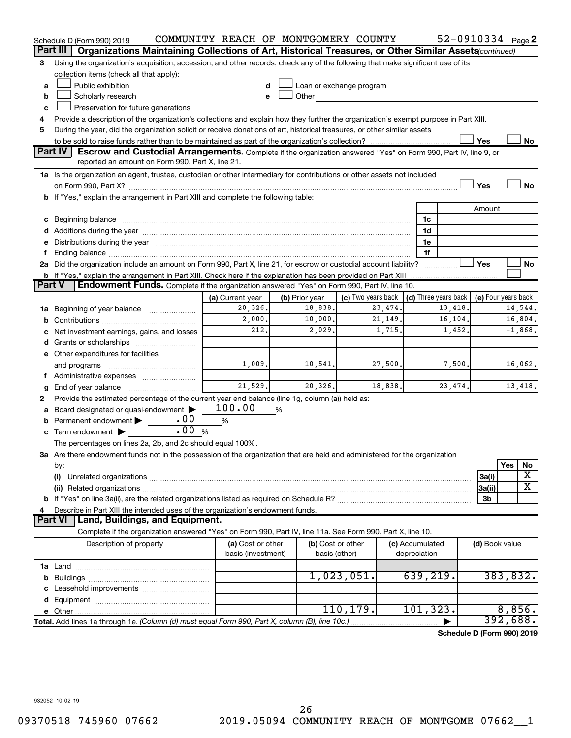|               | Schedule D (Form 990) 2019                                                                                                                                                                                                     | COMMUNITY REACH OF MONTGOMERY COUNTY |   |                          |                    |          |                 | 52-0910334 Page 2                                        |                |          |           |
|---------------|--------------------------------------------------------------------------------------------------------------------------------------------------------------------------------------------------------------------------------|--------------------------------------|---|--------------------------|--------------------|----------|-----------------|----------------------------------------------------------|----------------|----------|-----------|
|               | Part III<br>Organizations Maintaining Collections of Art, Historical Treasures, or Other Similar Assets(continued)                                                                                                             |                                      |   |                          |                    |          |                 |                                                          |                |          |           |
| 3             | Using the organization's acquisition, accession, and other records, check any of the following that make significant use of its                                                                                                |                                      |   |                          |                    |          |                 |                                                          |                |          |           |
|               | collection items (check all that apply):                                                                                                                                                                                       |                                      |   |                          |                    |          |                 |                                                          |                |          |           |
| a             | Public exhibition                                                                                                                                                                                                              |                                      |   | Loan or exchange program |                    |          |                 |                                                          |                |          |           |
| b             | Scholarly research                                                                                                                                                                                                             | e                                    |   | Other                    |                    |          |                 |                                                          |                |          |           |
| c             | Preservation for future generations                                                                                                                                                                                            |                                      |   |                          |                    |          |                 |                                                          |                |          |           |
| 4             | Provide a description of the organization's collections and explain how they further the organization's exempt purpose in Part XIII.                                                                                           |                                      |   |                          |                    |          |                 |                                                          |                |          |           |
| 5             | During the year, did the organization solicit or receive donations of art, historical treasures, or other similar assets                                                                                                       |                                      |   |                          |                    |          |                 |                                                          |                |          |           |
|               |                                                                                                                                                                                                                                |                                      |   |                          |                    |          |                 |                                                          | Yes            |          | No        |
|               | <b>Part IV</b><br>Escrow and Custodial Arrangements. Complete if the organization answered "Yes" on Form 990, Part IV, line 9, or<br>reported an amount on Form 990, Part X, line 21.                                          |                                      |   |                          |                    |          |                 |                                                          |                |          |           |
|               | 1a Is the organization an agent, trustee, custodian or other intermediary for contributions or other assets not included                                                                                                       |                                      |   |                          |                    |          |                 |                                                          |                |          |           |
|               |                                                                                                                                                                                                                                |                                      |   |                          |                    |          |                 |                                                          | Yes            |          | <b>No</b> |
|               | b If "Yes," explain the arrangement in Part XIII and complete the following table:                                                                                                                                             |                                      |   |                          |                    |          |                 |                                                          |                |          |           |
|               |                                                                                                                                                                                                                                |                                      |   |                          |                    |          |                 |                                                          | Amount         |          |           |
|               | c Beginning balance measurements and the contract of the contract of the contract of the contract of the contract of the contract of the contract of the contract of the contract of the contract of the contract of the contr |                                      |   |                          |                    |          | 1c              |                                                          |                |          |           |
|               |                                                                                                                                                                                                                                |                                      |   |                          |                    |          | 1d              |                                                          |                |          |           |
|               | e Distributions during the year manufactured and continuum and contact the year manufactured and contact the year manufactured and contact the year manufactured and contact the year manufactured and contact the year manufa |                                      |   |                          |                    |          | 1e              |                                                          |                |          |           |
|               |                                                                                                                                                                                                                                |                                      |   |                          |                    |          | 1f              |                                                          |                |          |           |
|               | 2a Did the organization include an amount on Form 990, Part X, line 21, for escrow or custodial account liability?                                                                                                             |                                      |   |                          |                    |          |                 |                                                          | Yes            |          | No        |
|               | <b>b</b> If "Yes," explain the arrangement in Part XIII. Check here if the explanation has been provided on Part XIII                                                                                                          |                                      |   |                          |                    |          |                 |                                                          |                |          |           |
| <b>Part V</b> | Endowment Funds. Complete if the organization answered "Yes" on Form 990, Part IV, line 10.                                                                                                                                    |                                      |   |                          |                    |          |                 |                                                          |                |          |           |
|               |                                                                                                                                                                                                                                | (a) Current year                     |   | (b) Prior year           | (c) Two years back |          |                 | $\vert$ (d) Three years back $\vert$ (e) Four years back |                |          |           |
|               | 1a Beginning of year balance                                                                                                                                                                                                   | 20,326.                              |   | 18,838.                  |                    | 23,474.  |                 | 13,418.                                                  |                |          | 14,544.   |
| b             |                                                                                                                                                                                                                                | 2,000.                               |   | 10,000.                  |                    | 21, 149. |                 | 16,104.                                                  |                |          | 16,804.   |
|               | Net investment earnings, gains, and losses                                                                                                                                                                                     | 212.                                 |   | 2,029.                   |                    | 1,715.   |                 | 1,452.                                                   |                |          | $-1,868.$ |
|               |                                                                                                                                                                                                                                |                                      |   |                          |                    |          |                 |                                                          |                |          |           |
|               | e Other expenditures for facilities                                                                                                                                                                                            |                                      |   |                          |                    |          |                 |                                                          |                |          |           |
|               | and programs                                                                                                                                                                                                                   | 1,009.                               |   | 10,541.                  |                    | 27,500.  |                 | 7,500.                                                   |                |          | 16,062.   |
|               | Administrative expenses                                                                                                                                                                                                        | 21,529.                              |   |                          |                    |          |                 |                                                          |                |          |           |
| g             | End of year balance                                                                                                                                                                                                            |                                      |   | 20, 326.                 |                    | 18,838.  |                 | 23, 474.                                                 |                |          | 13,418.   |
| 2             | Provide the estimated percentage of the current year end balance (line 1g, column (a)) held as:                                                                                                                                | 100.00                               |   |                          |                    |          |                 |                                                          |                |          |           |
|               | Board designated or quasi-endowment<br>.00                                                                                                                                                                                     |                                      | % |                          |                    |          |                 |                                                          |                |          |           |
|               | <b>b</b> Permanent endowment $\blacktriangleright$<br>.00%                                                                                                                                                                     | %                                    |   |                          |                    |          |                 |                                                          |                |          |           |
|               | c Term endowment $\blacktriangleright$                                                                                                                                                                                         |                                      |   |                          |                    |          |                 |                                                          |                |          |           |
|               | The percentages on lines 2a, 2b, and 2c should equal 100%.                                                                                                                                                                     |                                      |   |                          |                    |          |                 |                                                          |                |          |           |
|               | 3a Are there endowment funds not in the possession of the organization that are held and administered for the organization                                                                                                     |                                      |   |                          |                    |          |                 |                                                          |                | Yes      | No        |
|               | by:<br>(i)                                                                                                                                                                                                                     |                                      |   |                          |                    |          |                 |                                                          | 3a(i)          |          | х         |
|               |                                                                                                                                                                                                                                |                                      |   |                          |                    |          |                 |                                                          | 3a(ii)         |          | X         |
|               |                                                                                                                                                                                                                                |                                      |   |                          |                    |          |                 |                                                          | 3b             |          |           |
| 4             | Describe in Part XIII the intended uses of the organization's endowment funds.                                                                                                                                                 |                                      |   |                          |                    |          |                 |                                                          |                |          |           |
|               | Land, Buildings, and Equipment.<br>Part VI                                                                                                                                                                                     |                                      |   |                          |                    |          |                 |                                                          |                |          |           |
|               | Complete if the organization answered "Yes" on Form 990, Part IV, line 11a. See Form 990, Part X, line 10.                                                                                                                     |                                      |   |                          |                    |          |                 |                                                          |                |          |           |
|               | Description of property                                                                                                                                                                                                        | (a) Cost or other                    |   |                          | (b) Cost or other  |          | (c) Accumulated |                                                          | (d) Book value |          |           |
|               |                                                                                                                                                                                                                                | basis (investment)                   |   |                          | basis (other)      |          | depreciation    |                                                          |                |          |           |
|               |                                                                                                                                                                                                                                |                                      |   |                          |                    |          |                 |                                                          |                |          |           |
|               |                                                                                                                                                                                                                                |                                      |   |                          | 1,023,051.         |          | 639, 219.       |                                                          |                | 383,832. |           |
|               |                                                                                                                                                                                                                                |                                      |   |                          |                    |          |                 |                                                          |                |          |           |
|               |                                                                                                                                                                                                                                |                                      |   |                          |                    |          |                 |                                                          |                |          |           |
|               |                                                                                                                                                                                                                                |                                      |   |                          | 110, 179.          |          | 101, 323.       |                                                          |                |          | 8,856.    |
|               | Total. Add lines 1a through 1e. (Column (d) must equal Form 990, Part X, column (B), line 10c.)                                                                                                                                |                                      |   |                          |                    |          |                 |                                                          |                | 392,688. |           |
|               |                                                                                                                                                                                                                                |                                      |   |                          |                    |          |                 | Schedule D (Form 990) 2019                               |                |          |           |

932052 10-02-19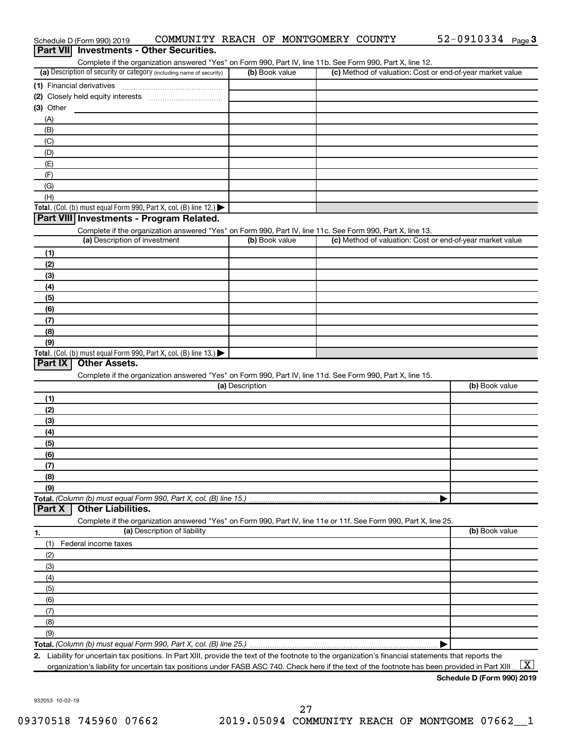|                                                                                                                               |                                                                                                                   |                 | Complete if the organization answered "Yes" on Form 990, Part IV, line 11b. See Form 990, Part X, line 12. |                |
|-------------------------------------------------------------------------------------------------------------------------------|-------------------------------------------------------------------------------------------------------------------|-----------------|------------------------------------------------------------------------------------------------------------|----------------|
|                                                                                                                               | (a) Description of security or category (including name of security)                                              | (b) Book value  | (c) Method of valuation: Cost or end-of-year market value                                                  |                |
| (1) Financial derivatives                                                                                                     |                                                                                                                   |                 |                                                                                                            |                |
|                                                                                                                               |                                                                                                                   |                 |                                                                                                            |                |
| $(3)$ Other                                                                                                                   |                                                                                                                   |                 |                                                                                                            |                |
| (A)                                                                                                                           |                                                                                                                   |                 |                                                                                                            |                |
| (B)                                                                                                                           |                                                                                                                   |                 |                                                                                                            |                |
| (C)                                                                                                                           |                                                                                                                   |                 |                                                                                                            |                |
| (D)                                                                                                                           |                                                                                                                   |                 |                                                                                                            |                |
| (E)                                                                                                                           |                                                                                                                   |                 |                                                                                                            |                |
| (F)                                                                                                                           |                                                                                                                   |                 |                                                                                                            |                |
| (G)                                                                                                                           |                                                                                                                   |                 |                                                                                                            |                |
| (H)                                                                                                                           |                                                                                                                   |                 |                                                                                                            |                |
|                                                                                                                               | Total. (Col. (b) must equal Form 990, Part X, col. (B) line 12.) $\blacktriangleright$                            |                 |                                                                                                            |                |
|                                                                                                                               | Part VIII Investments - Program Related.                                                                          |                 |                                                                                                            |                |
|                                                                                                                               | Complete if the organization answered "Yes" on Form 990, Part IV, line 11c. See Form 990, Part X, line 13.        |                 |                                                                                                            |                |
|                                                                                                                               | (a) Description of investment                                                                                     | (b) Book value  | (c) Method of valuation: Cost or end-of-year market value                                                  |                |
| (1)                                                                                                                           |                                                                                                                   |                 |                                                                                                            |                |
| (2)                                                                                                                           |                                                                                                                   |                 |                                                                                                            |                |
| (3)                                                                                                                           |                                                                                                                   |                 |                                                                                                            |                |
| (4)                                                                                                                           |                                                                                                                   |                 |                                                                                                            |                |
| (5)                                                                                                                           |                                                                                                                   |                 |                                                                                                            |                |
| (6)                                                                                                                           |                                                                                                                   |                 |                                                                                                            |                |
| (7)                                                                                                                           |                                                                                                                   |                 |                                                                                                            |                |
| (8)                                                                                                                           |                                                                                                                   |                 |                                                                                                            |                |
| (9)                                                                                                                           |                                                                                                                   |                 |                                                                                                            |                |
| Part IX                                                                                                                       | <b>Other Assets.</b>                                                                                              |                 |                                                                                                            |                |
|                                                                                                                               | Complete if the organization answered "Yes" on Form 990, Part IV, line 11d. See Form 990, Part X, line 15.        | (a) Description |                                                                                                            | (b) Book value |
|                                                                                                                               |                                                                                                                   |                 |                                                                                                            |                |
|                                                                                                                               |                                                                                                                   |                 |                                                                                                            |                |
|                                                                                                                               |                                                                                                                   |                 |                                                                                                            |                |
|                                                                                                                               |                                                                                                                   |                 |                                                                                                            |                |
|                                                                                                                               |                                                                                                                   |                 |                                                                                                            |                |
|                                                                                                                               |                                                                                                                   |                 |                                                                                                            |                |
|                                                                                                                               |                                                                                                                   |                 |                                                                                                            |                |
|                                                                                                                               |                                                                                                                   |                 |                                                                                                            |                |
|                                                                                                                               |                                                                                                                   |                 |                                                                                                            |                |
|                                                                                                                               | Total. (Column (b) must equal Form 990, Part X, col. (B) line 15.)<br><b>Other Liabilities.</b>                   |                 |                                                                                                            |                |
|                                                                                                                               | Complete if the organization answered "Yes" on Form 990, Part IV, line 11e or 11f. See Form 990, Part X, line 25. |                 |                                                                                                            |                |
|                                                                                                                               | (a) Description of liability                                                                                      |                 |                                                                                                            |                |
|                                                                                                                               | Federal income taxes                                                                                              |                 |                                                                                                            |                |
|                                                                                                                               |                                                                                                                   |                 |                                                                                                            |                |
|                                                                                                                               |                                                                                                                   |                 |                                                                                                            |                |
|                                                                                                                               |                                                                                                                   |                 |                                                                                                            |                |
|                                                                                                                               |                                                                                                                   |                 |                                                                                                            |                |
|                                                                                                                               |                                                                                                                   |                 |                                                                                                            |                |
|                                                                                                                               |                                                                                                                   |                 |                                                                                                            |                |
| (1)<br>(2)<br>(3)<br>(4)<br>(5)<br>(6)<br>(7)<br>(8)<br>(9)<br>Part X<br>(1)<br>(2)<br>(3)<br>(4)<br>(5)<br>(6)<br>(7)<br>(8) |                                                                                                                   |                 |                                                                                                            |                |
| (9)                                                                                                                           |                                                                                                                   |                 |                                                                                                            | (b) Book value |

Schedule D (Form 990) 2019 COMMUNITY REACH OF MONTGOMERY COUNTY 52-0910334 Page

52-0910334 Page 3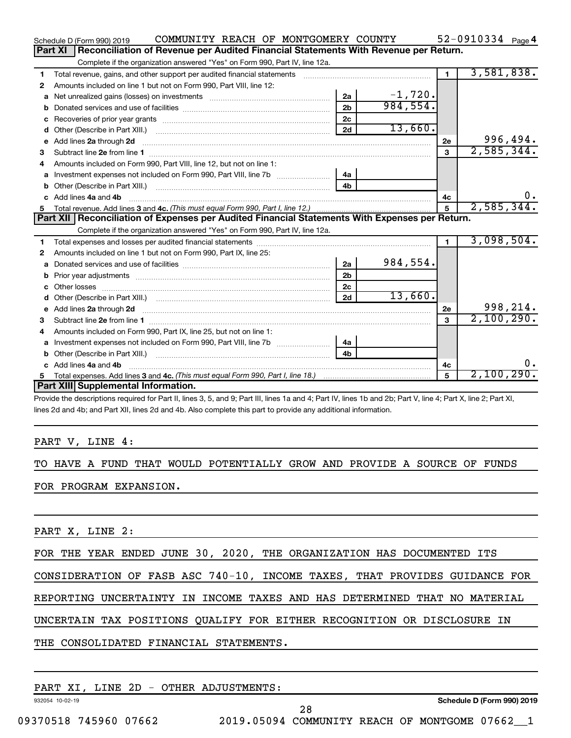|                                                                                                                                                                                                                                | COMMUNITY REACH OF MONTGOMERY COUNTY |                | $52 - 0910334$ Page 4 |
|--------------------------------------------------------------------------------------------------------------------------------------------------------------------------------------------------------------------------------|--------------------------------------|----------------|-----------------------|
| Reconciliation of Revenue per Audited Financial Statements With Revenue per Return.<br>Part XI                                                                                                                                 |                                      |                |                       |
| Complete if the organization answered "Yes" on Form 990, Part IV, line 12a.                                                                                                                                                    |                                      |                |                       |
| Total revenue, gains, and other support per audited financial statements<br>1                                                                                                                                                  |                                      | $\blacksquare$ | 3,581,838.            |
| Amounts included on line 1 but not on Form 990, Part VIII, line 12:<br>2                                                                                                                                                       |                                      |                |                       |
| 2a<br>a                                                                                                                                                                                                                        | $-1,720.$                            |                |                       |
| 2 <sub>b</sub>                                                                                                                                                                                                                 | 984,554.                             |                |                       |
| 2 <sub>c</sub>                                                                                                                                                                                                                 |                                      |                |                       |
| 2d<br>d                                                                                                                                                                                                                        | 13,660.                              |                |                       |
| Add lines 2a through 2d<br>e                                                                                                                                                                                                   |                                      | <b>2e</b>      | 996,494.              |
| З                                                                                                                                                                                                                              |                                      | $\mathbf{3}$   | 2,585,344.            |
| Amounts included on Form 990, Part VIII, line 12, but not on line 1:<br>4                                                                                                                                                      |                                      |                |                       |
| Investment expenses not included on Form 990, Part VIII, line 7b [11, 11, 11, 11, 11]<br>4а<br>a                                                                                                                               |                                      |                |                       |
| 4b                                                                                                                                                                                                                             |                                      |                |                       |
| c Add lines 4a and 4b                                                                                                                                                                                                          |                                      | 4c             | 0.                    |
|                                                                                                                                                                                                                                |                                      | 5              | 2,585,344.            |
|                                                                                                                                                                                                                                |                                      |                |                       |
| Part XII   Reconciliation of Expenses per Audited Financial Statements With Expenses per Return.                                                                                                                               |                                      |                |                       |
| Complete if the organization answered "Yes" on Form 990, Part IV, line 12a.                                                                                                                                                    |                                      |                |                       |
| 1                                                                                                                                                                                                                              |                                      | $\blacksquare$ | 3,098,504.            |
| Amounts included on line 1 but not on Form 990, Part IX, line 25:<br>2                                                                                                                                                         |                                      |                |                       |
| 2a<br>a                                                                                                                                                                                                                        | 984,554.                             |                |                       |
| 2 <sub>b</sub><br>b                                                                                                                                                                                                            |                                      |                |                       |
| 2c<br>Other losses<br>C.                                                                                                                                                                                                       |                                      |                |                       |
| 2d<br>Other (Describe in Part XIII.) [100] [2010] [2010] [2010] [2010] [2010] [2010] [2010] [2010] [2010] [2010] [20<br>d                                                                                                      | 13,660.                              |                |                       |
| e Add lines 2a through 2d [11] manufactured and all the Add lines 2a through 2d [11] manufactured and all through 2d [11] manufactured and all through 2d [11] manufactured and all through 2d [11] manufactured and all throu |                                      | 2e             | 998,214.              |
|                                                                                                                                                                                                                                |                                      | $\mathbf{a}$   | 2,100,290.            |
| Amounts included on Form 990, Part IX, line 25, but not on line 1:<br>4                                                                                                                                                        |                                      |                |                       |
| 4a<br>a                                                                                                                                                                                                                        |                                      |                |                       |
| 4 <sub>b</sub>                                                                                                                                                                                                                 |                                      |                |                       |
| c Add lines 4a and 4b                                                                                                                                                                                                          |                                      | 4c             | 0.                    |
| 5.<br>Part XIII Supplemental Information.                                                                                                                                                                                      |                                      | 5              | 2,100,290.            |

Provide the descriptions required for Part II, lines 3, 5, and 9; Part III, lines 1a and 4; Part IV, lines 1b and 2b; Part V, line 4; Part X, line 2; Part XI, lines 2d and 4b; and Part XII, lines 2d and 4b. Also complete this part to provide any additional information.

#### PART V, LINE 4:

TO HAVE A FUND THAT WOULD POTENTIALLY GROW AND PROVIDE A SOURCE OF FUNDS FOR PROGRAM EXPANSION.

PART X, LINE 2:

FOR THE YEAR ENDED JUNE 30, 2020, THE ORGANIZATION HAS DOCUMENTED ITS

CONSIDERATION OF FASB ASC 740-10, INCOME TAXES, THAT PROVIDES GUIDANCE FOR

REPORTING UNCERTAINTY IN INCOME TAXES AND HAS DETERMINED THAT NO MATERIAL

UNCERTAIN TAX POSITIONS QUALIFY FOR EITHER RECOGNITION OR DISCLOSURE IN

THE CONSOLIDATED FINANCIAL STATEMENTS.

### PART XI, LINE 2D - OTHER ADJUSTMENTS:

932054 10-02-19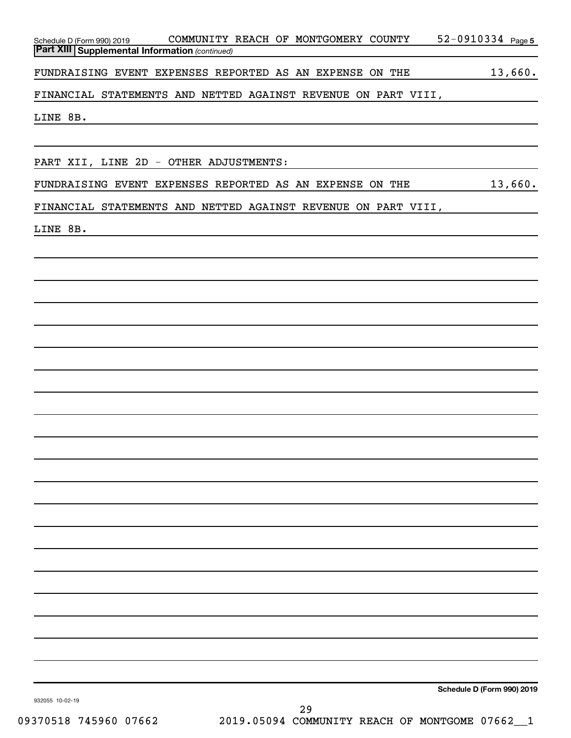| Schedule D (Form 990) 2019 COMMUNITY REACH OF MONTGOMERY COUNTY<br><b>Part XIII Supplemental Information (continued)</b><br><u> 1989 - Johann Barn, amerikansk politiker (d. 1989)</u> | 52-0910334 Page 5          |
|----------------------------------------------------------------------------------------------------------------------------------------------------------------------------------------|----------------------------|
| FUNDRAISING EVENT EXPENSES REPORTED AS AN EXPENSE ON THE 13,660.                                                                                                                       |                            |
| FINANCIAL STATEMENTS AND NETTED AGAINST REVENUE ON PART VIII,                                                                                                                          |                            |
| LINE 8B.<br><u> 1989 - Johann Barbara, martxa alemaniar argametar argametar argametar argametar argametar argametar argametar</u>                                                      |                            |
| PART XII, LINE 2D - OTHER ADJUSTMENTS:<br><u> 1989 - Andrea Barbara, amerikan personal dan personal dan personal dan personal dan personal dan personal dan</u>                        |                            |
| FUNDRAISING EVENT EXPENSES REPORTED AS AN EXPENSE ON THE 13,660.                                                                                                                       |                            |
| FINANCIAL STATEMENTS AND NETTED AGAINST REVENUE ON PART VIII,                                                                                                                          |                            |
| LINE 8B.                                                                                                                                                                               |                            |
|                                                                                                                                                                                        |                            |
|                                                                                                                                                                                        |                            |
|                                                                                                                                                                                        |                            |
|                                                                                                                                                                                        |                            |
|                                                                                                                                                                                        |                            |
|                                                                                                                                                                                        |                            |
|                                                                                                                                                                                        |                            |
|                                                                                                                                                                                        |                            |
|                                                                                                                                                                                        |                            |
|                                                                                                                                                                                        |                            |
|                                                                                                                                                                                        |                            |
|                                                                                                                                                                                        |                            |
|                                                                                                                                                                                        |                            |
|                                                                                                                                                                                        |                            |
|                                                                                                                                                                                        |                            |
|                                                                                                                                                                                        |                            |
|                                                                                                                                                                                        |                            |
|                                                                                                                                                                                        |                            |
|                                                                                                                                                                                        |                            |
| 932055 10-02-19<br>29                                                                                                                                                                  | Schedule D (Form 990) 2019 |

09370518 745960 07662 2019.05094 COMMUNITY REACH OF MONTGOME 07662\_1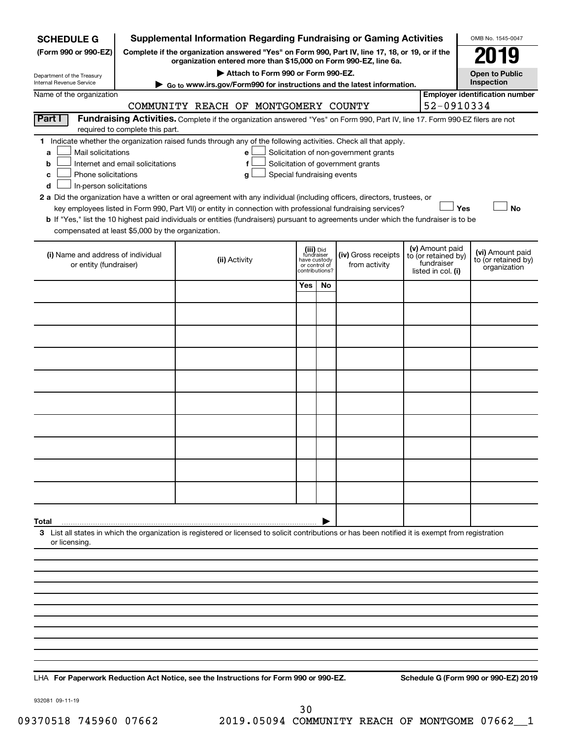| <b>SCHEDULE G</b>                                      |                                                                                                                                                                     | <b>Supplemental Information Regarding Fundraising or Gaming Activities</b>                                                                         |                                         |                                 |                                       |  |                                        | OMB No. 1545-0047                       |  |
|--------------------------------------------------------|---------------------------------------------------------------------------------------------------------------------------------------------------------------------|----------------------------------------------------------------------------------------------------------------------------------------------------|-----------------------------------------|---------------------------------|---------------------------------------|--|----------------------------------------|-----------------------------------------|--|
| (Form 990 or 990-EZ)                                   | Complete if the organization answered "Yes" on Form 990, Part IV, line 17, 18, or 19, or if the<br>organization entered more than \$15,000 on Form 990-EZ, line 6a. |                                                                                                                                                    |                                         |                                 |                                       |  |                                        | 19                                      |  |
|                                                        |                                                                                                                                                                     | Attach to Form 990 or Form 990-EZ.                                                                                                                 |                                         |                                 |                                       |  |                                        | <b>Open to Public</b>                   |  |
| Department of the Treasury<br>Internal Revenue Service |                                                                                                                                                                     | Go to www.irs.gov/Form990 for instructions and the latest information.                                                                             |                                         |                                 |                                       |  |                                        | Inspection                              |  |
| Name of the organization                               |                                                                                                                                                                     | COMMUNITY REACH OF MONTGOMERY COUNTY                                                                                                               |                                         |                                 |                                       |  | 52-0910334                             | <b>Employer identification number</b>   |  |
| Part I                                                 |                                                                                                                                                                     | Fundraising Activities. Complete if the organization answered "Yes" on Form 990, Part IV, line 17. Form 990-EZ filers are not                      |                                         |                                 |                                       |  |                                        |                                         |  |
|                                                        | required to complete this part.                                                                                                                                     |                                                                                                                                                    |                                         |                                 |                                       |  |                                        |                                         |  |
| Mail solicitations<br>a                                |                                                                                                                                                                     | 1 Indicate whether the organization raised funds through any of the following activities. Check all that apply.<br>е                               |                                         |                                 | Solicitation of non-government grants |  |                                        |                                         |  |
| b                                                      | Internet and email solicitations                                                                                                                                    | f                                                                                                                                                  |                                         |                                 | Solicitation of government grants     |  |                                        |                                         |  |
| c                                                      | Phone solicitations<br>Special fundraising events<br>g                                                                                                              |                                                                                                                                                    |                                         |                                 |                                       |  |                                        |                                         |  |
| In-person solicitations<br>d                           |                                                                                                                                                                     | 2 a Did the organization have a written or oral agreement with any individual (including officers, directors, trustees, or                         |                                         |                                 |                                       |  |                                        |                                         |  |
|                                                        |                                                                                                                                                                     | key employees listed in Form 990, Part VII) or entity in connection with professional fundraising services?                                        |                                         |                                 |                                       |  | Yes                                    | <b>No</b>                               |  |
|                                                        |                                                                                                                                                                     | b If "Yes," list the 10 highest paid individuals or entities (fundraisers) pursuant to agreements under which the fundraiser is to be              |                                         |                                 |                                       |  |                                        |                                         |  |
| compensated at least \$5,000 by the organization.      |                                                                                                                                                                     |                                                                                                                                                    |                                         |                                 |                                       |  |                                        |                                         |  |
| (i) Name and address of individual                     |                                                                                                                                                                     | (ii) Activity                                                                                                                                      | (iii) Did<br>fundraiser<br>have custody |                                 | (iv) Gross receipts                   |  | (v) Amount paid<br>to (or retained by) | (vi) Amount paid<br>to (or retained by) |  |
| or entity (fundraiser)                                 |                                                                                                                                                                     |                                                                                                                                                    |                                         | or control of<br>contributions? | from activity                         |  | fundraiser<br>listed in col. (i)       | organization                            |  |
|                                                        |                                                                                                                                                                     |                                                                                                                                                    | Yes                                     | No                              |                                       |  |                                        |                                         |  |
|                                                        |                                                                                                                                                                     |                                                                                                                                                    |                                         |                                 |                                       |  |                                        |                                         |  |
|                                                        |                                                                                                                                                                     |                                                                                                                                                    |                                         |                                 |                                       |  |                                        |                                         |  |
|                                                        |                                                                                                                                                                     |                                                                                                                                                    |                                         |                                 |                                       |  |                                        |                                         |  |
|                                                        |                                                                                                                                                                     |                                                                                                                                                    |                                         |                                 |                                       |  |                                        |                                         |  |
|                                                        |                                                                                                                                                                     |                                                                                                                                                    |                                         |                                 |                                       |  |                                        |                                         |  |
|                                                        |                                                                                                                                                                     |                                                                                                                                                    |                                         |                                 |                                       |  |                                        |                                         |  |
|                                                        |                                                                                                                                                                     |                                                                                                                                                    |                                         |                                 |                                       |  |                                        |                                         |  |
|                                                        |                                                                                                                                                                     |                                                                                                                                                    |                                         |                                 |                                       |  |                                        |                                         |  |
|                                                        |                                                                                                                                                                     |                                                                                                                                                    |                                         |                                 |                                       |  |                                        |                                         |  |
|                                                        |                                                                                                                                                                     |                                                                                                                                                    |                                         |                                 |                                       |  |                                        |                                         |  |
|                                                        |                                                                                                                                                                     |                                                                                                                                                    |                                         |                                 |                                       |  |                                        |                                         |  |
|                                                        |                                                                                                                                                                     |                                                                                                                                                    |                                         |                                 |                                       |  |                                        |                                         |  |
|                                                        |                                                                                                                                                                     |                                                                                                                                                    |                                         |                                 |                                       |  |                                        |                                         |  |
|                                                        |                                                                                                                                                                     |                                                                                                                                                    |                                         |                                 |                                       |  |                                        |                                         |  |
| Total                                                  |                                                                                                                                                                     |                                                                                                                                                    |                                         |                                 |                                       |  |                                        |                                         |  |
| or licensing.                                          |                                                                                                                                                                     | 3 List all states in which the organization is registered or licensed to solicit contributions or has been notified it is exempt from registration |                                         |                                 |                                       |  |                                        |                                         |  |
|                                                        |                                                                                                                                                                     |                                                                                                                                                    |                                         |                                 |                                       |  |                                        |                                         |  |
|                                                        |                                                                                                                                                                     |                                                                                                                                                    |                                         |                                 |                                       |  |                                        |                                         |  |
|                                                        |                                                                                                                                                                     |                                                                                                                                                    |                                         |                                 |                                       |  |                                        |                                         |  |
|                                                        |                                                                                                                                                                     |                                                                                                                                                    |                                         |                                 |                                       |  |                                        |                                         |  |
|                                                        |                                                                                                                                                                     |                                                                                                                                                    |                                         |                                 |                                       |  |                                        |                                         |  |
|                                                        |                                                                                                                                                                     |                                                                                                                                                    |                                         |                                 |                                       |  |                                        |                                         |  |
|                                                        |                                                                                                                                                                     |                                                                                                                                                    |                                         |                                 |                                       |  |                                        |                                         |  |
|                                                        |                                                                                                                                                                     |                                                                                                                                                    |                                         |                                 |                                       |  |                                        |                                         |  |

**For Paperwork Reduction Act Notice, see the Instructions for Form 990 or 990-EZ. Schedule G (Form 990 or 990-EZ) 2019** LHA

932081 09-11-19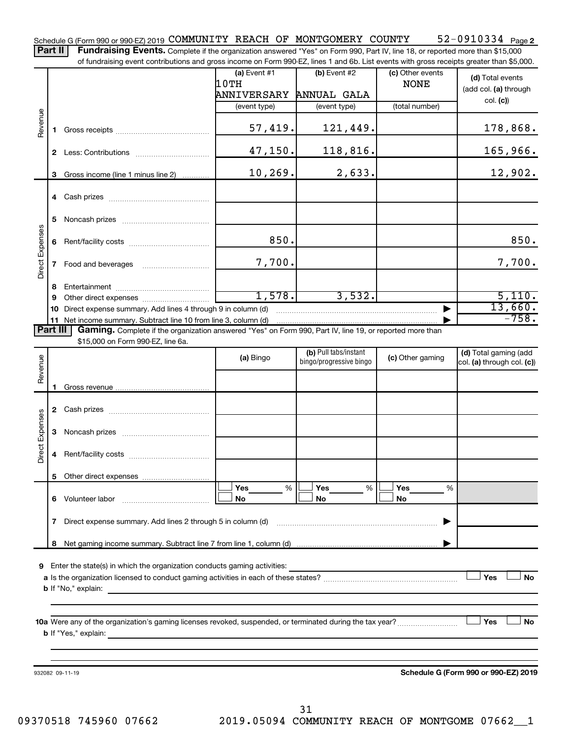52-0910334 Page 2 Schedule G (Form 990 or 990-EZ) 2019 COMMUNITY REACH OF MONTGOMERY COUNTY 52-0910334 Page Part II | Fundraising Events. Complete if the organization answered "Yes" on Form 990, Part IV, line 18, or reported more than \$15,000

of fundraising event contributions and gross income on Form 990-EZ, lines 1 and 6b. List events with gross receipts greater than \$5,000.

|                        |          |                                                                                                          | (a) Event $#1$          | (b) Event $#2$                                   | (c) Other events | (d) Total events                                        |
|------------------------|----------|----------------------------------------------------------------------------------------------------------|-------------------------|--------------------------------------------------|------------------|---------------------------------------------------------|
|                        |          |                                                                                                          | 10TH                    |                                                  | <b>NONE</b>      | (add col. (a) through                                   |
|                        |          |                                                                                                          | ANNIVERSARY ANNUAL GALA |                                                  |                  | col. (c)                                                |
|                        |          |                                                                                                          | (event type)            | (event type)                                     | (total number)   |                                                         |
| Revenue                | 1.       |                                                                                                          | 57,419.                 | 121,449.                                         |                  | 178,868.                                                |
|                        |          |                                                                                                          | 47, 150.                | 118,816.                                         |                  | 165,966.                                                |
|                        |          | 3 Gross income (line 1 minus line 2)                                                                     | 10, 269.                | 2,633.                                           |                  | 12,902.                                                 |
|                        |          |                                                                                                          |                         |                                                  |                  |                                                         |
|                        | 5        |                                                                                                          |                         |                                                  |                  |                                                         |
|                        | 6        |                                                                                                          | 850.                    |                                                  |                  | 850.                                                    |
| Direct Expenses        | 7        | Food and beverages                                                                                       | 7,700.                  |                                                  |                  | 7,700.                                                  |
|                        | 8        |                                                                                                          |                         |                                                  |                  |                                                         |
|                        | 9        |                                                                                                          | 1,578.                  | 3,532.                                           |                  | 5,110.                                                  |
|                        | 10       | Direct expense summary. Add lines 4 through 9 in column (d)                                              |                         |                                                  |                  | 13,660.                                                 |
|                        |          | 11 Net income summary. Subtract line 10 from line 3, column (d)                                          |                         |                                                  |                  | $-758.$                                                 |
|                        | Part III | Gaming. Complete if the organization answered "Yes" on Form 990, Part IV, line 19, or reported more than |                         |                                                  |                  |                                                         |
|                        |          | \$15,000 on Form 990-EZ, line 6a.                                                                        |                         |                                                  |                  |                                                         |
| Revenue                |          |                                                                                                          | (a) Bingo               | (b) Pull tabs/instant<br>bingo/progressive bingo | (c) Other gaming | (d) Total gaming (add<br>$ col. (a)$ through col. $(c)$ |
|                        |          |                                                                                                          |                         |                                                  |                  |                                                         |
|                        |          |                                                                                                          |                         |                                                  |                  |                                                         |
|                        |          |                                                                                                          |                         |                                                  |                  |                                                         |
| <b>Direct Expenses</b> | З        |                                                                                                          |                         |                                                  |                  |                                                         |
|                        | 4        |                                                                                                          |                         |                                                  |                  |                                                         |
|                        |          |                                                                                                          |                         |                                                  |                  |                                                         |
|                        | 6        | Volunteer labor                                                                                          | Yes<br>%<br>No          | Yes<br>%<br>No                                   | Yes<br>%<br>No   |                                                         |
|                        | 7        | Direct expense summary. Add lines 2 through 5 in column (d)                                              |                         |                                                  | ▶                |                                                         |
|                        | 8        |                                                                                                          |                         |                                                  |                  |                                                         |
| 9                      |          | Enter the state(s) in which the organization conducts gaming activities:                                 |                         |                                                  |                  |                                                         |
|                        |          | <b>b</b> If "No," explain:                                                                               |                         |                                                  |                  | Yes<br>No                                               |
|                        |          |                                                                                                          |                         |                                                  |                  |                                                         |
|                        |          | <b>b</b> If "Yes," explain:<br><u> 1980 - Johann John Stein, marwolaethau (b. 1980)</u>                  |                         |                                                  |                  | Yes<br>No                                               |
|                        |          |                                                                                                          |                         |                                                  |                  |                                                         |
|                        |          | 932082 09-11-19                                                                                          |                         |                                                  |                  | Schedule G (Form 990 or 990-EZ) 2019                    |
|                        |          |                                                                                                          |                         |                                                  |                  |                                                         |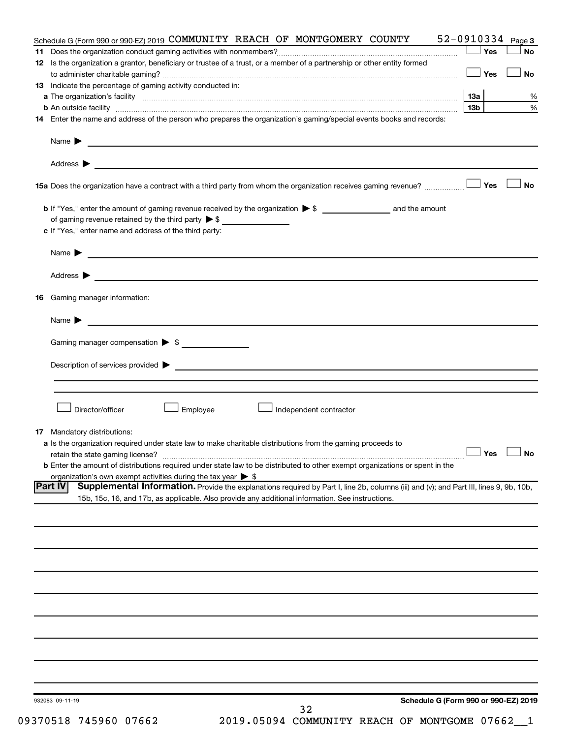| Schedule G (Form 990 or 990-EZ) 2019 COMMUNITY REACH OF MONTGOMERY COUNTY                                                                                | $52 - 0910334$ Page 3 |                      |
|----------------------------------------------------------------------------------------------------------------------------------------------------------|-----------------------|----------------------|
|                                                                                                                                                          | Yes                   | <b>No</b>            |
| 12 Is the organization a grantor, beneficiary or trustee of a trust, or a member of a partnership or other entity formed                                 |                       |                      |
|                                                                                                                                                          | │Yes                  | <b>No</b>            |
| 13 Indicate the percentage of gaming activity conducted in:                                                                                              |                       |                      |
|                                                                                                                                                          |                       | %                    |
|                                                                                                                                                          | 13 <sub>b</sub>       | $\%$                 |
| 14 Enter the name and address of the person who prepares the organization's gaming/special events books and records:                                     |                       |                      |
|                                                                                                                                                          |                       |                      |
|                                                                                                                                                          |                       |                      |
|                                                                                                                                                          |                       | No                   |
|                                                                                                                                                          |                       |                      |
|                                                                                                                                                          |                       |                      |
| c If "Yes," enter name and address of the third party:                                                                                                   |                       |                      |
|                                                                                                                                                          |                       |                      |
|                                                                                                                                                          |                       |                      |
|                                                                                                                                                          |                       |                      |
| <b>16</b> Gaming manager information:                                                                                                                    |                       |                      |
|                                                                                                                                                          |                       |                      |
| Gaming manager compensation > \$                                                                                                                         |                       |                      |
|                                                                                                                                                          |                       |                      |
|                                                                                                                                                          |                       |                      |
|                                                                                                                                                          |                       |                      |
| Director/officer<br>Employee<br>Independent contractor                                                                                                   |                       |                      |
|                                                                                                                                                          |                       |                      |
| <b>17</b> Mandatory distributions:                                                                                                                       |                       |                      |
| a Is the organization required under state law to make charitable distributions from the gaming proceeds to                                              |                       | $\Box$ Yes $\Box$ No |
| <b>b</b> Enter the amount of distributions required under state law to be distributed to other exempt organizations or spent in the                      |                       |                      |
| organization's own exempt activities during the tax year $\triangleright$ \$                                                                             |                       |                      |
| Supplemental Information. Provide the explanations required by Part I, line 2b, columns (iii) and (v); and Part III, lines 9, 9b, 10b,<br><b>Part IV</b> |                       |                      |
| 15b, 15c, 16, and 17b, as applicable. Also provide any additional information. See instructions.                                                         |                       |                      |
|                                                                                                                                                          |                       |                      |
|                                                                                                                                                          |                       |                      |
|                                                                                                                                                          |                       |                      |
|                                                                                                                                                          |                       |                      |
|                                                                                                                                                          |                       |                      |
|                                                                                                                                                          |                       |                      |
|                                                                                                                                                          |                       |                      |
|                                                                                                                                                          |                       |                      |
|                                                                                                                                                          |                       |                      |
|                                                                                                                                                          |                       |                      |
|                                                                                                                                                          |                       |                      |
| Schedule G (Form 990 or 990-EZ) 2019<br>932083 09-11-19                                                                                                  |                       |                      |
| 32                                                                                                                                                       |                       |                      |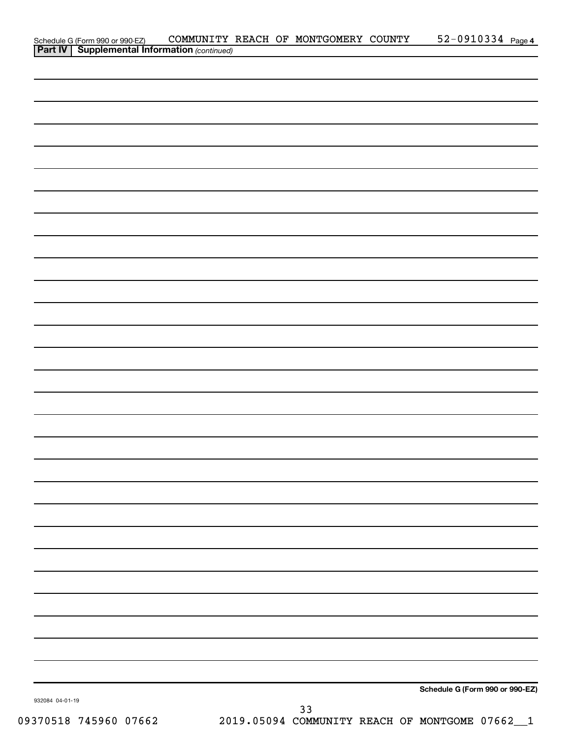|                 | Schedule G (Form 990 or 990-EZ) COMMUNITY<br><b>Part IV   Supplemental Information</b> (continued) | COMMUNITY REACH OF MONTGOMERY COUNTY |  |    | 52-0910334 Page 4               |
|-----------------|----------------------------------------------------------------------------------------------------|--------------------------------------|--|----|---------------------------------|
|                 |                                                                                                    |                                      |  |    |                                 |
|                 |                                                                                                    |                                      |  |    |                                 |
|                 |                                                                                                    |                                      |  |    |                                 |
|                 |                                                                                                    |                                      |  |    |                                 |
|                 |                                                                                                    |                                      |  |    |                                 |
|                 |                                                                                                    |                                      |  |    |                                 |
|                 |                                                                                                    |                                      |  |    |                                 |
|                 |                                                                                                    |                                      |  |    |                                 |
|                 |                                                                                                    |                                      |  |    |                                 |
|                 |                                                                                                    |                                      |  |    |                                 |
|                 |                                                                                                    |                                      |  |    |                                 |
|                 |                                                                                                    |                                      |  |    |                                 |
|                 |                                                                                                    |                                      |  |    |                                 |
|                 |                                                                                                    |                                      |  |    |                                 |
|                 |                                                                                                    |                                      |  |    |                                 |
|                 |                                                                                                    |                                      |  |    |                                 |
|                 |                                                                                                    |                                      |  |    |                                 |
|                 |                                                                                                    |                                      |  |    |                                 |
|                 |                                                                                                    |                                      |  |    |                                 |
|                 |                                                                                                    |                                      |  |    |                                 |
|                 |                                                                                                    |                                      |  |    |                                 |
|                 |                                                                                                    |                                      |  |    |                                 |
|                 |                                                                                                    |                                      |  |    |                                 |
|                 |                                                                                                    |                                      |  |    |                                 |
|                 |                                                                                                    |                                      |  |    |                                 |
|                 |                                                                                                    |                                      |  |    |                                 |
|                 |                                                                                                    |                                      |  |    |                                 |
|                 |                                                                                                    |                                      |  |    |                                 |
|                 |                                                                                                    |                                      |  |    |                                 |
|                 |                                                                                                    |                                      |  |    |                                 |
|                 |                                                                                                    |                                      |  |    |                                 |
|                 |                                                                                                    |                                      |  |    |                                 |
|                 |                                                                                                    |                                      |  |    |                                 |
|                 |                                                                                                    |                                      |  |    |                                 |
|                 |                                                                                                    |                                      |  |    |                                 |
| 932084 04-01-19 |                                                                                                    |                                      |  |    | Schedule G (Form 990 or 990-EZ) |
|                 |                                                                                                    |                                      |  | 33 |                                 |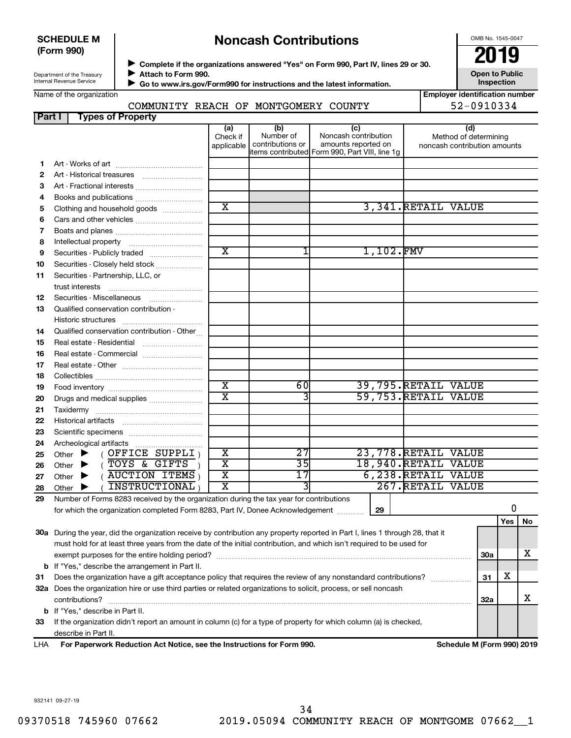#### **SCHEDULE M (Form 990)**

# **Noncash Contributions**

OMB No. 1545-0047

| Department of the Treasury |  |
|----------------------------|--|
| Internal Revenue Service   |  |

◆ Complete if the organizations answered "Yes" on Form 990, Part IV, lines 29 or 30.<br>▶ Complete if the organizations answered "Yes" on Form 990, Part IV, lines 29 or 30.  $\blacktriangleright$ 

 $\blacktriangleright$ 

**Attach to Form 990. Go to www.irs.gov/Form990 for instructions and the latest information.** **Open to Public Inspection**

| Name of the organization |  |
|--------------------------|--|
|--------------------------|--|

### COMMUNITY REACH OF MONTGOMERY COUNTY 52-0910334

| <b>Employer identification number</b> |            |  |
|---------------------------------------|------------|--|
|                                       | ES NOTAS A |  |

#### **(a) (b) (c) (d) 1 2 3 4 5 6 7 8 9 10 11 12 13 14 15 16 17 18 19 20 21 22 23 24 25 26 27 28 29 29 Yes No 30 a** During the year, did the organization receive by contribution any property reported in Part I, lines 1 through 28, that it **31 32 a** Does the organization hire or use third parties or related organizations to solicit, process, or sell noncash **33 b** If "Yes," describe the arrangement in Part II. **30a 31 32a b** If "Yes," describe in Part II. Check if applicable Number of contributions or items contributed Form 990, Part VIII, line 1g Noncash contribution amounts reported on Method of determining noncash contribution amounts Art - Works of art ~~~~~~~~~~~~~ Art - Historical treasures ~~~~~~~~~ Art - Fractional interests ~~~~~~~~~~ Books and publications .............................. Clothing and household goods ................. Cars and other vehicles .............................. Boats and planes ~~~~~~~~~~~~~ Intellectual property ~~~~~~~~~~~ Securities - Publicly traded ....................... Securities - Closely held stock .................... Securities - Partnership, LLC, or trust interests ~~~~~~~~~~~~~~ Securities - Miscellaneous ~~~~~~~~ Qualified conservation contribution - Historic structures ~~~~~~~~~~~~ Qualified conservation contribution - Other... Real estate - Residential ~~~~~~~~~ Real estate - Commercial ........................... Real estate - Other ~~~~~~~~~~~~ Collectibles ~~~~~~~~~~~~~~~~ Food inventory ~~~~~~~~~~~~~~ Drugs and medical supplies ....................... Taxidermy ~~~~~~~~~~~~~~~~ Historical artifacts ~~~~~~~~~~~~ Scientific specimens ................................. Archeological artifacts ………………………………  $($  OFFICE SUPPLI $)$ Other  $\blacktriangleright$  (TOYS & GIFTS )  $\begin{bmatrix} \phantom{-}X & \phantom{-} & \phantom{-} & 35 & \phantom{-} & 18\end{bmatrix}$  18,940. RETAIL VALUE Other  $\blacktriangleright$  (  $\overline{\text{AUCTION}}$  ITEMS )  $\begin{bmatrix} \text{X} \end{bmatrix}$  17 6,238. RETAIL VALUE Other  $\blacktriangleright$  (  $\overline{\text{INSTRUCTIONAL}}$  )  $\begin{bmatrix} \text{X} \end{bmatrix}$  3 267. RETAIL VALUE Number of Forms 8283 received by the organization during the tax year for contributions for which the organization completed Form 8283, Part IV, Donee Acknowledgement ............ must hold for at least three years from the date of the initial contribution, and which isn't required to be used for exempt purposes for the entire holding period? ~~~~~~~~~~~~~~~~~~~~~~~~~~~~~~~~~~~~~~ Does the organization have a gift acceptance policy that requires the review of any nonstandard contributions?  $\ldots$ contributions? ~~~~~~~~~~~~~~~~~~~~~~~~~~~~~~~~~~~~~~~~~~~~~~~~~~~~~~ If the organization didn't report an amount in column (c) for a type of property for which column (a) is checked, describe in Part II. **Part I Types of Property** Other  $\blacktriangleright$ Other  $\blacktriangleright$ Other  $\blacktriangleright$  $\blacktriangleright$ X | 3,341.RETAIL VALUE  $X$  1,102. FMV X | 60 39,795.RETAIL VALUE X | 3 3 59,753. RETAIL VALUE X | 27 23,778.RETAIL VALUE 0 X X X

**For Paperwork Reduction Act Notice, see the Instructions for Form 990. Schedule M (Form 990) 2019** LHA

932141 09-27-19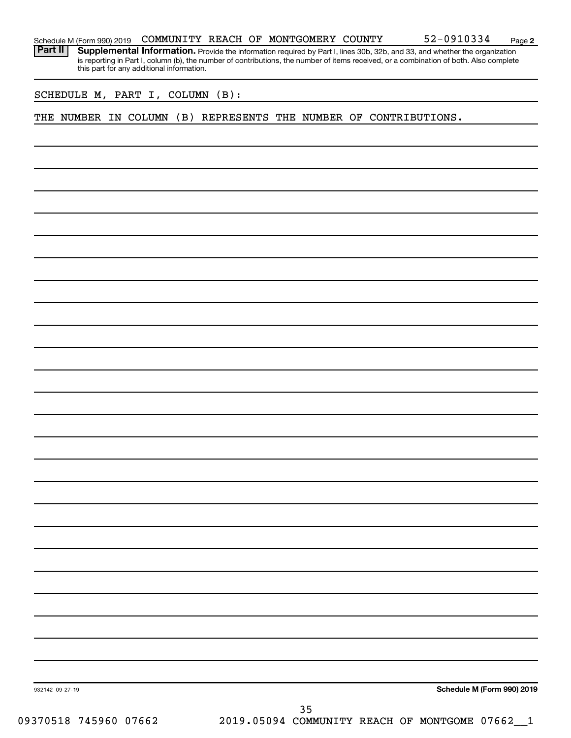|  | Schedule M (Form 990) 2019 |  |  |  | COMMUNITY REACH OF MONTGOMERY COUNTY |  | 52-0910334 | Page |  |
|--|----------------------------|--|--|--|--------------------------------------|--|------------|------|--|
|--|----------------------------|--|--|--|--------------------------------------|--|------------|------|--|

**2**

Part II | Supplemental Information. Provide the information required by Part I, lines 30b, 32b, and 33, and whether the organization is reporting in Part I, column (b), the number of contributions, the number of items received, or a combination of both. Also complete this part for any additional information.

SCHEDULE M, PART I, COLUMN (B):

THE NUMBER IN COLUMN (B) REPRESENTS THE NUMBER OF CONTRIBUTIONS.

**Schedule M (Form 990) 2019**

932142 09-27-19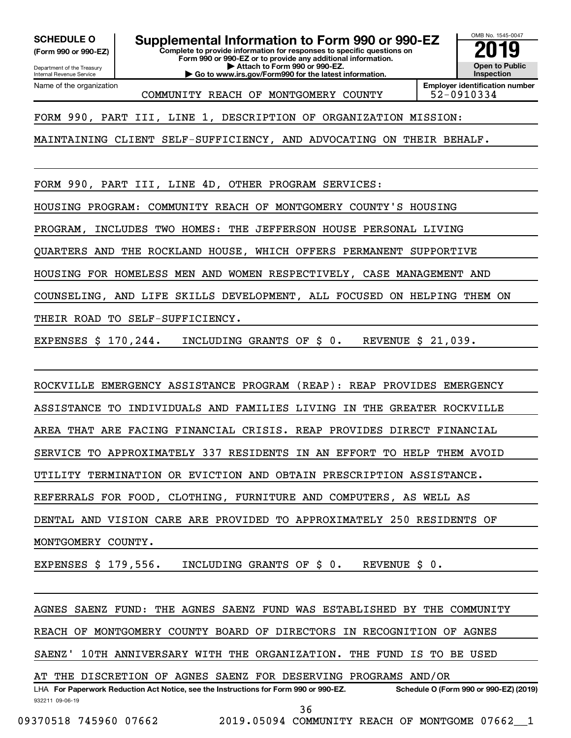Department of the Treasury Internal Revenue Service

Name of the organization

**(Form 990 or 990-EZ)**

**Complete to provide information for responses to specific questions on SCHEDULE O Supplemental Information to Form 990 or 990-EZ 2019** 

**Form 990 or 990-EZ or to provide any additional information. | Attach to Form 990 or 990-EZ.**

**| Go to www.irs.gov/Form990 for the latest information.**

OMB No. 1545-0047 **Open to Public Inspection**

**Employer identification number** COMMUNITY REACH OF MONTGOMERY COUNTY 52-0910334

FORM 990, PART III, LINE 1, DESCRIPTION OF ORGANIZATION MISSION:

MAINTAINING CLIENT SELF-SUFFICIENCY, AND ADVOCATING ON THEIR BEHALF.

FORM 990, PART III, LINE 4D, OTHER PROGRAM SERVICES:

HOUSING PROGRAM: COMMUNITY REACH OF MONTGOMERY COUNTY'S HOUSING

PROGRAM, INCLUDES TWO HOMES: THE JEFFERSON HOUSE PERSONAL LIVING

QUARTERS AND THE ROCKLAND HOUSE, WHICH OFFERS PERMANENT SUPPORTIVE

HOUSING FOR HOMELESS MEN AND WOMEN RESPECTIVELY, CASE MANAGEMENT AND

COUNSELING, AND LIFE SKILLS DEVELOPMENT, ALL FOCUSED ON HELPING THEM ON

THEIR ROAD TO SELF-SUFFICIENCY.

EXPENSES \$ 170,244. INCLUDING GRANTS OF \$ 0. REVENUE \$ 21,039.

ROCKVILLE EMERGENCY ASSISTANCE PROGRAM (REAP): REAP PROVIDES EMERGENCY

ASSISTANCE TO INDIVIDUALS AND FAMILIES LIVING IN THE GREATER ROCKVILLE

AREA THAT ARE FACING FINANCIAL CRISIS. REAP PROVIDES DIRECT FINANCIAL

SERVICE TO APPROXIMATELY 337 RESIDENTS IN AN EFFORT TO HELP THEM AVOID

UTILITY TERMINATION OR EVICTION AND OBTAIN PRESCRIPTION ASSISTANCE.

REFERRALS FOR FOOD, CLOTHING, FURNITURE AND COMPUTERS, AS WELL AS

DENTAL AND VISION CARE ARE PROVIDED TO APPROXIMATELY 250 RESIDENTS OF

MONTGOMERY COUNTY.

EXPENSES \$ 179,556. INCLUDING GRANTS OF \$ 0. REVENUE \$ 0.

AGNES SAENZ FUND: THE AGNES SAENZ FUND WAS ESTABLISHED BY THE COMMUNITY

REACH OF MONTGOMERY COUNTY BOARD OF DIRECTORS IN RECOGNITION OF AGNES

SAENZ' 10TH ANNIVERSARY WITH THE ORGANIZATION. THE FUND IS TO BE USED

AT THE DISCRETION OF AGNES SAENZ FOR DESERVING PROGRAMS AND/OR

932211 09-06-19 LHA For Paperwork Reduction Act Notice, see the Instructions for Form 990 or 990-EZ. Schedule O (Form 990 or 990-EZ) (2019) 36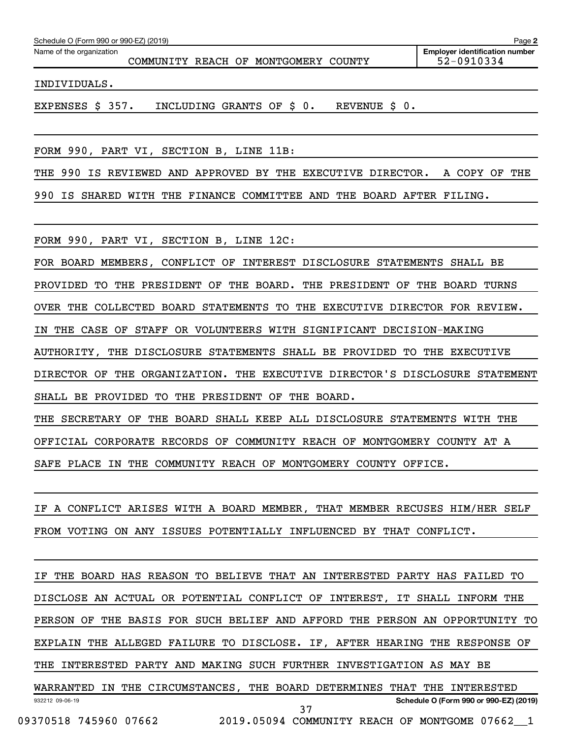| Schedule O (Form 990 or 990-EZ) (2019) |                                            | Page 2                                              |
|----------------------------------------|--------------------------------------------|-----------------------------------------------------|
| Name of the organization               | COMMUNITY REACH OF MONTGOMERY COUNTY       | <b>Employer identification number</b><br>52-0910334 |
| INDIVIDUALS.                           |                                            |                                                     |
| EXPENSES \$ 357.                       | INCLUDING GRANTS OF \$ 0.<br>REVENUE \$ 0. |                                                     |
|                                        |                                            |                                                     |

FORM 990, PART VI, SECTION B, LINE 11B:

THE 990 IS REVIEWED AND APPROVED BY THE EXECUTIVE DIRECTOR. A COPY OF THE 990 IS SHARED WITH THE FINANCE COMMITTEE AND THE BOARD AFTER FILING.

FORM 990, PART VI, SECTION B, LINE 12C:

FOR BOARD MEMBERS, CONFLICT OF INTEREST DISCLOSURE STATEMENTS SHALL BE PROVIDED TO THE PRESIDENT OF THE BOARD. THE PRESIDENT OF THE BOARD TURNS OVER THE COLLECTED BOARD STATEMENTS TO THE EXECUTIVE DIRECTOR FOR REVIEW. IN THE CASE OF STAFF OR VOLUNTEERS WITH SIGNIFICANT DECISION-MAKING AUTHORITY, THE DISCLOSURE STATEMENTS SHALL BE PROVIDED TO THE EXECUTIVE DIRECTOR OF THE ORGANIZATION. THE EXECUTIVE DIRECTOR'S DISCLOSURE STATEMENT SHALL BE PROVIDED TO THE PRESIDENT OF THE BOARD. THE SECRETARY OF THE BOARD SHALL KEEP ALL DISCLOSURE STATEMENTS WITH THE

OFFICIAL CORPORATE RECORDS OF COMMUNITY REACH OF MONTGOMERY COUNTY AT A SAFE PLACE IN THE COMMUNITY REACH OF MONTGOMERY COUNTY OFFICE.

IF A CONFLICT ARISES WITH A BOARD MEMBER, THAT MEMBER RECUSES HIM/HER SELF FROM VOTING ON ANY ISSUES POTENTIALLY INFLUENCED BY THAT CONFLICT.

932212 09-06-19 **Schedule O (Form 990 or 990-EZ) (2019)** IF THE BOARD HAS REASON TO BELIEVE THAT AN INTERESTED PARTY HAS FAILED TO DISCLOSE AN ACTUAL OR POTENTIAL CONFLICT OF INTEREST, IT SHALL INFORM THE PERSON OF THE BASIS FOR SUCH BELIEF AND AFFORD THE PERSON AN OPPORTUNITY TO EXPLAIN THE ALLEGED FAILURE TO DISCLOSE. IF, AFTER HEARING THE RESPONSE OF THE INTERESTED PARTY AND MAKING SUCH FURTHER INVESTIGATION AS MAY BE WARRANTED IN THE CIRCUMSTANCES, THE BOARD DETERMINES THAT THE INTERESTED 37

09370518 745960 07662 2019.05094 COMMUNITY REACH OF MONTGOME 07662 1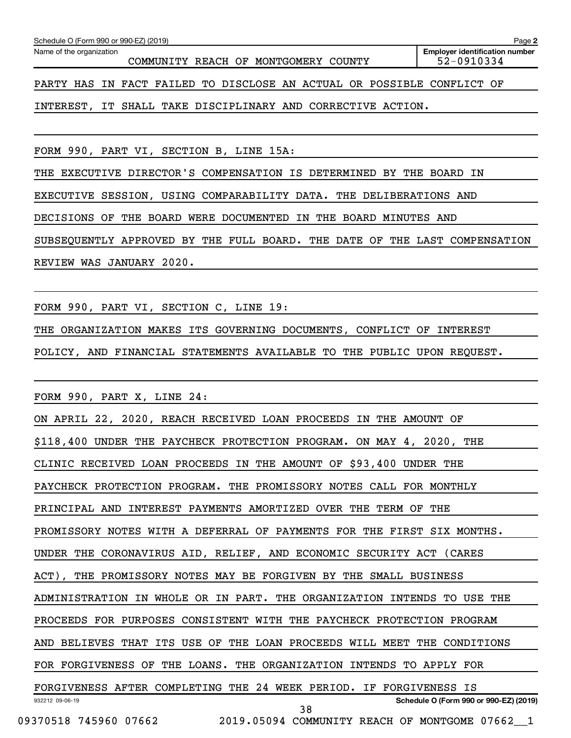| Schedule O (Form 990 or 990-EZ) (2019)<br>Page 2                       |                                                     |  |  |  |  |  |  |  |
|------------------------------------------------------------------------|-----------------------------------------------------|--|--|--|--|--|--|--|
| Name of the organization<br>COMMUNITY REACH OF MONTGOMERY COUNTY       | <b>Employer identification number</b><br>52-0910334 |  |  |  |  |  |  |  |
| PARTY HAS IN FACT FAILED TO DISCLOSE AN ACTUAL OR POSSIBLE CONFLICT OF |                                                     |  |  |  |  |  |  |  |
| IT SHALL TAKE DISCIPLINARY AND CORRECTIVE ACTION.<br>INTEREST,         |                                                     |  |  |  |  |  |  |  |
|                                                                        |                                                     |  |  |  |  |  |  |  |

FORM 990, PART VI, SECTION B, LINE 15A:

THE EXECUTIVE DIRECTOR'S COMPENSATION IS DETERMINED BY THE BOARD IN

EXECUTIVE SESSION, USING COMPARABILITY DATA. THE DELIBERATIONS AND

DECISIONS OF THE BOARD WERE DOCUMENTED IN THE BOARD MINUTES AND

SUBSEQUENTLY APPROVED BY THE FULL BOARD. THE DATE OF THE LAST COMPENSATION REVIEW WAS JANUARY 2020.

FORM 990, PART VI, SECTION C, LINE 19:

THE ORGANIZATION MAKES ITS GOVERNING DOCUMENTS, CONFLICT OF INTEREST

POLICY, AND FINANCIAL STATEMENTS AVAILABLE TO THE PUBLIC UPON REQUEST.

FORM 990, PART X, LINE 24:

932212 09-06-19 **Schedule O (Form 990 or 990-EZ) (2019)** ON APRIL 22, 2020, REACH RECEIVED LOAN PROCEEDS IN THE AMOUNT OF \$118,400 UNDER THE PAYCHECK PROTECTION PROGRAM. ON MAY 4, 2020, THE CLINIC RECEIVED LOAN PROCEEDS IN THE AMOUNT OF \$93,400 UNDER THE PAYCHECK PROTECTION PROGRAM. THE PROMISSORY NOTES CALL FOR MONTHLY PRINCIPAL AND INTEREST PAYMENTS AMORTIZED OVER THE TERM OF THE PROMISSORY NOTES WITH A DEFERRAL OF PAYMENTS FOR THE FIRST SIX MONTHS. UNDER THE CORONAVIRUS AID, RELIEF, AND ECONOMIC SECURITY ACT (CARES ACT), THE PROMISSORY NOTES MAY BE FORGIVEN BY THE SMALL BUSINESS ADMINISTRATION IN WHOLE OR IN PART. THE ORGANIZATION INTENDS TO USE THE PROCEEDS FOR PURPOSES CONSISTENT WITH THE PAYCHECK PROTECTION PROGRAM AND BELIEVES THAT ITS USE OF THE LOAN PROCEEDS WILL MEET THE CONDITIONS FOR FORGIVENESS OF THE LOANS. THE ORGANIZATION INTENDS TO APPLY FOR FORGIVENESS AFTER COMPLETING THE 24 WEEK PERIOD. IF FORGIVENESS IS 38

09370518 745960 07662 2019.05094 COMMUNITY REACH OF MONTGOME 07662 1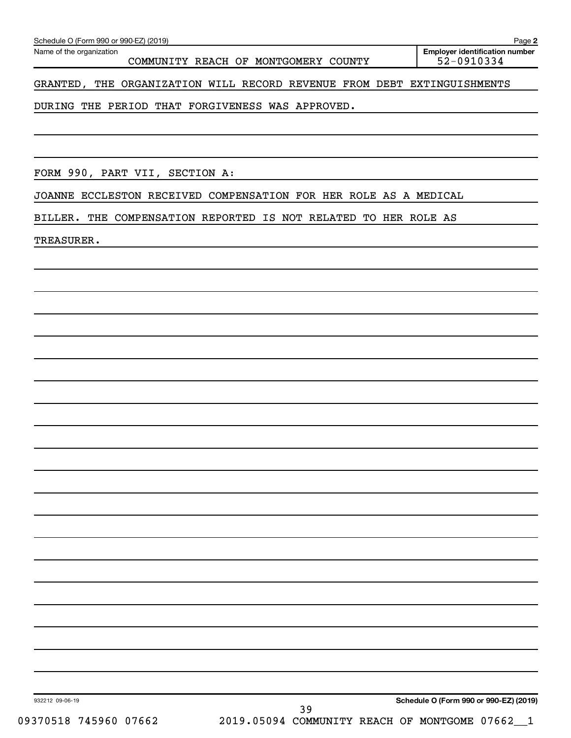COMMUNITY REACH OF MONTGOMERY COUNTY 52-0910334

GRANTED, THE ORGANIZATION WILL RECORD REVENUE FROM DEBT EXTINGUISHMENTS

DURING THE PERIOD THAT FORGIVENESS WAS APPROVED.

FORM 990, PART VII, SECTION A:

JOANNE ECCLESTON RECEIVED COMPENSATION FOR HER ROLE AS A MEDICAL

BILLER. THE COMPENSATION REPORTED IS NOT RELATED TO HER ROLE AS

TREASURER.

**2**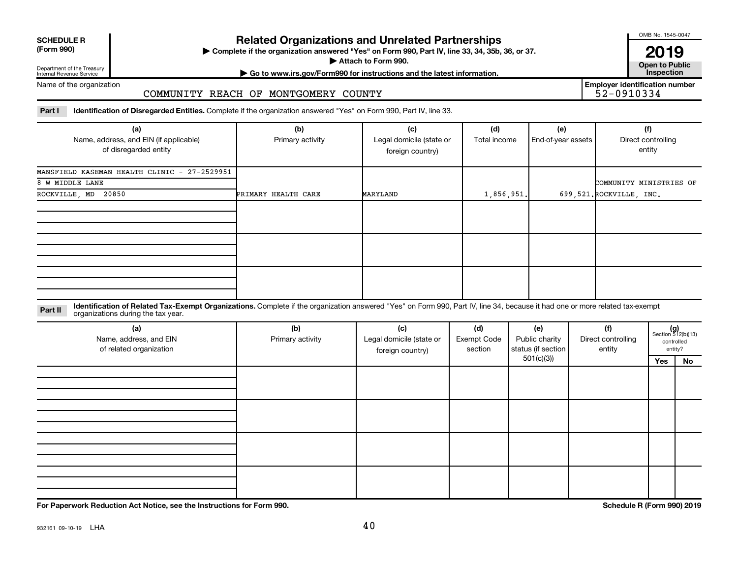| <b>SCHEDULE R</b> |  |
|-------------------|--|
|                   |  |

### **Related Organizations and Unrelated Partnerships**

**(Form 990) Complete if the organization answered "Yes" on Form 990, Part IV, line 33, 34, 35b, 36, or 37.** |

**Attach to Form 990. Contract to Form 990. Contract to Public** 

OMB No. 1545-0047

**2019**<br>Open to Public

**Employer identification number**

Department of the Treasury Internal Revenue Service

# **| Go to www.irs.gov/Form990 for instructions and the latest information. Inspection**

Name of the organization

#### COMMUNITY REACH OF MONTGOMERY COUNTY

Part I ldentification of Disregarded Entities. Complete if the organization answered "Yes" on Form 990, Part IV, line 33.

| (a)                                          | (b)                 | (c)                      | (d)          | (e)                | (f)                      |
|----------------------------------------------|---------------------|--------------------------|--------------|--------------------|--------------------------|
| Name, address, and EIN (if applicable)       | Primary activity    | Legal domicile (state or | Total income | End-of-year assets | Direct controlling       |
| of disregarded entity                        |                     | foreign country)         |              |                    | entity                   |
|                                              |                     |                          |              |                    |                          |
| MANSFIELD KASEMAN HEALTH CLINIC - 27-2529951 |                     |                          |              |                    |                          |
| 8 W MIDDLE LANE                              |                     |                          |              |                    | COMMUNITY MINISTRIES OF  |
| 20850<br>ROCKVILLE, MD                       | PRIMARY HEALTH CARE | MARYLAND                 | 1,856,951.   |                    | 699,521. ROCKVILLE, INC. |
|                                              |                     |                          |              |                    |                          |
|                                              |                     |                          |              |                    |                          |
|                                              |                     |                          |              |                    |                          |
|                                              |                     |                          |              |                    |                          |
|                                              |                     |                          |              |                    |                          |
|                                              |                     |                          |              |                    |                          |
|                                              |                     |                          |              |                    |                          |
|                                              |                     |                          |              |                    |                          |
|                                              |                     |                          |              |                    |                          |

#### **Part II** Identification of Related Tax-Exempt Organizations. Complete if the organization answered "Yes" on Form 990, Part IV, line 34, because it had one or more related tax-exempt<br>Part II acconizations during the tax ye organizations during the tax year.

| (a)<br>Name, address, and EIN<br>of related organization | (b)<br>Primary activity | (c)<br>Legal domicile (state or<br>foreign country) | (d)<br><b>Exempt Code</b><br>section | (e)<br>Public charity<br>status (if section | (f)<br>Direct controlling<br>entity |     | $(g)$<br>Section 512(b)(13)<br>controlled<br>entity? |
|----------------------------------------------------------|-------------------------|-----------------------------------------------------|--------------------------------------|---------------------------------------------|-------------------------------------|-----|------------------------------------------------------|
|                                                          |                         |                                                     |                                      | 501(c)(3)                                   |                                     | Yes | No                                                   |
|                                                          |                         |                                                     |                                      |                                             |                                     |     |                                                      |
|                                                          |                         |                                                     |                                      |                                             |                                     |     |                                                      |
|                                                          |                         |                                                     |                                      |                                             |                                     |     |                                                      |
|                                                          |                         |                                                     |                                      |                                             |                                     |     |                                                      |

**For Paperwork Reduction Act Notice, see the Instructions for Form 990. Schedule R (Form 990) 2019**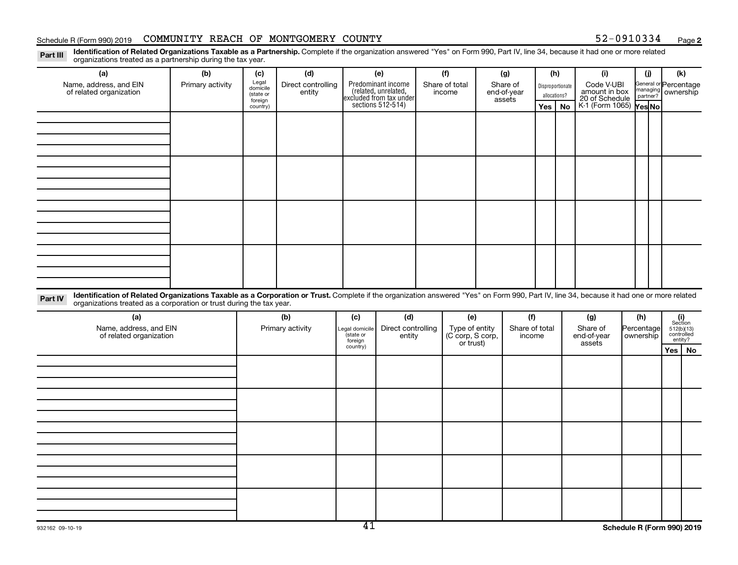#### Schedule R (Form 990) 2019 COMMUNITY REACH OF MONTGOMERY COUNTY 52-0910334 Page

**2**

Disproportionate allocations? Legal domicile (state or foreign country) General or Percentage managing partner? Part III Identification of Related Organizations Taxable as a Partnership. Complete if the organization answered "Yes" on Form 990, Part IV, line 34, because it had one or more related<br>Read to the organizations tracted as **(a) (b) (c) (d) (e) (f) (g) (h) (i) (j) (k) Yes No Yes No** K-1 (Form 1065) Predominant income (related, unrelated, excluded from tax under sections 512-514) organizations treated as a partnership during the tax year. Name, address, and EIN of related organization Primary activity  $\left| \begin{array}{c} \text{Legal} \\ \text{diamial} \end{array} \right|$  Direct controlling entity Share of total income Share of end-of-year assets Code V-UBI<br>amount in box 20 of Schedule ownership

Part IV Identification of Related Organizations Taxable as a Corporation or Trust. Complete if the organization answered "Yes" on Form 990, Part IV, line 34, because it had one or more related organizations treated as a corporation or trust during the tax year.

| (a)<br>Name, address, and EIN<br>of related organization | (b)<br>Primary activity | (c)<br>Legal domicile<br>(state or<br>foreign | (d)<br>Direct controlling<br>entity | (e)<br>Type of entity<br>(C corp, S corp,<br>or trust) | (f)<br>Share of total<br>income | (g)<br>Share of<br>end-of-year<br>assets | (h)<br>Percentage<br>ownership | $\begin{array}{c} \textbf{(i)}\\ \text{Section}\\ 512 \text{(b)} \text{(13)}\\ \text{controlled} \\ \text{entity?} \end{array}$ |
|----------------------------------------------------------|-------------------------|-----------------------------------------------|-------------------------------------|--------------------------------------------------------|---------------------------------|------------------------------------------|--------------------------------|---------------------------------------------------------------------------------------------------------------------------------|
|                                                          |                         | country)                                      |                                     |                                                        |                                 |                                          |                                | Yes   No                                                                                                                        |
|                                                          |                         |                                               |                                     |                                                        |                                 |                                          |                                |                                                                                                                                 |
|                                                          |                         |                                               |                                     |                                                        |                                 |                                          |                                |                                                                                                                                 |
|                                                          |                         |                                               |                                     |                                                        |                                 |                                          |                                |                                                                                                                                 |
|                                                          |                         |                                               |                                     |                                                        |                                 |                                          |                                |                                                                                                                                 |
|                                                          |                         |                                               |                                     |                                                        |                                 |                                          |                                |                                                                                                                                 |
|                                                          |                         |                                               |                                     |                                                        |                                 |                                          |                                |                                                                                                                                 |
|                                                          |                         |                                               |                                     |                                                        |                                 |                                          |                                |                                                                                                                                 |
|                                                          |                         |                                               |                                     |                                                        |                                 |                                          |                                |                                                                                                                                 |
|                                                          |                         |                                               |                                     |                                                        |                                 |                                          |                                |                                                                                                                                 |
|                                                          |                         |                                               |                                     |                                                        |                                 |                                          |                                |                                                                                                                                 |
|                                                          |                         |                                               |                                     |                                                        |                                 |                                          |                                |                                                                                                                                 |
|                                                          |                         |                                               |                                     |                                                        |                                 |                                          |                                |                                                                                                                                 |
|                                                          |                         |                                               |                                     |                                                        |                                 |                                          |                                |                                                                                                                                 |
|                                                          |                         |                                               |                                     |                                                        |                                 |                                          |                                |                                                                                                                                 |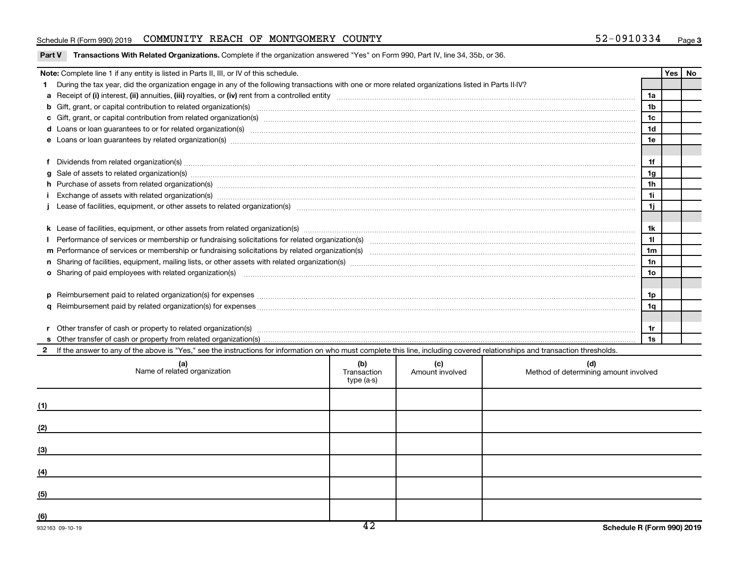#### Schedule R (Form 990) 2019 COMMUNITY REACH OF MONTGOMERY COUNTY 52-0910334 Page

|  |  |  |  | Part V Transactions With Related Organizations. Complete if the organization answered "Yes" on Form 990, Part IV, line 34, 35b, or 36. |
|--|--|--|--|----------------------------------------------------------------------------------------------------------------------------------------|
|--|--|--|--|----------------------------------------------------------------------------------------------------------------------------------------|

|   | Note: Complete line 1 if any entity is listed in Parts II, III, or IV of this schedule.                                                                                                                                              |            |                 |                                       |    |  | Yes   No |  |  |  |
|---|--------------------------------------------------------------------------------------------------------------------------------------------------------------------------------------------------------------------------------------|------------|-----------------|---------------------------------------|----|--|----------|--|--|--|
|   | During the tax year, did the organization engage in any of the following transactions with one or more related organizations listed in Parts II-IV?                                                                                  |            |                 |                                       |    |  |          |  |  |  |
|   |                                                                                                                                                                                                                                      |            |                 |                                       |    |  |          |  |  |  |
|   |                                                                                                                                                                                                                                      |            |                 |                                       |    |  |          |  |  |  |
|   |                                                                                                                                                                                                                                      |            |                 |                                       |    |  |          |  |  |  |
|   |                                                                                                                                                                                                                                      |            |                 |                                       |    |  |          |  |  |  |
|   |                                                                                                                                                                                                                                      |            |                 |                                       |    |  |          |  |  |  |
|   |                                                                                                                                                                                                                                      |            |                 |                                       |    |  |          |  |  |  |
|   | Dividends from related organization(s) machinesis and contract and contract and contract and contract and contract and contract and contract and contract and contract and contract and contract and contract and contract and       |            |                 |                                       | 1f |  |          |  |  |  |
| a | Sale of assets to related organization(s) www.assettion.com/www.assettion.com/www.assettion.com/www.assettion.com/www.assettion.com/www.assettion.com/www.assettion.com/www.assettion.com/www.assettion.com/www.assettion.com/       |            |                 |                                       | 1g |  |          |  |  |  |
|   | h Purchase of assets from related organization(s) manufactured and content to content the content of assets from related organization(s) manufactured and content and content of the content of the content of the content of        |            |                 |                                       | 1h |  |          |  |  |  |
|   | Exchange of assets with related organization(s) www.walescommunity.com/walescommunity/walescommunity/walescommunity/walescommunity/walescommunity/walescommunity/walescommunity/walescommunity/walescommunity/walescommunity/w       |            |                 |                                       | 11 |  |          |  |  |  |
|   |                                                                                                                                                                                                                                      |            |                 |                                       |    |  |          |  |  |  |
|   |                                                                                                                                                                                                                                      |            |                 |                                       |    |  |          |  |  |  |
|   |                                                                                                                                                                                                                                      |            |                 |                                       |    |  |          |  |  |  |
|   |                                                                                                                                                                                                                                      |            |                 |                                       |    |  |          |  |  |  |
|   |                                                                                                                                                                                                                                      |            |                 |                                       |    |  |          |  |  |  |
|   |                                                                                                                                                                                                                                      |            |                 |                                       |    |  |          |  |  |  |
|   | <b>o</b> Sharing of paid employees with related organization(s)                                                                                                                                                                      |            |                 |                                       |    |  |          |  |  |  |
|   |                                                                                                                                                                                                                                      |            |                 |                                       |    |  |          |  |  |  |
|   | Reimbursement paid to related organization(s) for expenses [111] Research Manuscritics [21] Reimbursement paid to related organization(s) for expenses [11] Manuscritics [21] Manuscritics [21] Manuscritics [21] Manuscritics<br>D. |            |                 |                                       |    |  |          |  |  |  |
|   |                                                                                                                                                                                                                                      |            |                 |                                       |    |  |          |  |  |  |
|   |                                                                                                                                                                                                                                      |            |                 |                                       |    |  |          |  |  |  |
|   |                                                                                                                                                                                                                                      |            |                 |                                       |    |  |          |  |  |  |
|   |                                                                                                                                                                                                                                      |            |                 |                                       |    |  |          |  |  |  |
|   | 1s                                                                                                                                                                                                                                   |            |                 |                                       |    |  |          |  |  |  |
|   | 2 If the answer to any of the above is "Yes," see the instructions for information on who must complete this line, including covered relationships and transaction thresholds.                                                       |            |                 |                                       |    |  |          |  |  |  |
|   | (d)<br>(b)<br>(c)<br>(a)<br>Name of related organization<br>Transaction                                                                                                                                                              |            |                 |                                       |    |  |          |  |  |  |
|   |                                                                                                                                                                                                                                      | type (a-s) | Amount involved | Method of determining amount involved |    |  |          |  |  |  |
|   |                                                                                                                                                                                                                                      |            |                 |                                       |    |  |          |  |  |  |

| <b>Agric of Foldcod</b> organization | <b>Hansaction</b><br>type (a-s) | <b>AUTOMIL INVOIVOU</b> | <b>Mediod of actemming amount involved</b> |
|--------------------------------------|---------------------------------|-------------------------|--------------------------------------------|
| (1)                                  |                                 |                         |                                            |
| (2)                                  |                                 |                         |                                            |
| (3)                                  |                                 |                         |                                            |
| (4)                                  |                                 |                         |                                            |
| (5)                                  |                                 |                         |                                            |
| (6)                                  |                                 |                         |                                            |
|                                      | $\overline{\phantom{a}}$        |                         |                                            |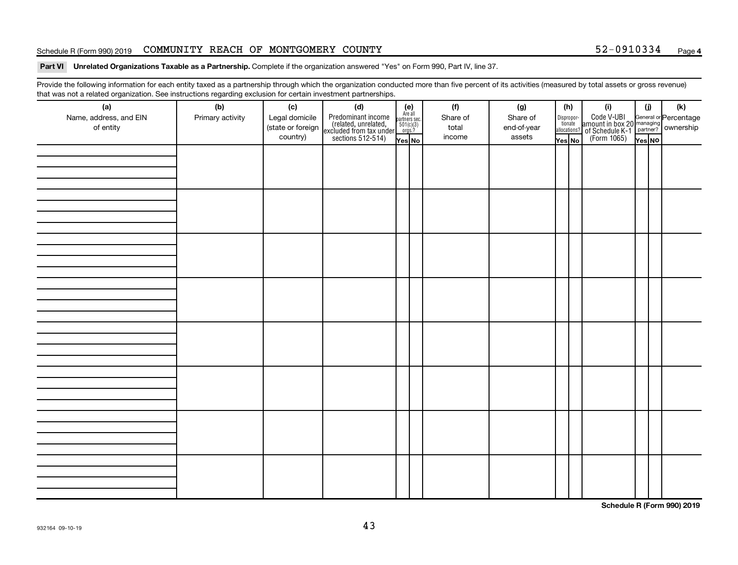#### Schedule R (Form 990) 2019 COMMUNITY REACH OF MONTGOMERY COUNTY 52-0910334 Page

#### Part VI Unrelated Organizations Taxable as a Partnership. Complete if the organization answered "Yes" on Form 990, Part IV, line 37.

Provide the following information for each entity taxed as a partnership through which the organization conducted more than five percent of its activities (measured by total assets or gross revenue) that was not a related organization. See instructions regarding exclusion for certain investment partnerships.

| (a)<br>Name, address, and EIN<br>of entity | - - -<br>(b)<br>Primary activity | (c)<br>Legal domicile<br>(state or foreign<br>country) | - - - - <sub>1</sub> - - 1<br>(d)<br>Predominant income<br>(related, unrelated,<br>excluded from tax under<br>sections 512-514) | (e)<br>Are all<br>partners sec.<br>$\frac{501(c)(3)}{0rgs?}$<br>Yes No | (f)<br>Share of<br>total<br>income | (g)<br>Share of<br>end-of-year<br>assets | Dispropor-<br>tionate<br>allocations?<br>Yes No | (h) | (i)<br>Code V-UBI<br>amount in box 20 managing<br>of Schedule K-1<br>(Form 1065)<br>$\overline{Y}_{res}$ No | (i)<br>Yes NO | (k) |
|--------------------------------------------|----------------------------------|--------------------------------------------------------|---------------------------------------------------------------------------------------------------------------------------------|------------------------------------------------------------------------|------------------------------------|------------------------------------------|-------------------------------------------------|-----|-------------------------------------------------------------------------------------------------------------|---------------|-----|
|                                            |                                  |                                                        |                                                                                                                                 |                                                                        |                                    |                                          |                                                 |     |                                                                                                             |               |     |
|                                            |                                  |                                                        |                                                                                                                                 |                                                                        |                                    |                                          |                                                 |     |                                                                                                             |               |     |
|                                            |                                  |                                                        |                                                                                                                                 |                                                                        |                                    |                                          |                                                 |     |                                                                                                             |               |     |
|                                            |                                  |                                                        |                                                                                                                                 |                                                                        |                                    |                                          |                                                 |     |                                                                                                             |               |     |
|                                            |                                  |                                                        |                                                                                                                                 |                                                                        |                                    |                                          |                                                 |     |                                                                                                             |               |     |
|                                            |                                  |                                                        |                                                                                                                                 |                                                                        |                                    |                                          |                                                 |     |                                                                                                             |               |     |
|                                            |                                  |                                                        |                                                                                                                                 |                                                                        |                                    |                                          |                                                 |     |                                                                                                             |               |     |
|                                            |                                  |                                                        |                                                                                                                                 |                                                                        |                                    |                                          |                                                 |     |                                                                                                             |               |     |

**Schedule R (Form 990) 2019**